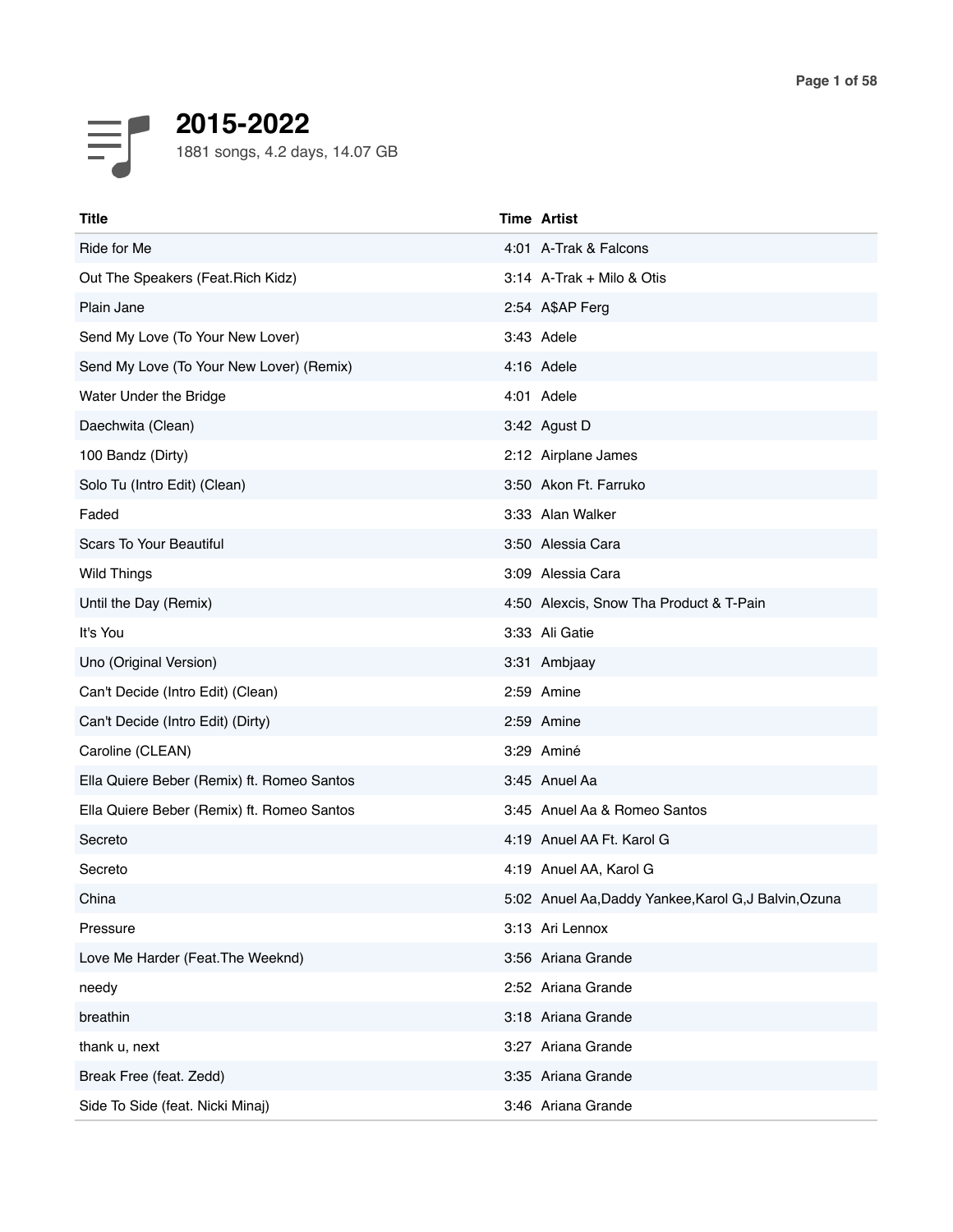

| Title                                      | <b>Time Artist</b> |                                                       |
|--------------------------------------------|--------------------|-------------------------------------------------------|
| Ride for Me                                |                    | 4:01 A-Trak & Falcons                                 |
| Out The Speakers (Feat. Rich Kidz)         |                    | 3:14 A-Trak + Milo & Otis                             |
| Plain Jane                                 | 2:54 A\$AP Ferg    |                                                       |
| Send My Love (To Your New Lover)           | 3:43 Adele         |                                                       |
| Send My Love (To Your New Lover) (Remix)   | 4:16 Adele         |                                                       |
| Water Under the Bridge                     | 4:01 Adele         |                                                       |
| Daechwita (Clean)                          | 3:42 Agust D       |                                                       |
| 100 Bandz (Dirty)                          |                    | 2:12 Airplane James                                   |
| Solo Tu (Intro Edit) (Clean)               |                    | 3:50 Akon Ft. Farruko                                 |
| Faded                                      | 3:33 Alan Walker   |                                                       |
| <b>Scars To Your Beautiful</b>             | 3:50 Alessia Cara  |                                                       |
| <b>Wild Things</b>                         | 3:09 Alessia Cara  |                                                       |
| Until the Day (Remix)                      |                    | 4:50 Alexcis, Snow Tha Product & T-Pain               |
| It's You                                   | 3:33 Ali Gatie     |                                                       |
| Uno (Original Version)                     | 3:31 Ambjaay       |                                                       |
| Can't Decide (Intro Edit) (Clean)          | 2:59 Amine         |                                                       |
| Can't Decide (Intro Edit) (Dirty)          | 2:59 Amine         |                                                       |
| Caroline (CLEAN)                           | 3:29 Aminé         |                                                       |
| Ella Quiere Beber (Remix) ft. Romeo Santos | 3:45 Anuel Aa      |                                                       |
| Ella Quiere Beber (Remix) ft. Romeo Santos |                    | 3:45 Anuel Aa & Romeo Santos                          |
| Secreto                                    |                    | 4:19 Anuel AA Ft. Karol G                             |
| Secreto                                    |                    | 4:19 Anuel AA, Karol G                                |
| China                                      |                    | 5:02 Anuel Aa, Daddy Yankee, Karol G, J Balvin, Ozuna |
| Pressure                                   | 3:13 Ari Lennox    |                                                       |
| Love Me Harder (Feat. The Weeknd)          |                    | 3:56 Ariana Grande                                    |
| needy                                      |                    | 2:52 Ariana Grande                                    |
| breathin                                   |                    | 3:18 Ariana Grande                                    |
| thank u, next                              |                    | 3:27 Ariana Grande                                    |
| Break Free (feat. Zedd)                    |                    | 3:35 Ariana Grande                                    |
| Side To Side (feat. Nicki Minaj)           |                    | 3:46 Ariana Grande                                    |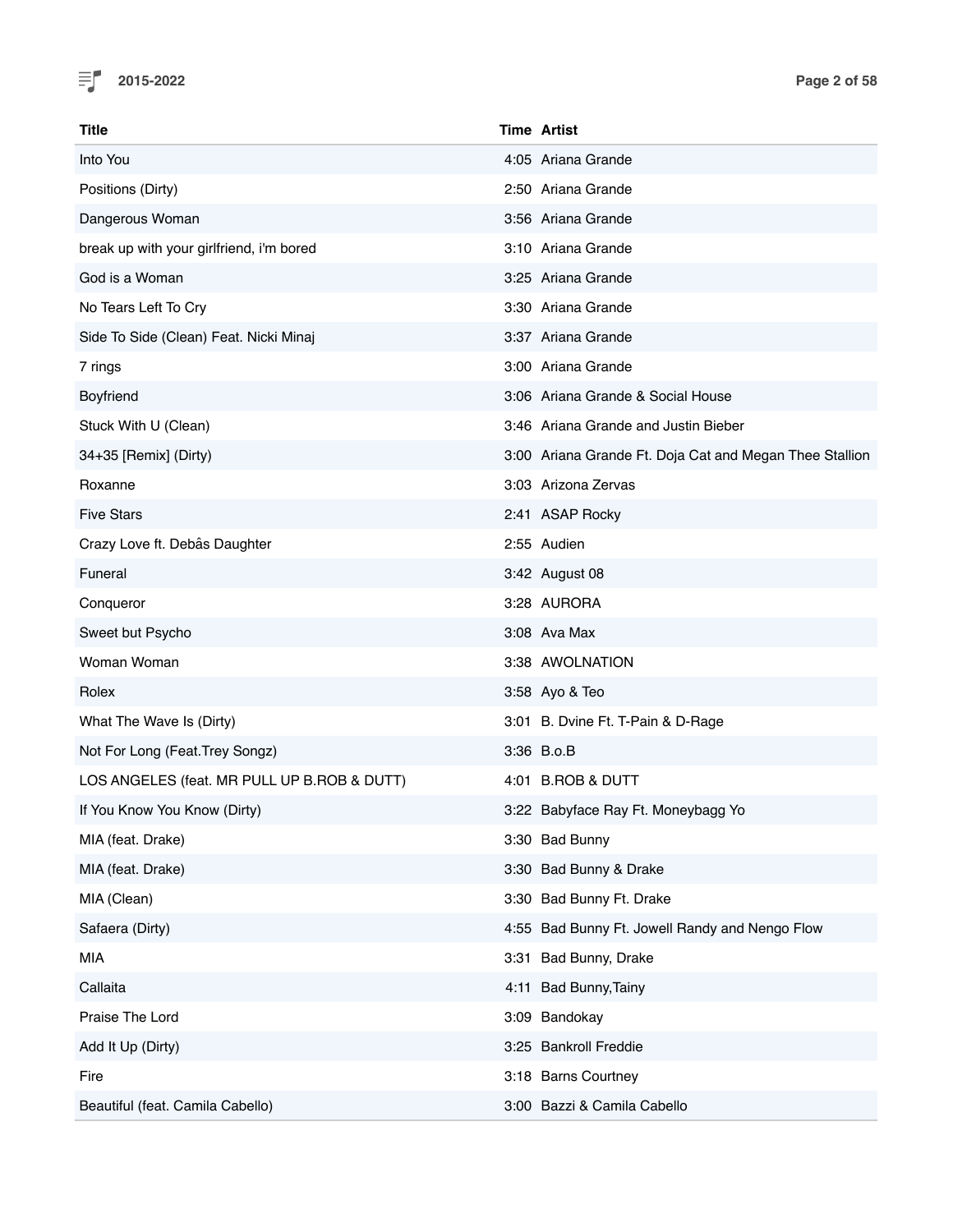

| Title                                       | <b>Time Artist</b>                                      |
|---------------------------------------------|---------------------------------------------------------|
| Into You                                    | 4:05 Ariana Grande                                      |
| Positions (Dirty)                           | 2:50 Ariana Grande                                      |
| Dangerous Woman                             | 3:56 Ariana Grande                                      |
| break up with your girlfriend, i'm bored    | 3:10 Ariana Grande                                      |
| God is a Woman                              | 3:25 Ariana Grande                                      |
| No Tears Left To Cry                        | 3:30 Ariana Grande                                      |
| Side To Side (Clean) Feat. Nicki Minaj      | 3:37 Ariana Grande                                      |
| 7 rings                                     | 3:00 Ariana Grande                                      |
| Boyfriend                                   | 3:06 Ariana Grande & Social House                       |
| Stuck With U (Clean)                        | 3:46 Ariana Grande and Justin Bieber                    |
| 34+35 [Remix] (Dirty)                       | 3:00 Ariana Grande Ft. Doja Cat and Megan Thee Stallion |
| Roxanne                                     | 3:03 Arizona Zervas                                     |
| <b>Five Stars</b>                           | 2:41 ASAP Rocky                                         |
| Crazy Love ft. Debâs Daughter               | 2:55 Audien                                             |
| Funeral                                     | 3:42 August 08                                          |
| Conqueror                                   | 3:28 AURORA                                             |
| Sweet but Psycho                            | 3:08 Ava Max                                            |
| Woman Woman                                 | 3:38 AWOLNATION                                         |
| Rolex                                       | 3:58 Ayo & Teo                                          |
| What The Wave Is (Dirty)                    | 3:01 B. Dvine Ft. T-Pain & D-Rage                       |
| Not For Long (Feat. Trey Songz)             | 3:36 B.o.B                                              |
| LOS ANGELES (feat. MR PULL UP B.ROB & DUTT) | 4:01 B.ROB & DUTT                                       |
| If You Know You Know (Dirty)                | 3:22 Babyface Ray Ft. Moneybagg Yo                      |
| MIA (feat. Drake)                           | 3:30 Bad Bunny                                          |
| MIA (feat. Drake)                           | 3:30 Bad Bunny & Drake                                  |
| MIA (Clean)                                 | 3:30 Bad Bunny Ft. Drake                                |
| Safaera (Dirty)                             | 4:55 Bad Bunny Ft. Jowell Randy and Nengo Flow          |
| MIA                                         | 3:31 Bad Bunny, Drake                                   |
| Callaita                                    | 4:11 Bad Bunny, Tainy                                   |
| Praise The Lord                             | 3:09 Bandokay                                           |
| Add It Up (Dirty)                           | 3:25 Bankroll Freddie                                   |
| Fire                                        | 3:18 Barns Courtney                                     |
| Beautiful (feat. Camila Cabello)            | 3:00 Bazzi & Camila Cabello                             |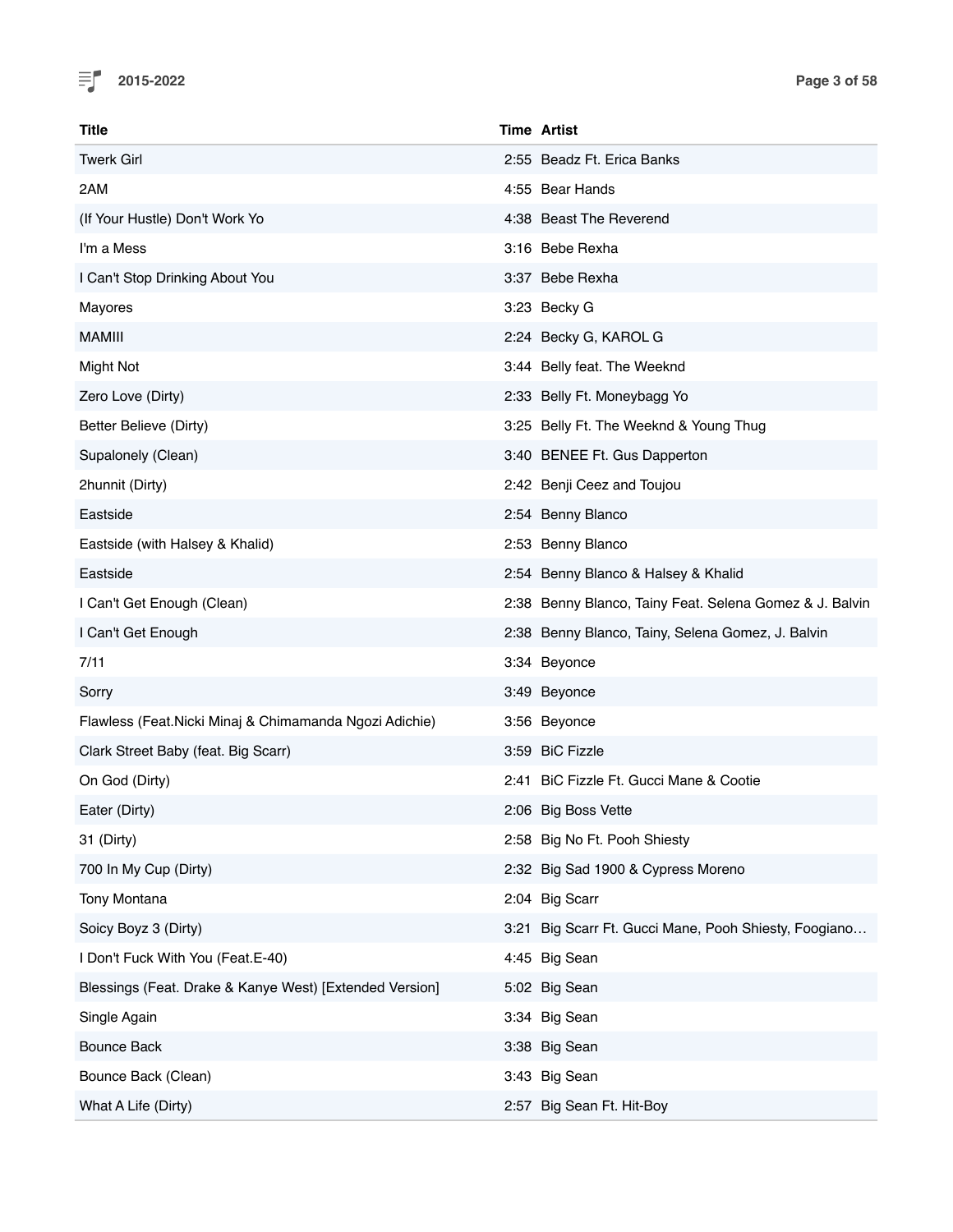

| Title                                                   | <b>Time Artist</b>                                      |
|---------------------------------------------------------|---------------------------------------------------------|
| <b>Twerk Girl</b>                                       | 2:55 Beadz Ft. Erica Banks                              |
| 2AM                                                     | 4:55 Bear Hands                                         |
| (If Your Hustle) Don't Work Yo                          | 4:38 Beast The Reverend                                 |
| I'm a Mess                                              | 3:16 Bebe Rexha                                         |
| I Can't Stop Drinking About You                         | 3:37 Bebe Rexha                                         |
| Mayores                                                 | 3:23 Becky G                                            |
| <b>MAMIII</b>                                           | 2:24 Becky G, KAROL G                                   |
| <b>Might Not</b>                                        | 3:44 Belly feat. The Weeknd                             |
| Zero Love (Dirty)                                       | 2:33 Belly Ft. Moneybagg Yo                             |
| Better Believe (Dirty)                                  | 3:25 Belly Ft. The Weeknd & Young Thug                  |
| Supalonely (Clean)                                      | 3:40 BENEE Ft. Gus Dapperton                            |
| 2hunnit (Dirty)                                         | 2:42 Benji Ceez and Toujou                              |
| Eastside                                                | 2:54 Benny Blanco                                       |
| Eastside (with Halsey & Khalid)                         | 2:53 Benny Blanco                                       |
| Eastside                                                | 2:54 Benny Blanco & Halsey & Khalid                     |
| I Can't Get Enough (Clean)                              | 2:38 Benny Blanco, Tainy Feat. Selena Gomez & J. Balvin |
| I Can't Get Enough                                      | 2:38 Benny Blanco, Tainy, Selena Gomez, J. Balvin       |
| 7/11                                                    | 3:34 Beyonce                                            |
| Sorry                                                   | 3:49 Beyonce                                            |
| Flawless (Feat.Nicki Minaj & Chimamanda Ngozi Adichie)  | 3:56 Beyonce                                            |
| Clark Street Baby (feat. Big Scarr)                     | 3:59 BiC Fizzle                                         |
| On God (Dirty)                                          | 2:41 BiC Fizzle Ft. Gucci Mane & Cootie                 |
| Eater (Dirty)                                           | 2:06 Big Boss Vette                                     |
| 31 (Dirty)                                              | 2:58 Big No Ft. Pooh Shiesty                            |
| 700 In My Cup (Dirty)                                   | 2:32 Big Sad 1900 & Cypress Moreno                      |
| Tony Montana                                            | 2:04 Big Scarr                                          |
| Soicy Boyz 3 (Dirty)                                    | 3:21 Big Scarr Ft. Gucci Mane, Pooh Shiesty, Foogiano   |
| I Don't Fuck With You (Feat.E-40)                       | 4:45 Big Sean                                           |
| Blessings (Feat. Drake & Kanye West) [Extended Version] | 5:02 Big Sean                                           |
| Single Again                                            | 3:34 Big Sean                                           |
| <b>Bounce Back</b>                                      | 3:38 Big Sean                                           |
| Bounce Back (Clean)                                     | 3:43 Big Sean                                           |
| What A Life (Dirty)                                     | 2:57 Big Sean Ft. Hit-Boy                               |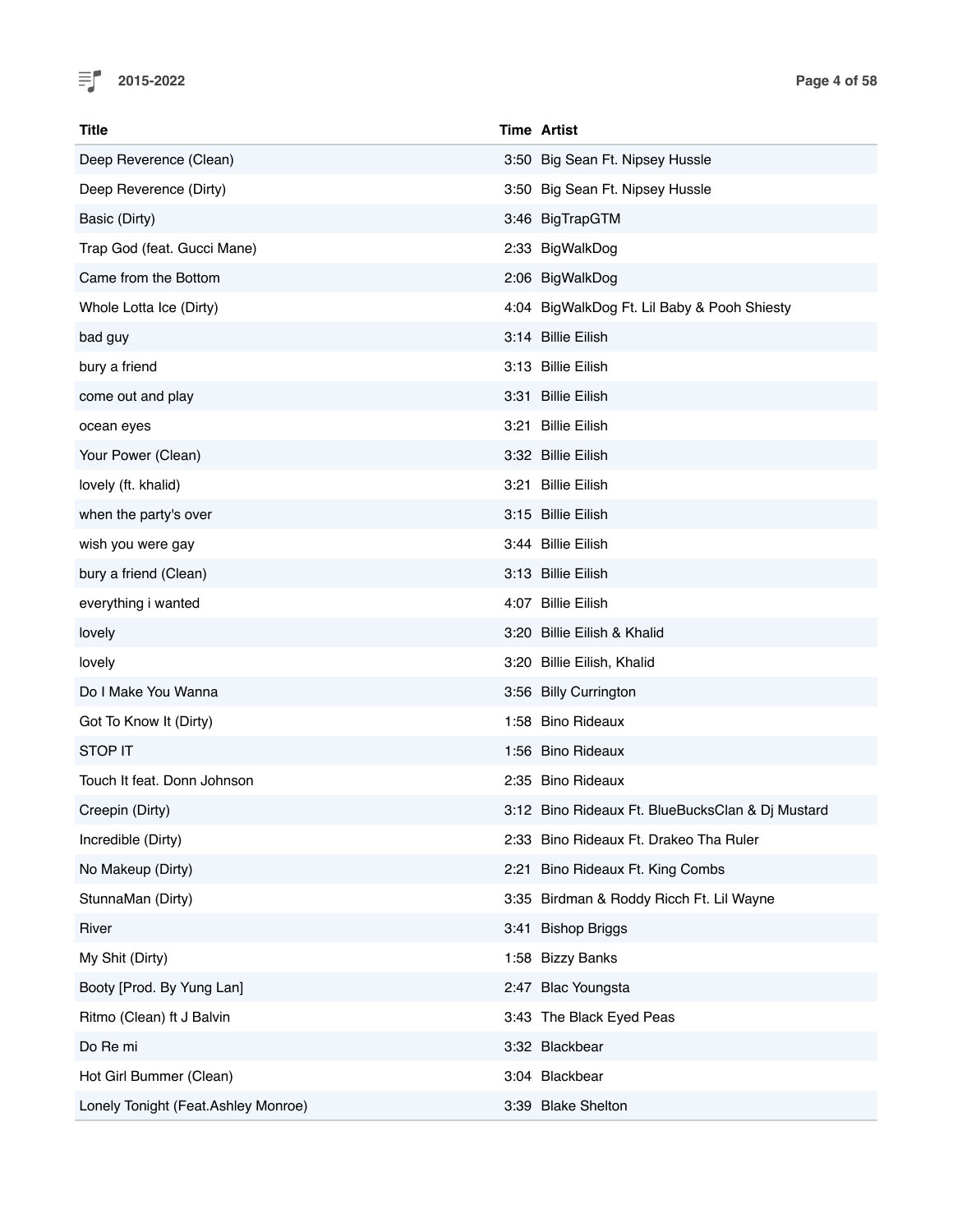

| <b>Title</b>                        | <b>Time Artist</b>                               |
|-------------------------------------|--------------------------------------------------|
| Deep Reverence (Clean)              | 3:50 Big Sean Ft. Nipsey Hussle                  |
| Deep Reverence (Dirty)              | 3:50 Big Sean Ft. Nipsey Hussle                  |
| Basic (Dirty)                       | 3:46 BigTrapGTM                                  |
| Trap God (feat. Gucci Mane)         | 2:33 BigWalkDog                                  |
| Came from the Bottom                | 2:06 BigWalkDog                                  |
| Whole Lotta Ice (Dirty)             | 4:04 BigWalkDog Ft. Lil Baby & Pooh Shiesty      |
| bad guy                             | 3:14 Billie Eilish                               |
| bury a friend                       | 3:13 Billie Eilish                               |
| come out and play                   | 3:31 Billie Eilish                               |
| ocean eyes                          | 3:21 Billie Eilish                               |
| Your Power (Clean)                  | 3:32 Billie Eilish                               |
| lovely (ft. khalid)                 | 3:21 Billie Eilish                               |
| when the party's over               | 3:15 Billie Eilish                               |
| wish you were gay                   | 3:44 Billie Eilish                               |
| bury a friend (Clean)               | 3:13 Billie Eilish                               |
| everything i wanted                 | 4:07 Billie Eilish                               |
| lovely                              | 3:20 Billie Eilish & Khalid                      |
| lovely                              | 3:20 Billie Eilish, Khalid                       |
| Do I Make You Wanna                 | 3:56 Billy Currington                            |
| Got To Know It (Dirty)              | 1:58 Bino Rideaux                                |
| STOP IT                             | 1:56 Bino Rideaux                                |
| Touch It feat. Donn Johnson         | 2:35 Bino Rideaux                                |
| Creepin (Dirty)                     | 3:12 Bino Rideaux Ft. BlueBucksClan & Di Mustard |
| Incredible (Dirty)                  | 2:33 Bino Rideaux Ft. Drakeo Tha Ruler           |
| No Makeup (Dirty)                   | 2:21 Bino Rideaux Ft. King Combs                 |
| StunnaMan (Dirty)                   | 3:35 Birdman & Roddy Ricch Ft. Lil Wayne         |
| River                               | 3:41 Bishop Briggs                               |
| My Shit (Dirty)                     | 1:58 Bizzy Banks                                 |
| Booty [Prod. By Yung Lan]           | 2:47 Blac Youngsta                               |
| Ritmo (Clean) ft J Balvin           | 3:43 The Black Eyed Peas                         |
| Do Re mi                            | 3:32 Blackbear                                   |
| Hot Girl Bummer (Clean)             | 3:04 Blackbear                                   |
| Lonely Tonight (Feat.Ashley Monroe) | 3:39 Blake Shelton                               |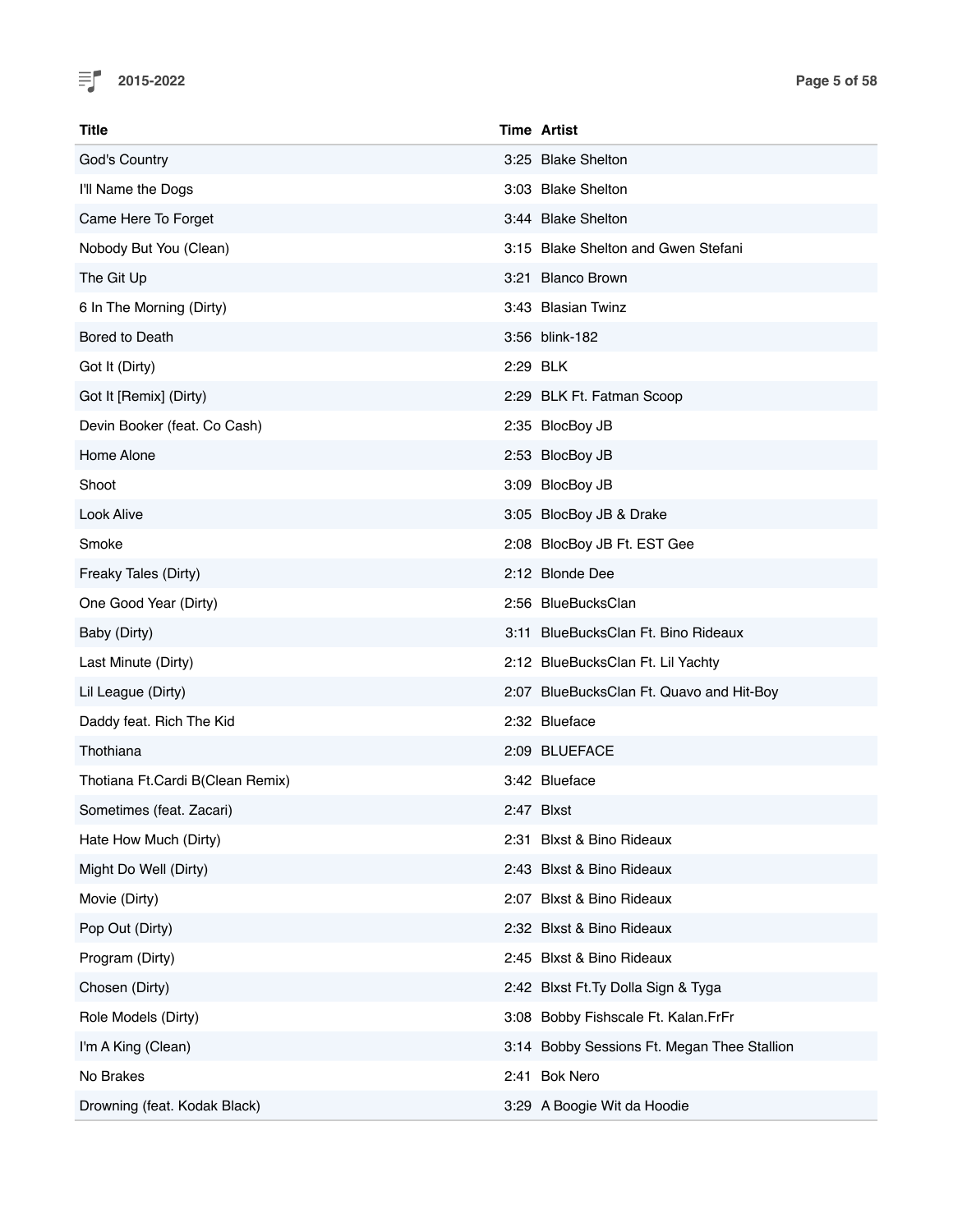

| Title                            |          | Time Artist                                 |
|----------------------------------|----------|---------------------------------------------|
| God's Country                    |          | 3:25 Blake Shelton                          |
| I'll Name the Dogs               |          | 3:03 Blake Shelton                          |
| Came Here To Forget              |          | 3:44 Blake Shelton                          |
| Nobody But You (Clean)           |          | 3:15 Blake Shelton and Gwen Stefani         |
| The Git Up                       |          | 3:21 Blanco Brown                           |
| 6 In The Morning (Dirty)         |          | 3:43 Blasian Twinz                          |
| Bored to Death                   |          | 3:56 blink-182                              |
| Got It (Dirty)                   | 2:29 BLK |                                             |
| Got It [Remix] (Dirty)           |          | 2:29 BLK Ft. Fatman Scoop                   |
| Devin Booker (feat. Co Cash)     |          | 2:35 BlocBoy JB                             |
| Home Alone                       |          | 2:53 BlocBoy JB                             |
| Shoot                            |          | 3:09 BlocBoy JB                             |
| Look Alive                       |          | 3:05 BlocBoy JB & Drake                     |
| Smoke                            |          | 2:08 BlocBoy JB Ft. EST Gee                 |
| Freaky Tales (Dirty)             |          | 2:12 Blonde Dee                             |
| One Good Year (Dirty)            |          | 2:56 BlueBucksClan                          |
| Baby (Dirty)                     |          | 3:11 BlueBucksClan Ft. Bino Rideaux         |
| Last Minute (Dirty)              |          | 2:12 BlueBucksClan Ft. Lil Yachty           |
| Lil League (Dirty)               |          | 2:07 BlueBucksClan Ft. Quavo and Hit-Boy    |
| Daddy feat. Rich The Kid         |          | 2:32 Blueface                               |
| Thothiana                        |          | 2:09 BLUEFACE                               |
| Thotiana Ft.Cardi B(Clean Remix) |          | 3:42 Blueface                               |
| Sometimes (feat. Zacari)         |          | 2:47 Blxst                                  |
| Hate How Much (Dirty)            |          | 2:31 Blxst & Bino Rideaux                   |
| Might Do Well (Dirty)            |          | 2:43 Blxst & Bino Rideaux                   |
| Movie (Dirty)                    |          | 2:07 Blxst & Bino Rideaux                   |
| Pop Out (Dirty)                  |          | 2:32 Blxst & Bino Rideaux                   |
| Program (Dirty)                  |          | 2:45 Blxst & Bino Rideaux                   |
| Chosen (Dirty)                   |          | 2:42 Blxst Ft. Ty Dolla Sign & Tyga         |
| Role Models (Dirty)              |          | 3:08 Bobby Fishscale Ft. Kalan.FrFr         |
| I'm A King (Clean)               |          | 3:14 Bobby Sessions Ft. Megan Thee Stallion |
| No Brakes                        |          | 2:41 Bok Nero                               |
| Drowning (feat. Kodak Black)     |          | 3:29 A Boogie Wit da Hoodie                 |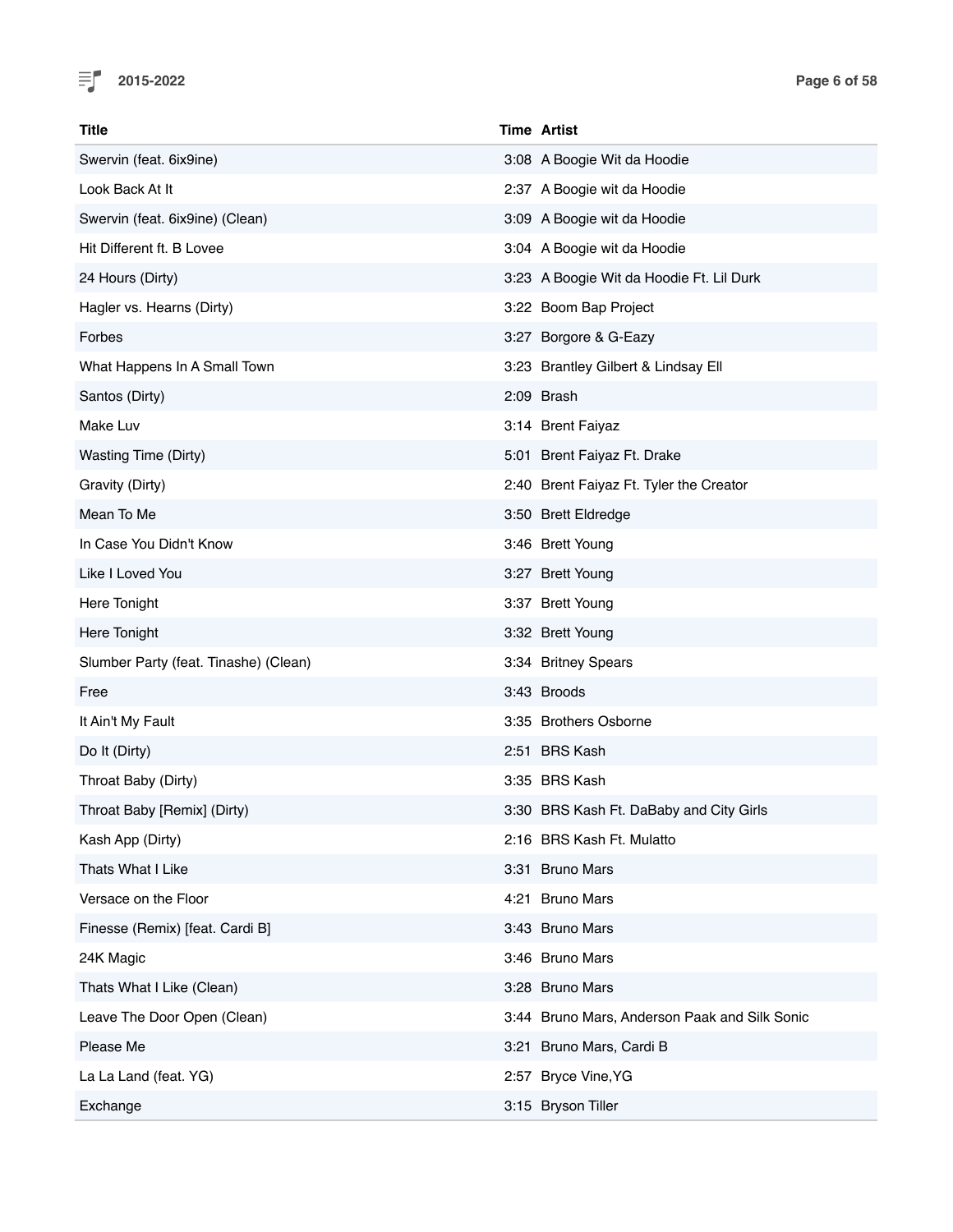

| Title                                 | <b>Time Artist</b>                            |
|---------------------------------------|-----------------------------------------------|
| Swervin (feat. 6ix9ine)               | 3:08 A Boogie Wit da Hoodie                   |
| Look Back At It                       | 2:37 A Boogie wit da Hoodie                   |
| Swervin (feat. 6ix9ine) (Clean)       | 3:09 A Boogie wit da Hoodie                   |
| Hit Different ft. B Lovee             | 3:04 A Boogie wit da Hoodie                   |
| 24 Hours (Dirty)                      | 3:23 A Boogie Wit da Hoodie Ft. Lil Durk      |
| Hagler vs. Hearns (Dirty)             | 3:22 Boom Bap Project                         |
| Forbes                                | 3:27 Borgore & G-Eazy                         |
| What Happens In A Small Town          | 3:23 Brantley Gilbert & Lindsay Ell           |
| Santos (Dirty)                        | 2:09 Brash                                    |
| Make Luv                              | 3:14 Brent Faiyaz                             |
| Wasting Time (Dirty)                  | 5:01 Brent Faiyaz Ft. Drake                   |
| Gravity (Dirty)                       | 2:40 Brent Faiyaz Ft. Tyler the Creator       |
| Mean To Me                            | 3:50 Brett Eldredge                           |
| In Case You Didn't Know               | 3:46 Brett Young                              |
| Like I Loved You                      | 3:27 Brett Young                              |
| Here Tonight                          | 3:37 Brett Young                              |
| Here Tonight                          | 3:32 Brett Young                              |
| Slumber Party (feat. Tinashe) (Clean) | 3:34 Britney Spears                           |
| Free                                  | 3:43 Broods                                   |
| It Ain't My Fault                     | 3:35 Brothers Osborne                         |
| Do It (Dirty)                         | 2:51 BRS Kash                                 |
| Throat Baby (Dirty)                   | 3:35 BRS Kash                                 |
| Throat Baby [Remix] (Dirty)           | 3:30 BRS Kash Ft. DaBaby and City Girls       |
| Kash App (Dirty)                      | 2:16 BRS Kash Ft. Mulatto                     |
| Thats What I Like                     | 3:31 Bruno Mars                               |
| Versace on the Floor                  | 4:21 Bruno Mars                               |
| Finesse (Remix) [feat. Cardi B]       | 3:43 Bruno Mars                               |
| 24K Magic                             | 3:46 Bruno Mars                               |
| Thats What I Like (Clean)             | 3:28 Bruno Mars                               |
| Leave The Door Open (Clean)           | 3:44 Bruno Mars, Anderson Paak and Silk Sonic |
| Please Me                             | 3:21 Bruno Mars, Cardi B                      |
| La La Land (feat. YG)                 | 2:57 Bryce Vine, YG                           |
| Exchange                              | 3:15 Bryson Tiller                            |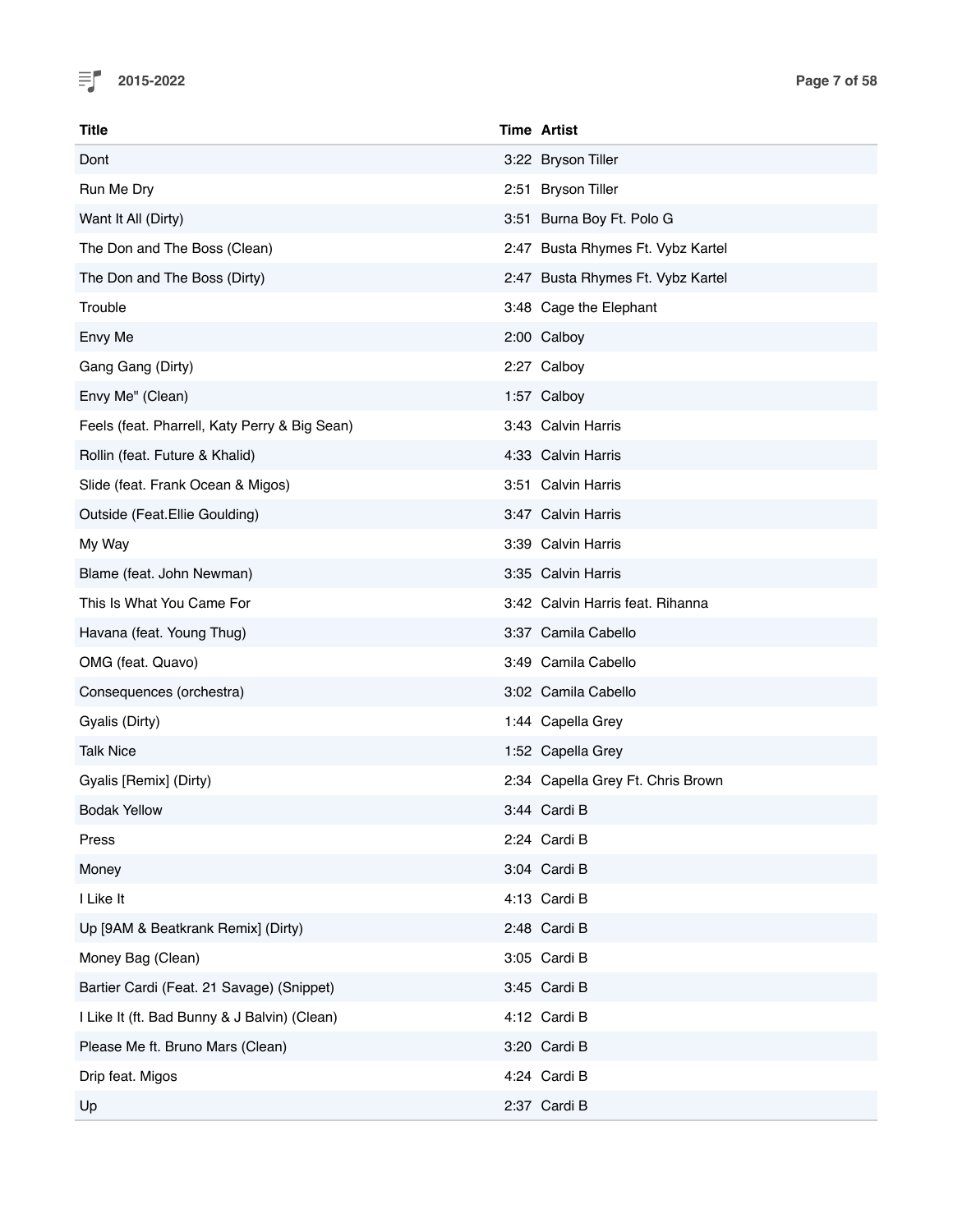

| <b>Title</b>                                  | <b>Time Artist</b>                |
|-----------------------------------------------|-----------------------------------|
| Dont                                          | 3:22 Bryson Tiller                |
| Run Me Dry                                    | 2:51 Bryson Tiller                |
| Want It All (Dirty)                           | 3:51 Burna Boy Ft. Polo G         |
| The Don and The Boss (Clean)                  | 2:47 Busta Rhymes Ft. Vybz Kartel |
| The Don and The Boss (Dirty)                  | 2:47 Busta Rhymes Ft. Vybz Kartel |
| Trouble                                       | 3:48 Cage the Elephant            |
| Envy Me                                       | 2:00 Calboy                       |
| Gang Gang (Dirty)                             | 2:27 Calboy                       |
| Envy Me" (Clean)                              | 1:57 Calboy                       |
| Feels (feat. Pharrell, Katy Perry & Big Sean) | 3:43 Calvin Harris                |
| Rollin (feat. Future & Khalid)                | 4:33 Calvin Harris                |
| Slide (feat. Frank Ocean & Migos)             | 3:51 Calvin Harris                |
| Outside (Feat.Ellie Goulding)                 | 3:47 Calvin Harris                |
| My Way                                        | 3:39 Calvin Harris                |
| Blame (feat. John Newman)                     | 3:35 Calvin Harris                |
| This Is What You Came For                     | 3:42 Calvin Harris feat. Rihanna  |
| Havana (feat. Young Thug)                     | 3:37 Camila Cabello               |
| OMG (feat. Quavo)                             | 3:49 Camila Cabello               |
| Consequences (orchestra)                      | 3:02 Camila Cabello               |
| Gyalis (Dirty)                                | 1:44 Capella Grey                 |
| <b>Talk Nice</b>                              | 1:52 Capella Grey                 |
| Gyalis [Remix] (Dirty)                        | 2:34 Capella Grey Ft. Chris Brown |
| <b>Bodak Yellow</b>                           | 3:44 Cardi B                      |
| Press                                         | 2:24 Cardi B                      |
| Money                                         | 3:04 Cardi B                      |
| I Like It                                     | 4:13 Cardi B                      |
| Up [9AM & Beatkrank Remix] (Dirty)            | 2:48 Cardi B                      |
| Money Bag (Clean)                             | 3:05 Cardi B                      |
| Bartier Cardi (Feat. 21 Savage) (Snippet)     | 3:45 Cardi B                      |
| I Like It (ft. Bad Bunny & J Balvin) (Clean)  | 4:12 Cardi B                      |
| Please Me ft. Bruno Mars (Clean)              | 3:20 Cardi B                      |
| Drip feat. Migos                              | 4:24 Cardi B                      |
| Up                                            | 2:37 Cardi B                      |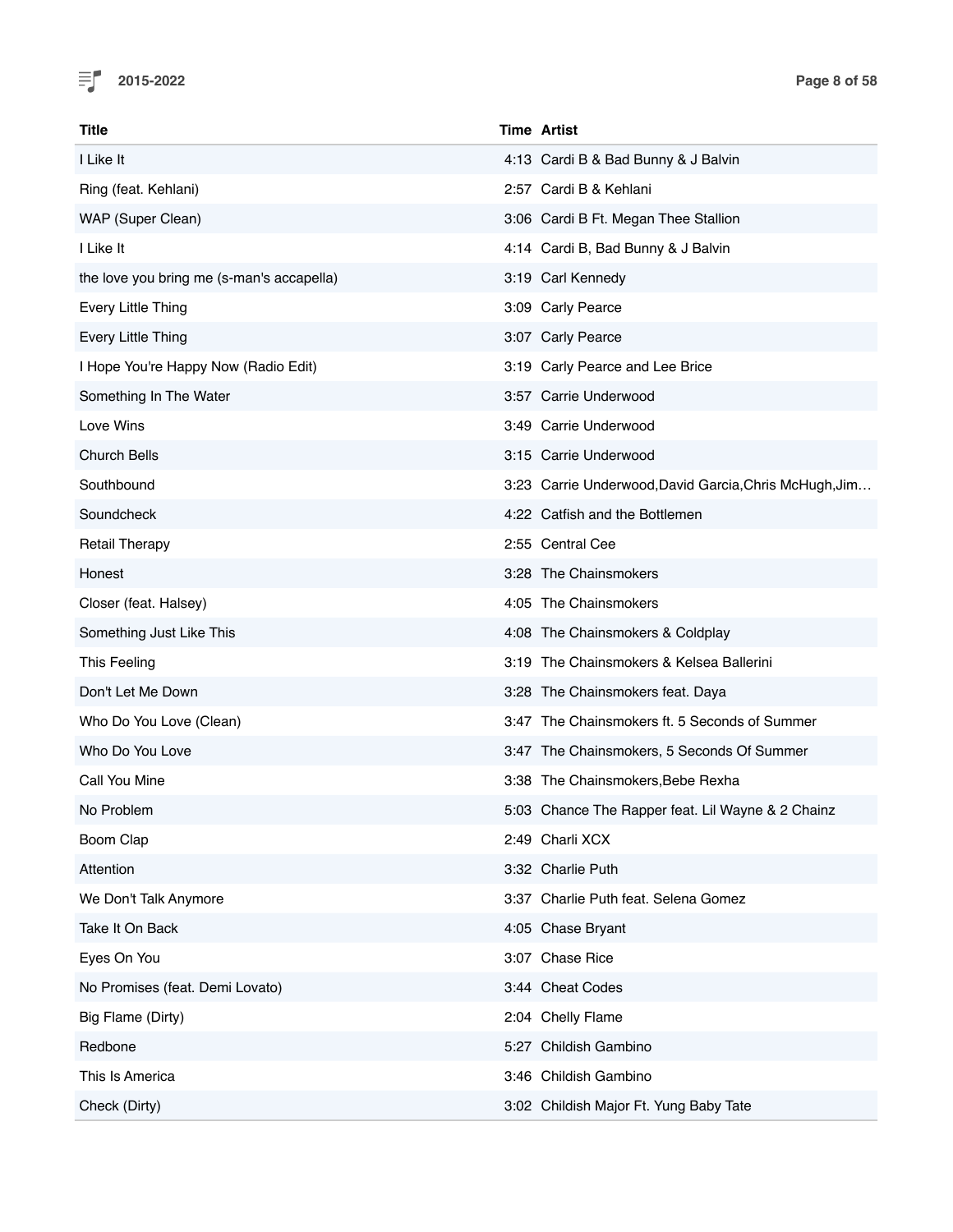

| Title                                     | <b>Time Artist</b>                                     |
|-------------------------------------------|--------------------------------------------------------|
| I Like It                                 | 4:13 Cardi B & Bad Bunny & J Balvin                    |
| Ring (feat. Kehlani)                      | 2:57 Cardi B & Kehlani                                 |
| WAP (Super Clean)                         | 3:06 Cardi B Ft. Megan Thee Stallion                   |
| I Like It                                 | 4:14 Cardi B, Bad Bunny & J Balvin                     |
| the love you bring me (s-man's accapella) | 3:19 Carl Kennedy                                      |
| Every Little Thing                        | 3:09 Carly Pearce                                      |
| Every Little Thing                        | 3:07 Carly Pearce                                      |
| I Hope You're Happy Now (Radio Edit)      | 3:19 Carly Pearce and Lee Brice                        |
| Something In The Water                    | 3:57 Carrie Underwood                                  |
| Love Wins                                 | 3:49 Carrie Underwood                                  |
| <b>Church Bells</b>                       | 3:15 Carrie Underwood                                  |
| Southbound                                | 3:23 Carrie Underwood, David Garcia, Chris McHugh, Jim |
| Soundcheck                                | 4:22 Catfish and the Bottlemen                         |
| <b>Retail Therapy</b>                     | 2:55 Central Cee                                       |
| Honest                                    | 3:28 The Chainsmokers                                  |
| Closer (feat. Halsey)                     | 4:05 The Chainsmokers                                  |
| Something Just Like This                  | 4:08 The Chainsmokers & Coldplay                       |
| This Feeling                              | 3:19 The Chainsmokers & Kelsea Ballerini               |
| Don't Let Me Down                         | 3:28 The Chainsmokers feat. Daya                       |
| Who Do You Love (Clean)                   | 3:47 The Chainsmokers ft. 5 Seconds of Summer          |
| Who Do You Love                           | 3:47 The Chainsmokers, 5 Seconds Of Summer             |
| Call You Mine                             | 3:38 The Chainsmokers, Bebe Rexha                      |
| No Problem                                | 5:03 Chance The Rapper feat. Lil Wayne & 2 Chainz      |
| Boom Clap                                 | 2:49 Charli XCX                                        |
| Attention                                 | 3:32 Charlie Puth                                      |
| We Don't Talk Anymore                     | 3:37 Charlie Puth feat. Selena Gomez                   |
| Take It On Back                           | 4:05 Chase Bryant                                      |
| Eyes On You                               | 3:07 Chase Rice                                        |
| No Promises (feat. Demi Lovato)           | 3:44 Cheat Codes                                       |
| Big Flame (Dirty)                         | 2:04 Chelly Flame                                      |
| Redbone                                   | 5:27 Childish Gambino                                  |
| This Is America                           | 3:46 Childish Gambino                                  |
| Check (Dirty)                             | 3:02 Childish Major Ft. Yung Baby Tate                 |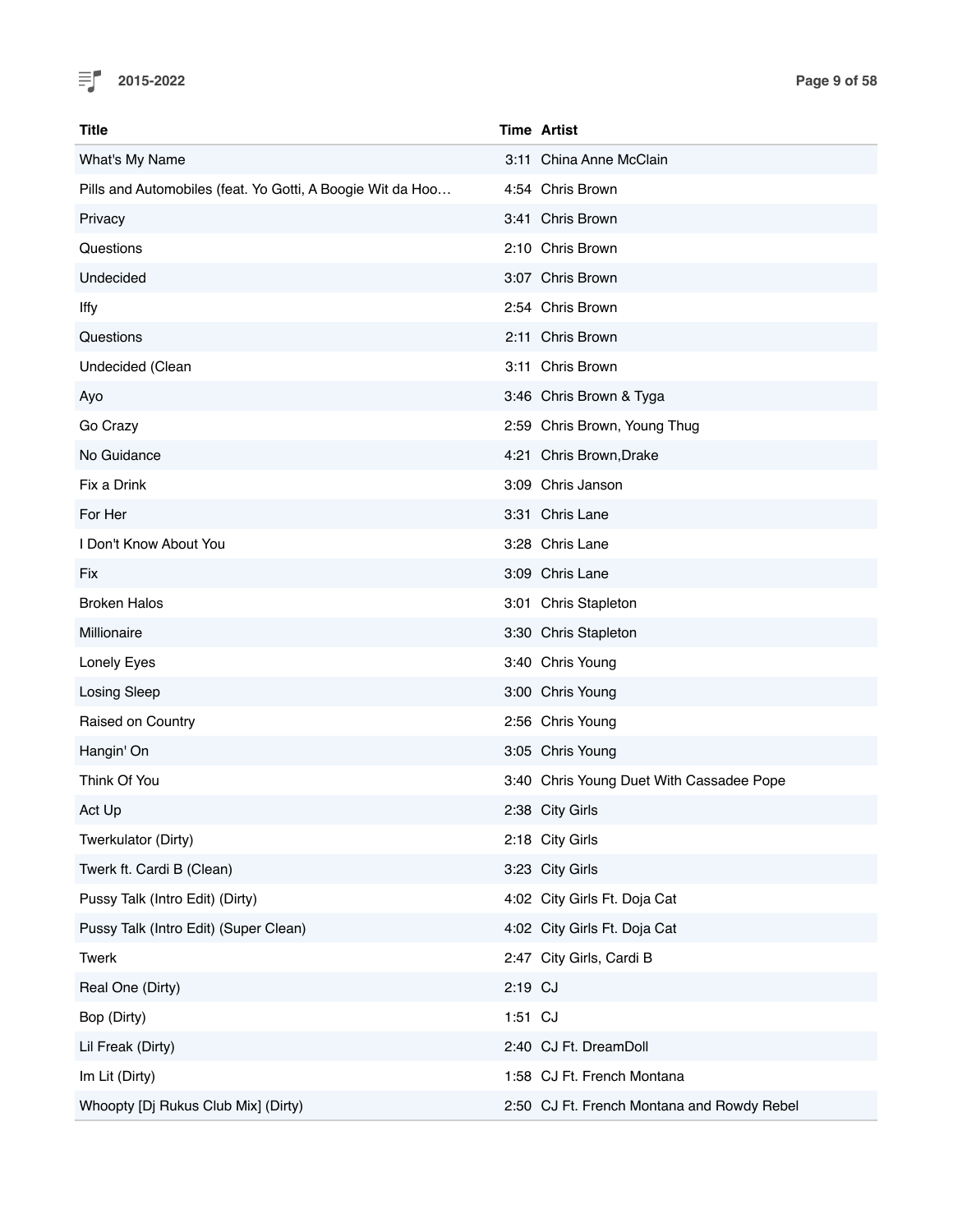

| Title                                                      |         | <b>Time Artist</b>                         |
|------------------------------------------------------------|---------|--------------------------------------------|
| What's My Name                                             |         | 3:11 China Anne McClain                    |
| Pills and Automobiles (feat. Yo Gotti, A Boogie Wit da Hoo |         | 4:54 Chris Brown                           |
| Privacy                                                    |         | 3:41 Chris Brown                           |
| Questions                                                  |         | 2:10 Chris Brown                           |
| Undecided                                                  |         | 3:07 Chris Brown                           |
| lffy                                                       |         | 2:54 Chris Brown                           |
| Questions                                                  |         | 2:11 Chris Brown                           |
| Undecided (Clean                                           |         | 3:11 Chris Brown                           |
| Ayo                                                        |         | 3:46 Chris Brown & Tyga                    |
| Go Crazy                                                   |         | 2:59 Chris Brown, Young Thug               |
| No Guidance                                                |         | 4:21 Chris Brown, Drake                    |
| Fix a Drink                                                |         | 3:09 Chris Janson                          |
| For Her                                                    |         | 3:31 Chris Lane                            |
| I Don't Know About You                                     |         | 3:28 Chris Lane                            |
| Fix                                                        |         | 3:09 Chris Lane                            |
| <b>Broken Halos</b>                                        |         | 3:01 Chris Stapleton                       |
| Millionaire                                                |         | 3:30 Chris Stapleton                       |
| Lonely Eyes                                                |         | 3:40 Chris Young                           |
| Losing Sleep                                               |         | 3:00 Chris Young                           |
| Raised on Country                                          |         | 2:56 Chris Young                           |
| Hangin' On                                                 |         | 3:05 Chris Young                           |
| Think Of You                                               |         | 3:40 Chris Young Duet With Cassadee Pope   |
| Act Up                                                     |         | 2:38 City Girls                            |
| Twerkulator (Dirty)                                        |         | 2:18 City Girls                            |
| Twerk ft. Cardi B (Clean)                                  |         | 3:23 City Girls                            |
| Pussy Talk (Intro Edit) (Dirty)                            |         | 4:02 City Girls Ft. Doja Cat               |
| Pussy Talk (Intro Edit) (Super Clean)                      |         | 4:02 City Girls Ft. Doja Cat               |
| Twerk                                                      |         | 2:47 City Girls, Cardi B                   |
| Real One (Dirty)                                           | 2:19 CJ |                                            |
| Bop (Dirty)                                                | 1:51 CJ |                                            |
| Lil Freak (Dirty)                                          |         | 2:40 CJ Ft. DreamDoll                      |
| Im Lit (Dirty)                                             |         | 1:58 CJ Ft. French Montana                 |
| Whoopty [Dj Rukus Club Mix] (Dirty)                        |         | 2:50 CJ Ft. French Montana and Rowdy Rebel |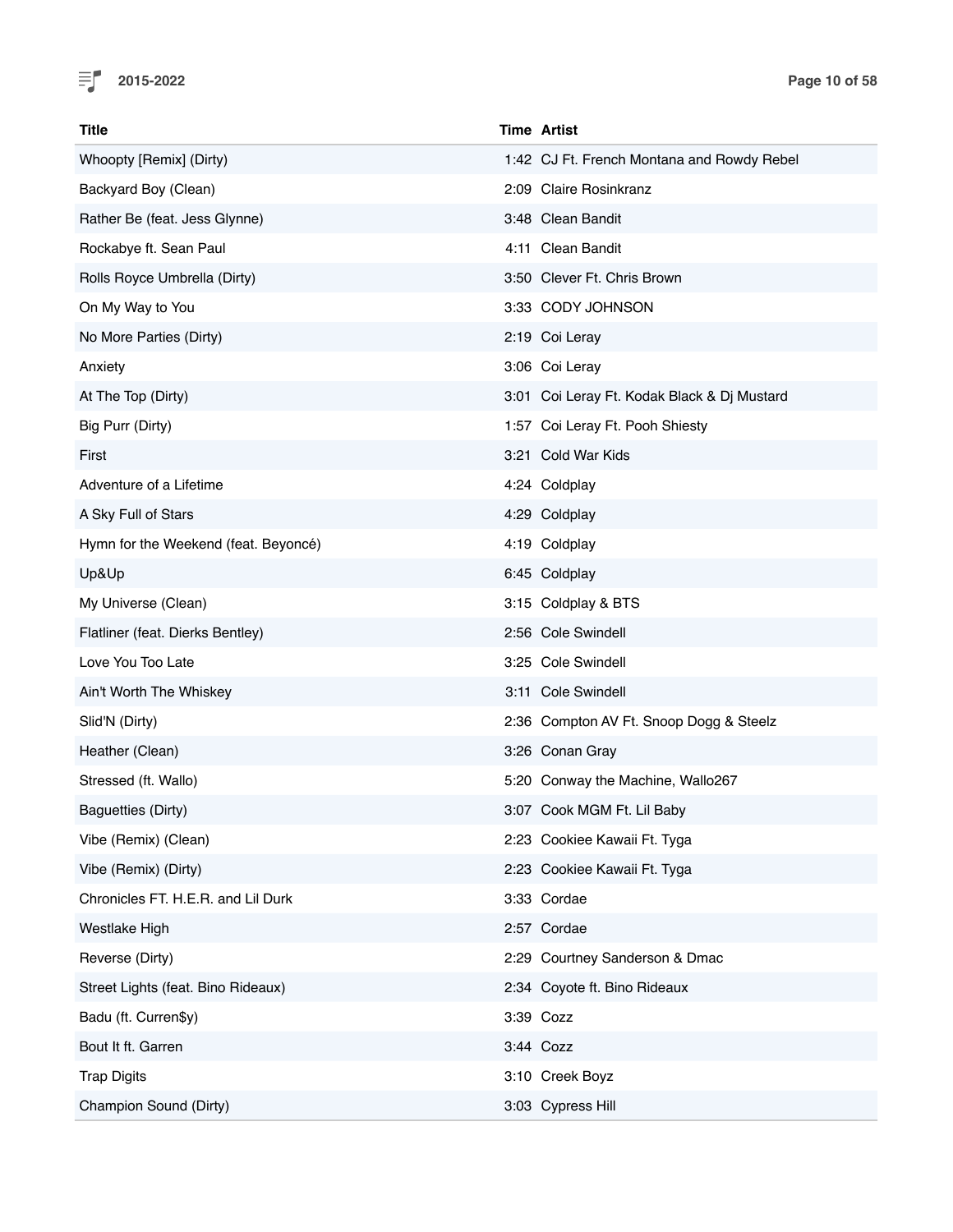

| <b>Title</b>                         | <b>Time Artist</b>                          |
|--------------------------------------|---------------------------------------------|
| Whoopty [Remix] (Dirty)              | 1:42 CJ Ft. French Montana and Rowdy Rebel  |
| Backyard Boy (Clean)                 | 2:09 Claire Rosinkranz                      |
| Rather Be (feat. Jess Glynne)        | 3:48 Clean Bandit                           |
| Rockabye ft. Sean Paul               | 4:11 Clean Bandit                           |
| Rolls Royce Umbrella (Dirty)         | 3:50 Clever Ft. Chris Brown                 |
| On My Way to You                     | 3:33 CODY JOHNSON                           |
| No More Parties (Dirty)              | 2:19 Coi Leray                              |
| Anxiety                              | 3:06 Coi Leray                              |
| At The Top (Dirty)                   | 3:01 Coi Leray Ft. Kodak Black & Dj Mustard |
| Big Purr (Dirty)                     | 1:57 Coi Leray Ft. Pooh Shiesty             |
| First                                | 3:21 Cold War Kids                          |
| Adventure of a Lifetime              | 4:24 Coldplay                               |
| A Sky Full of Stars                  | 4:29 Coldplay                               |
| Hymn for the Weekend (feat. Beyoncé) | 4:19 Coldplay                               |
| Up&Up                                | 6:45 Coldplay                               |
| My Universe (Clean)                  | 3:15 Coldplay & BTS                         |
| Flatliner (feat. Dierks Bentley)     | 2:56 Cole Swindell                          |
| Love You Too Late                    | 3:25 Cole Swindell                          |
| Ain't Worth The Whiskey              | 3:11 Cole Swindell                          |
| Slid'N (Dirty)                       | 2:36 Compton AV Ft. Snoop Dogg & Steelz     |
| Heather (Clean)                      | 3:26 Conan Gray                             |
| Stressed (ft. Wallo)                 | 5:20 Conway the Machine, Wallo267           |
| Baguetties (Dirty)                   | 3:07 Cook MGM Ft. Lil Baby                  |
| Vibe (Remix) (Clean)                 | 2:23 Cookiee Kawaii Ft. Tyga                |
| Vibe (Remix) (Dirty)                 | 2:23 Cookiee Kawaii Ft. Tyga                |
| Chronicles FT. H.E.R. and Lil Durk   | 3:33 Cordae                                 |
| Westlake High                        | 2:57 Cordae                                 |
| Reverse (Dirty)                      | 2:29 Courtney Sanderson & Dmac              |
| Street Lights (feat. Bino Rideaux)   | 2:34 Coyote ft. Bino Rideaux                |
| Badu (ft. Curren\$y)                 | 3:39 Cozz                                   |
| Bout It ft. Garren                   | 3:44 Cozz                                   |
| <b>Trap Digits</b>                   | 3:10 Creek Boyz                             |
| Champion Sound (Dirty)               | 3:03 Cypress Hill                           |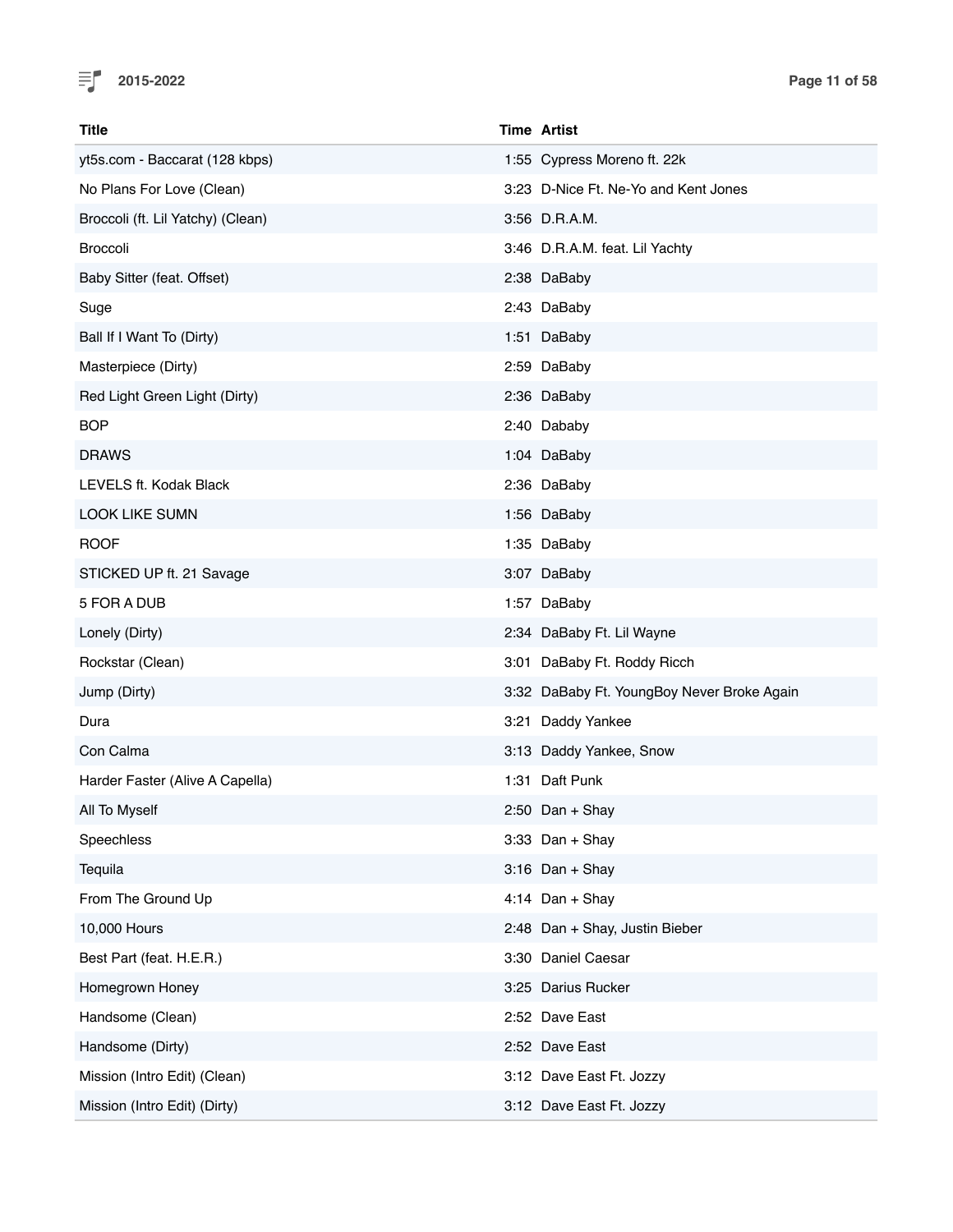

| Title                             | <b>Time Artist</b>                         |
|-----------------------------------|--------------------------------------------|
| yt5s.com - Baccarat (128 kbps)    | 1:55 Cypress Moreno ft. 22k                |
| No Plans For Love (Clean)         | 3:23 D-Nice Ft. Ne-Yo and Kent Jones       |
| Broccoli (ft. Lil Yatchy) (Clean) | 3:56 D.R.A.M.                              |
| <b>Broccoli</b>                   | 3:46 D.R.A.M. feat. Lil Yachty             |
| Baby Sitter (feat. Offset)        | 2:38 DaBaby                                |
| Suge                              | 2:43 DaBaby                                |
| Ball If I Want To (Dirty)         | 1:51 DaBaby                                |
| Masterpiece (Dirty)               | 2:59 DaBaby                                |
| Red Light Green Light (Dirty)     | 2:36 DaBaby                                |
| <b>BOP</b>                        | 2:40 Dababy                                |
| <b>DRAWS</b>                      | 1:04 DaBaby                                |
| LEVELS ft. Kodak Black            | 2:36 DaBaby                                |
| <b>LOOK LIKE SUMN</b>             | 1:56 DaBaby                                |
| <b>ROOF</b>                       | 1:35 DaBaby                                |
| STICKED UP ft. 21 Savage          | 3:07 DaBaby                                |
| 5 FOR A DUB                       | 1:57 DaBaby                                |
| Lonely (Dirty)                    | 2:34 DaBaby Ft. Lil Wayne                  |
| Rockstar (Clean)                  | 3:01 DaBaby Ft. Roddy Ricch                |
| Jump (Dirty)                      | 3:32 DaBaby Ft. YoungBoy Never Broke Again |
| Dura                              | 3:21 Daddy Yankee                          |
| Con Calma                         | 3:13 Daddy Yankee, Snow                    |
| Harder Faster (Alive A Capella)   | 1:31 Daft Punk                             |
| All To Myself                     | $2:50$ Dan + Shay                          |
| Speechless                        | $3:33$ Dan + Shay                          |
| Tequila                           | $3:16$ Dan + Shay                          |
| From The Ground Up                | 4:14 Dan + Shay                            |
| 10,000 Hours                      | 2:48 Dan + Shay, Justin Bieber             |
| Best Part (feat. H.E.R.)          | 3:30 Daniel Caesar                         |
| Homegrown Honey                   | 3:25 Darius Rucker                         |
| Handsome (Clean)                  | 2:52 Dave East                             |
| Handsome (Dirty)                  | 2:52 Dave East                             |
| Mission (Intro Edit) (Clean)      | 3:12 Dave East Ft. Jozzy                   |
| Mission (Intro Edit) (Dirty)      | 3:12 Dave East Ft. Jozzy                   |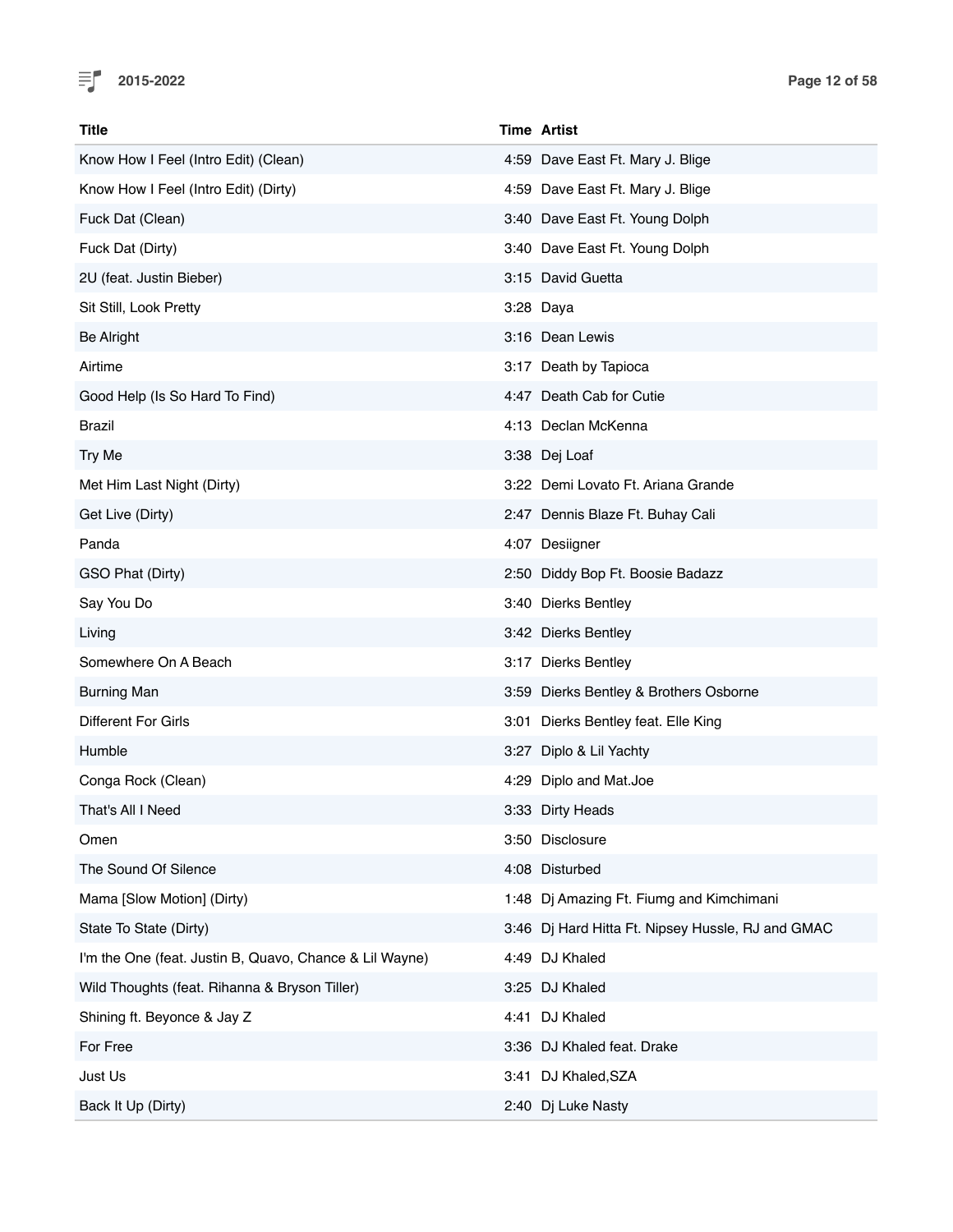

| Title                                                   | <b>Time Artist</b>                                |
|---------------------------------------------------------|---------------------------------------------------|
| Know How I Feel (Intro Edit) (Clean)                    | 4:59 Dave East Ft. Mary J. Blige                  |
| Know How I Feel (Intro Edit) (Dirty)                    | 4:59 Dave East Ft. Mary J. Blige                  |
| Fuck Dat (Clean)                                        | 3:40 Dave East Ft. Young Dolph                    |
| Fuck Dat (Dirty)                                        | 3:40 Dave East Ft. Young Dolph                    |
| 2U (feat. Justin Bieber)                                | 3:15 David Guetta                                 |
| Sit Still, Look Pretty                                  | 3:28 Daya                                         |
| <b>Be Alright</b>                                       | 3:16 Dean Lewis                                   |
| Airtime                                                 | 3:17 Death by Tapioca                             |
| Good Help (Is So Hard To Find)                          | 4:47 Death Cab for Cutie                          |
| Brazil                                                  | 4:13 Declan McKenna                               |
| Try Me                                                  | 3:38 Dej Loaf                                     |
| Met Him Last Night (Dirty)                              | 3:22 Demi Lovato Ft. Ariana Grande                |
| Get Live (Dirty)                                        | 2:47 Dennis Blaze Ft. Buhay Cali                  |
| Panda                                                   | 4:07 Desiigner                                    |
| GSO Phat (Dirty)                                        | 2:50 Diddy Bop Ft. Boosie Badazz                  |
| Say You Do                                              | 3:40 Dierks Bentley                               |
| Living                                                  | 3:42 Dierks Bentley                               |
| Somewhere On A Beach                                    | 3:17 Dierks Bentley                               |
| <b>Burning Man</b>                                      | 3:59 Dierks Bentley & Brothers Osborne            |
| Different For Girls                                     | 3:01 Dierks Bentley feat. Elle King               |
| Humble                                                  | 3:27 Diplo & Lil Yachty                           |
| Conga Rock (Clean)                                      | 4:29 Diplo and Mat.Joe                            |
| That's All I Need                                       | 3:33 Dirty Heads                                  |
| Omen                                                    | 3:50 Disclosure                                   |
| The Sound Of Silence                                    | 4:08 Disturbed                                    |
| Mama [Slow Motion] (Dirty)                              | 1:48 Dj Amazing Ft. Fiumg and Kimchimani          |
| State To State (Dirty)                                  | 3:46 Dj Hard Hitta Ft. Nipsey Hussle, RJ and GMAC |
| I'm the One (feat. Justin B, Quavo, Chance & Lil Wayne) | 4:49 DJ Khaled                                    |
| Wild Thoughts (feat. Rihanna & Bryson Tiller)           | 3:25 DJ Khaled                                    |
| Shining ft. Beyonce & Jay Z                             | 4:41 DJ Khaled                                    |
| For Free                                                | 3:36 DJ Khaled feat. Drake                        |
| Just Us                                                 | 3:41 DJ Khaled, SZA                               |
| Back It Up (Dirty)                                      | 2:40 Dj Luke Nasty                                |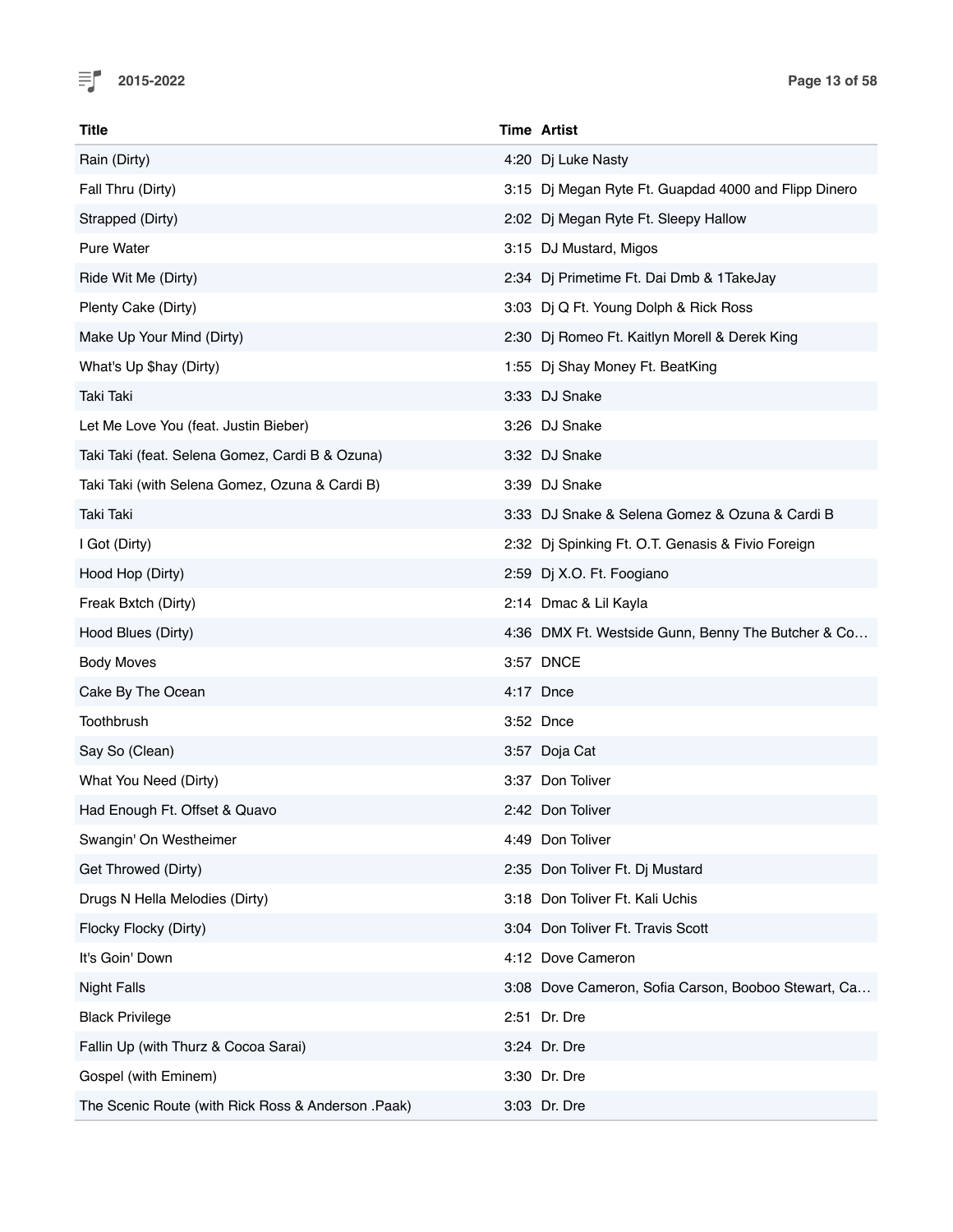

| <b>Title</b>                                       | <b>Time Artist</b>                                   |
|----------------------------------------------------|------------------------------------------------------|
| Rain (Dirty)                                       | 4:20 Dj Luke Nasty                                   |
| Fall Thru (Dirty)                                  | 3:15 Dj Megan Ryte Ft. Guapdad 4000 and Flipp Dinero |
| Strapped (Dirty)                                   | 2:02 Dj Megan Ryte Ft. Sleepy Hallow                 |
| <b>Pure Water</b>                                  | 3:15 DJ Mustard, Migos                               |
| Ride Wit Me (Dirty)                                | 2:34 Dj Primetime Ft. Dai Dmb & 1TakeJay             |
| Plenty Cake (Dirty)                                | 3:03 Dj Q Ft. Young Dolph & Rick Ross                |
| Make Up Your Mind (Dirty)                          | 2:30 Dj Romeo Ft. Kaitlyn Morell & Derek King        |
| What's Up \$hay (Dirty)                            | 1:55 Dj Shay Money Ft. BeatKing                      |
| Taki Taki                                          | 3:33 DJ Snake                                        |
| Let Me Love You (feat. Justin Bieber)              | 3:26 DJ Snake                                        |
| Taki Taki (feat. Selena Gomez, Cardi B & Ozuna)    | 3:32 DJ Snake                                        |
| Taki Taki (with Selena Gomez, Ozuna & Cardi B)     | 3:39 DJ Snake                                        |
| Taki Taki                                          | 3:33 DJ Snake & Selena Gomez & Ozuna & Cardi B       |
| I Got (Dirty)                                      | 2:32 Dj Spinking Ft. O.T. Genasis & Fivio Foreign    |
| Hood Hop (Dirty)                                   | 2:59 Dj X.O. Ft. Foogiano                            |
| Freak Bxtch (Dirty)                                | 2:14 Dmac & Lil Kayla                                |
| Hood Blues (Dirty)                                 | 4:36 DMX Ft. Westside Gunn, Benny The Butcher & Co   |
| <b>Body Moves</b>                                  | 3:57 DNCE                                            |
| Cake By The Ocean                                  | 4:17 Dnce                                            |
| Toothbrush                                         | 3:52 Dnce                                            |
| Say So (Clean)                                     | 3:57 Doja Cat                                        |
| What You Need (Dirty)                              | 3:37 Don Toliver                                     |
| Had Enough Ft. Offset & Quavo                      | 2:42 Don Toliver                                     |
| Swangin' On Westheimer                             | 4:49 Don Toliver                                     |
| Get Throwed (Dirty)                                | 2:35 Don Toliver Ft. Dj Mustard                      |
| Drugs N Hella Melodies (Dirty)                     | 3:18 Don Toliver Ft. Kali Uchis                      |
| Flocky Flocky (Dirty)                              | 3:04 Don Toliver Ft. Travis Scott                    |
| It's Goin' Down                                    | 4:12 Dove Cameron                                    |
| <b>Night Falls</b>                                 | 3:08 Dove Cameron, Sofia Carson, Booboo Stewart, Ca  |
| <b>Black Privilege</b>                             | 2:51 Dr. Dre                                         |
| Fallin Up (with Thurz & Cocoa Sarai)               | 3:24 Dr. Dre                                         |
| Gospel (with Eminem)                               | 3:30 Dr. Dre                                         |
| The Scenic Route (with Rick Ross & Anderson .Paak) | 3:03 Dr. Dre                                         |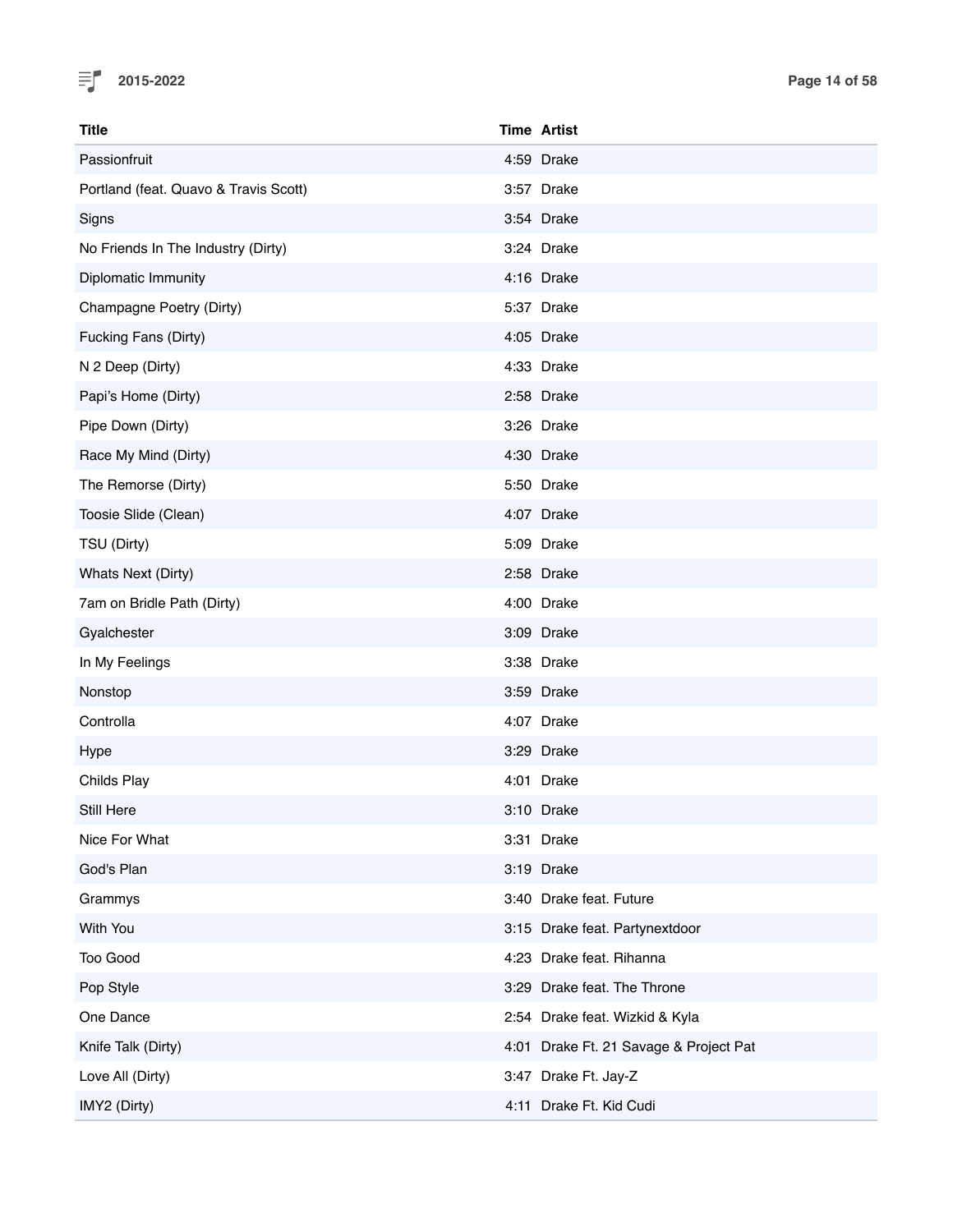

| <b>Title</b>                          | <b>Time Artist</b>                     |
|---------------------------------------|----------------------------------------|
| Passionfruit                          | 4:59 Drake                             |
| Portland (feat. Quavo & Travis Scott) | 3:57 Drake                             |
| Signs                                 | 3:54 Drake                             |
| No Friends In The Industry (Dirty)    | 3:24 Drake                             |
| Diplomatic Immunity                   | 4:16 Drake                             |
| Champagne Poetry (Dirty)              | 5:37 Drake                             |
| Fucking Fans (Dirty)                  | 4:05 Drake                             |
| N 2 Deep (Dirty)                      | 4:33 Drake                             |
| Papi's Home (Dirty)                   | 2:58 Drake                             |
| Pipe Down (Dirty)                     | 3:26 Drake                             |
| Race My Mind (Dirty)                  | 4:30 Drake                             |
| The Remorse (Dirty)                   | 5:50 Drake                             |
| Toosie Slide (Clean)                  | 4:07 Drake                             |
| TSU (Dirty)                           | 5:09 Drake                             |
| Whats Next (Dirty)                    | 2:58 Drake                             |
| 7am on Bridle Path (Dirty)            | 4:00 Drake                             |
| Gyalchester                           | 3:09 Drake                             |
| In My Feelings                        | 3:38 Drake                             |
| Nonstop                               | 3:59 Drake                             |
| Controlla                             | 4:07 Drake                             |
| Hype                                  | 3:29 Drake                             |
| Childs Play                           | 4:01 Drake                             |
| Still Here                            | 3:10 Drake                             |
| Nice For What                         | 3:31 Drake                             |
| God's Plan                            | 3:19 Drake                             |
| Grammys                               | 3:40 Drake feat. Future                |
| With You                              | 3:15 Drake feat. Partynextdoor         |
| Too Good                              | 4:23 Drake feat. Rihanna               |
| Pop Style                             | 3:29 Drake feat. The Throne            |
| One Dance                             | 2:54 Drake feat. Wizkid & Kyla         |
| Knife Talk (Dirty)                    | 4:01 Drake Ft. 21 Savage & Project Pat |
| Love All (Dirty)                      | 3:47 Drake Ft. Jay-Z                   |
| IMY2 (Dirty)                          | 4:11 Drake Ft. Kid Cudi                |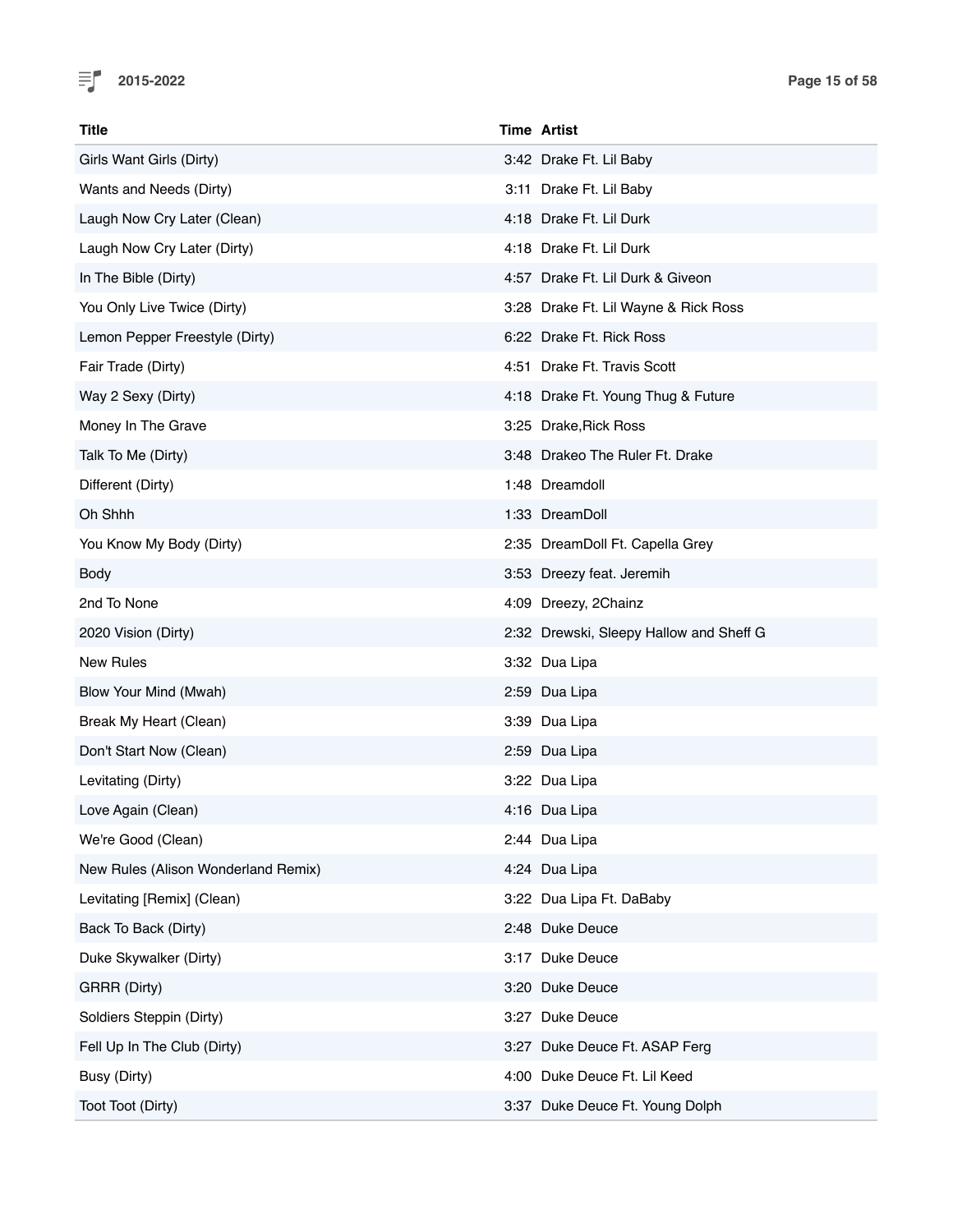

| Title                               | <b>Time Artist</b>                      |
|-------------------------------------|-----------------------------------------|
| Girls Want Girls (Dirty)            | 3:42 Drake Ft. Lil Baby                 |
| Wants and Needs (Dirty)             | 3:11 Drake Ft. Lil Baby                 |
| Laugh Now Cry Later (Clean)         | 4:18 Drake Ft. Lil Durk                 |
| Laugh Now Cry Later (Dirty)         | 4:18 Drake Ft. Lil Durk                 |
| In The Bible (Dirty)                | 4:57 Drake Ft. Lil Durk & Giveon        |
| You Only Live Twice (Dirty)         | 3:28 Drake Ft. Lil Wayne & Rick Ross    |
| Lemon Pepper Freestyle (Dirty)      | 6:22 Drake Ft. Rick Ross                |
| Fair Trade (Dirty)                  | 4:51 Drake Ft. Travis Scott             |
| Way 2 Sexy (Dirty)                  | 4:18 Drake Ft. Young Thug & Future      |
| Money In The Grave                  | 3:25 Drake, Rick Ross                   |
| Talk To Me (Dirty)                  | 3:48 Drakeo The Ruler Ft. Drake         |
| Different (Dirty)                   | 1:48 Dreamdoll                          |
| Oh Shhh                             | 1:33 DreamDoll                          |
| You Know My Body (Dirty)            | 2:35 DreamDoll Ft. Capella Grey         |
| Body                                | 3:53 Dreezy feat. Jeremih               |
| 2nd To None                         | 4:09 Dreezy, 2Chainz                    |
| 2020 Vision (Dirty)                 | 2:32 Drewski, Sleepy Hallow and Sheff G |
| <b>New Rules</b>                    | 3:32 Dua Lipa                           |
| Blow Your Mind (Mwah)               | 2:59 Dua Lipa                           |
| Break My Heart (Clean)              | 3:39 Dua Lipa                           |
| Don't Start Now (Clean)             | 2:59 Dua Lipa                           |
| Levitating (Dirty)                  | 3:22 Dua Lipa                           |
| Love Again (Clean)                  | 4:16 Dua Lipa                           |
| We're Good (Clean)                  | 2:44 Dua Lipa                           |
| New Rules (Alison Wonderland Remix) | 4:24 Dua Lipa                           |
| Levitating [Remix] (Clean)          | 3:22 Dua Lipa Ft. DaBaby                |
| Back To Back (Dirty)                | 2:48 Duke Deuce                         |
| Duke Skywalker (Dirty)              | 3:17 Duke Deuce                         |
| GRRR (Dirty)                        | 3:20 Duke Deuce                         |
| Soldiers Steppin (Dirty)            | 3:27 Duke Deuce                         |
| Fell Up In The Club (Dirty)         | 3:27 Duke Deuce Ft. ASAP Ferg           |
| Busy (Dirty)                        | 4:00 Duke Deuce Ft. Lil Keed            |
| Toot Toot (Dirty)                   | 3:37 Duke Deuce Ft. Young Dolph         |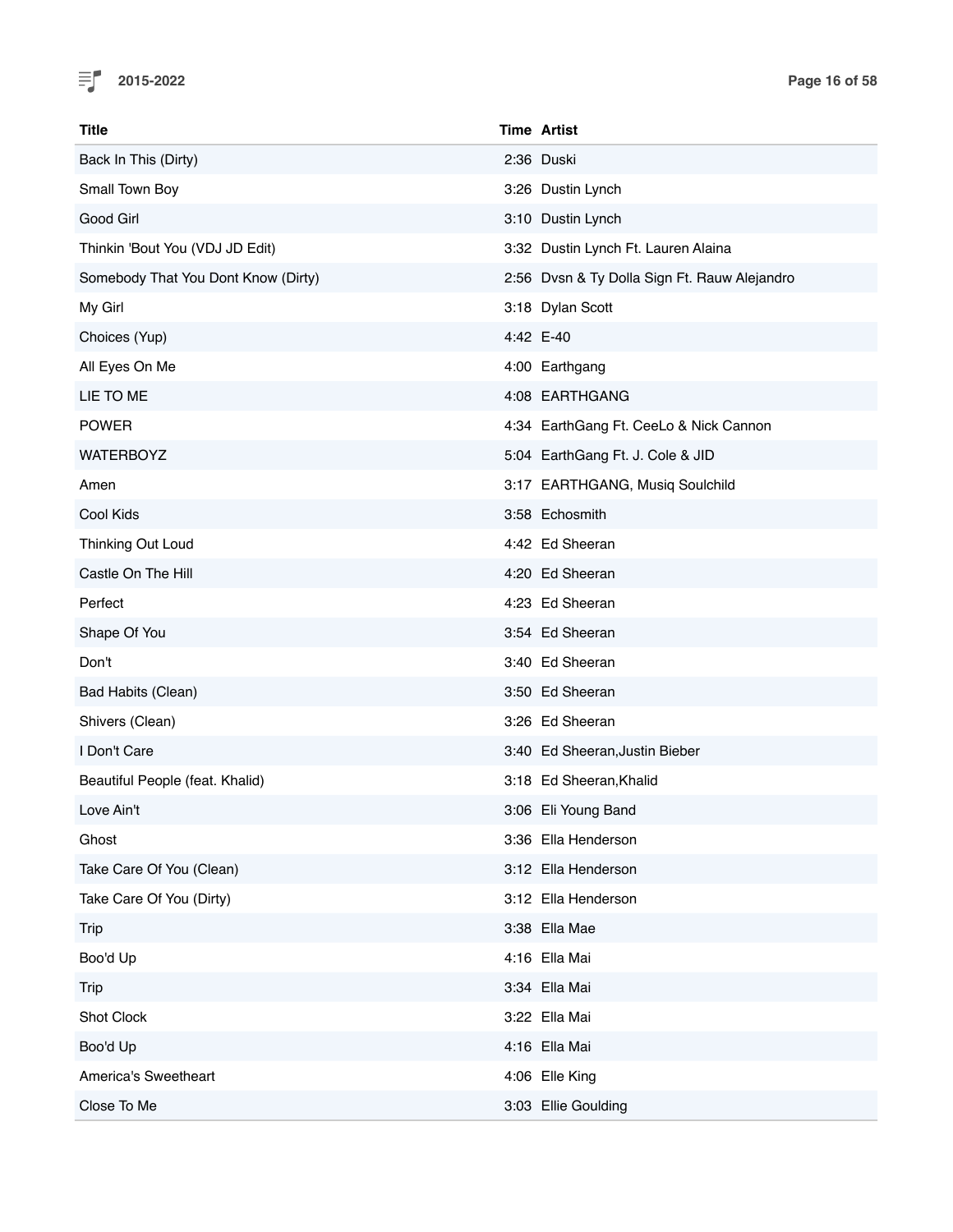

| Title                               | <b>Time Artist</b>                           |
|-------------------------------------|----------------------------------------------|
| Back In This (Dirty)                | 2:36 Duski                                   |
| Small Town Boy                      | 3:26 Dustin Lynch                            |
| Good Girl                           | 3:10 Dustin Lynch                            |
| Thinkin 'Bout You (VDJ JD Edit)     | 3:32 Dustin Lynch Ft. Lauren Alaina          |
| Somebody That You Dont Know (Dirty) | 2:56 Dvsn & Ty Dolla Sign Ft. Rauw Alejandro |
| My Girl                             | 3:18 Dylan Scott                             |
| Choices (Yup)                       | 4:42 E-40                                    |
| All Eyes On Me                      | 4:00 Earthgang                               |
| LIE TO ME                           | 4:08 EARTHGANG                               |
| <b>POWER</b>                        | 4:34 EarthGang Ft. CeeLo & Nick Cannon       |
| <b>WATERBOYZ</b>                    | 5:04 EarthGang Ft. J. Cole & JID             |
| Amen                                | 3:17 EARTHGANG, Musiq Soulchild              |
| Cool Kids                           | 3:58 Echosmith                               |
| Thinking Out Loud                   | 4:42 Ed Sheeran                              |
| Castle On The Hill                  | 4:20 Ed Sheeran                              |
| Perfect                             | 4:23 Ed Sheeran                              |
| Shape Of You                        | 3:54 Ed Sheeran                              |
| Don't                               | 3:40 Ed Sheeran                              |
| Bad Habits (Clean)                  | 3:50 Ed Sheeran                              |
| Shivers (Clean)                     | 3:26 Ed Sheeran                              |
| I Don't Care                        | 3:40 Ed Sheeran, Justin Bieber               |
| Beautiful People (feat. Khalid)     | 3:18 Ed Sheeran, Khalid                      |
| Love Ain't                          | 3:06 Eli Young Band                          |
| Ghost                               | 3:36 Ella Henderson                          |
| Take Care Of You (Clean)            | 3:12 Ella Henderson                          |
| Take Care Of You (Dirty)            | 3:12 Ella Henderson                          |
| Trip                                | 3:38 Ella Mae                                |
| Boo'd Up                            | 4:16 Ella Mai                                |
| Trip                                | 3:34 Ella Mai                                |
| Shot Clock                          | 3:22 Ella Mai                                |
| Boo'd Up                            | 4:16 Ella Mai                                |
| America's Sweetheart                | 4:06 Elle King                               |
| Close To Me                         | 3:03 Ellie Goulding                          |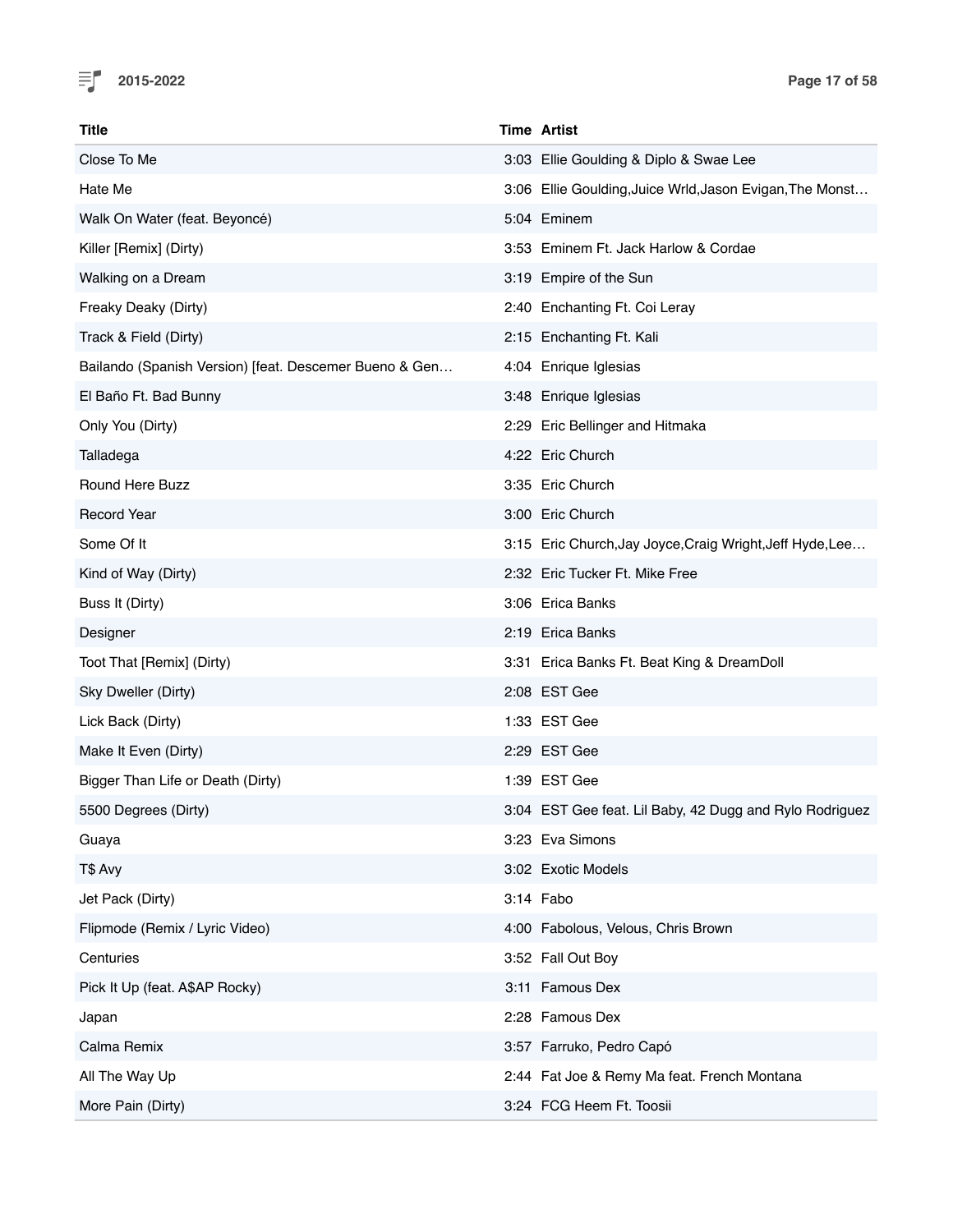

| Title                                                  | <b>Time Artist</b>                                        |
|--------------------------------------------------------|-----------------------------------------------------------|
| Close To Me                                            | 3:03 Ellie Goulding & Diplo & Swae Lee                    |
| Hate Me                                                | 3:06 Ellie Goulding, Juice Wrld, Jason Evigan, The Monst  |
| Walk On Water (feat. Beyoncé)                          | 5:04 Eminem                                               |
| Killer [Remix] (Dirty)                                 | 3:53 Eminem Ft. Jack Harlow & Cordae                      |
| Walking on a Dream                                     | 3:19 Empire of the Sun                                    |
| Freaky Deaky (Dirty)                                   | 2:40 Enchanting Ft. Coi Leray                             |
| Track & Field (Dirty)                                  | 2:15 Enchanting Ft. Kali                                  |
| Bailando (Spanish Version) [feat. Descemer Bueno & Gen | 4:04 Enrique Iglesias                                     |
| El Baño Ft. Bad Bunny                                  | 3:48 Enrique Iglesias                                     |
| Only You (Dirty)                                       | 2:29 Eric Bellinger and Hitmaka                           |
| Talladega                                              | 4:22 Eric Church                                          |
| <b>Round Here Buzz</b>                                 | 3:35 Eric Church                                          |
| <b>Record Year</b>                                     | 3:00 Eric Church                                          |
| Some Of It                                             | 3:15 Eric Church, Jay Joyce, Craig Wright, Jeff Hyde, Lee |
| Kind of Way (Dirty)                                    | 2:32 Eric Tucker Ft. Mike Free                            |
| Buss It (Dirty)                                        | 3:06 Erica Banks                                          |
| Designer                                               | 2:19 Erica Banks                                          |
| Toot That [Remix] (Dirty)                              | 3:31 Erica Banks Ft. Beat King & DreamDoll                |
| Sky Dweller (Dirty)                                    | 2:08 EST Gee                                              |
| Lick Back (Dirty)                                      | 1:33 EST Gee                                              |
| Make It Even (Dirty)                                   | 2:29 EST Gee                                              |
| Bigger Than Life or Death (Dirty)                      | 1:39 EST Gee                                              |
| 5500 Degrees (Dirty)                                   | 3:04 EST Gee feat. Lil Baby, 42 Dugg and Rylo Rodriguez   |
| Guaya                                                  | 3:23 Eva Simons                                           |
| T\$ Avy                                                | 3:02 Exotic Models                                        |
| Jet Pack (Dirty)                                       | 3:14 Fabo                                                 |
| Flipmode (Remix / Lyric Video)                         | 4:00 Fabolous, Velous, Chris Brown                        |
| Centuries                                              | 3:52 Fall Out Boy                                         |
| Pick It Up (feat. A\$AP Rocky)                         | 3:11 Famous Dex                                           |
| Japan                                                  | 2:28 Famous Dex                                           |
| Calma Remix                                            | 3:57 Farruko, Pedro Capó                                  |
| All The Way Up                                         | 2:44 Fat Joe & Remy Ma feat. French Montana               |
| More Pain (Dirty)                                      | 3:24 FCG Heem Ft. Toosii                                  |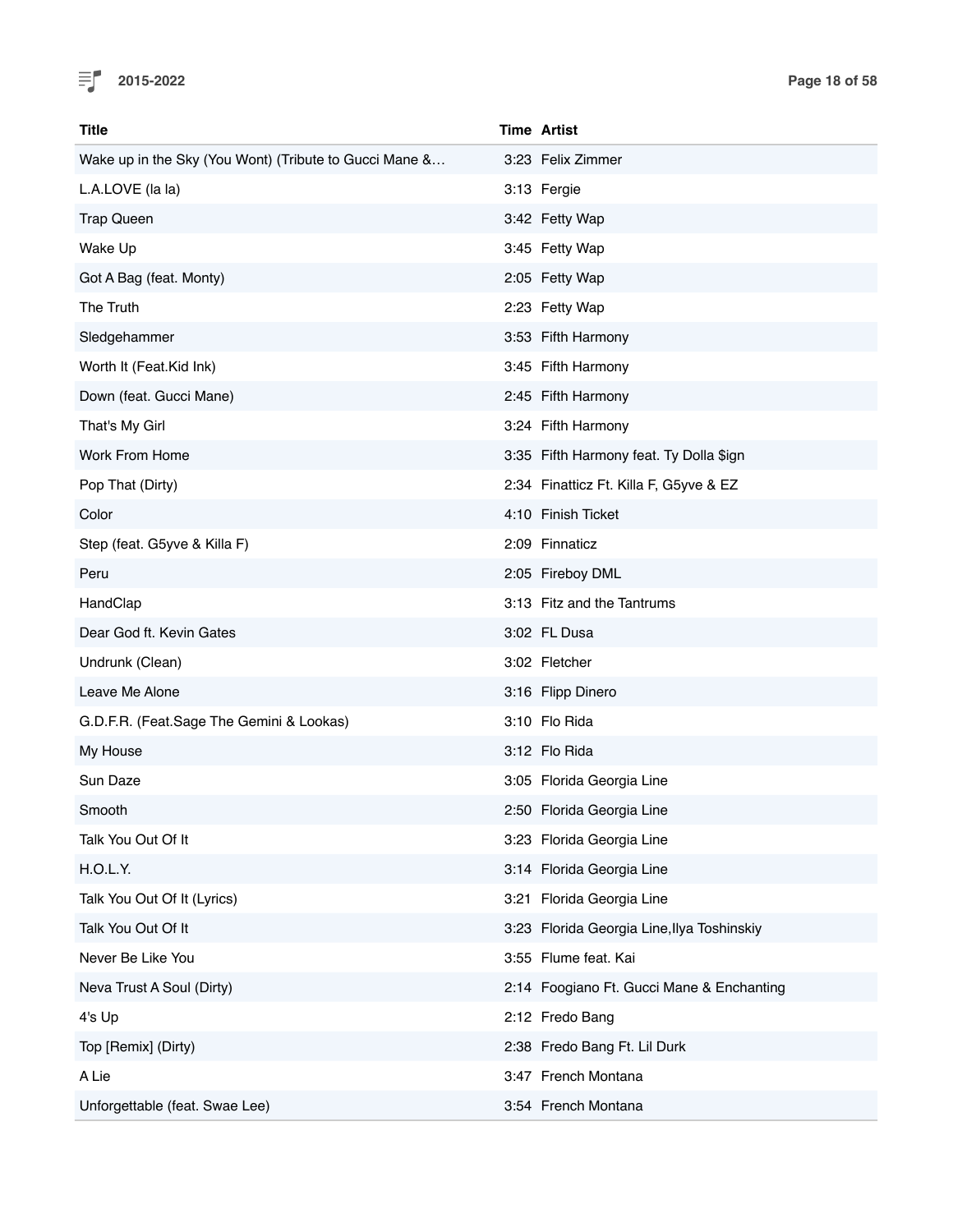

| <b>Title</b>                                           | <b>Time Artist</b>                         |
|--------------------------------------------------------|--------------------------------------------|
| Wake up in the Sky (You Wont) (Tribute to Gucci Mane & | 3:23 Felix Zimmer                          |
| L.A.LOVE (la la)                                       | 3:13 Fergie                                |
| <b>Trap Queen</b>                                      | 3:42 Fetty Wap                             |
| Wake Up                                                | 3:45 Fetty Wap                             |
| Got A Bag (feat. Monty)                                | 2:05 Fetty Wap                             |
| The Truth                                              | 2:23 Fetty Wap                             |
| Sledgehammer                                           | 3:53 Fifth Harmony                         |
| Worth It (Feat.Kid Ink)                                | 3:45 Fifth Harmony                         |
| Down (feat. Gucci Mane)                                | 2:45 Fifth Harmony                         |
| That's My Girl                                         | 3:24 Fifth Harmony                         |
| Work From Home                                         | 3:35 Fifth Harmony feat. Ty Dolla \$ign    |
| Pop That (Dirty)                                       | 2:34 Finatticz Ft. Killa F, G5yve & EZ     |
| Color                                                  | 4:10 Finish Ticket                         |
| Step (feat. G5yve & Killa F)                           | 2:09 Finnaticz                             |
| Peru                                                   | 2:05 Fireboy DML                           |
| HandClap                                               | 3:13 Fitz and the Tantrums                 |
| Dear God ft. Kevin Gates                               | 3:02 FL Dusa                               |
| Undrunk (Clean)                                        | 3:02 Fletcher                              |
| Leave Me Alone                                         | 3:16 Flipp Dinero                          |
| G.D.F.R. (Feat.Sage The Gemini & Lookas)               | 3:10 Flo Rida                              |
| My House                                               | 3:12 Flo Rida                              |
| Sun Daze                                               | 3:05 Florida Georgia Line                  |
| Smooth                                                 | 2:50 Florida Georgia Line                  |
| Talk You Out Of It                                     | 3:23 Florida Georgia Line                  |
| H.O.L.Y.                                               | 3:14 Florida Georgia Line                  |
| Talk You Out Of It (Lyrics)                            | 3:21 Florida Georgia Line                  |
| Talk You Out Of It                                     | 3:23 Florida Georgia Line, Ilya Toshinskiy |
| Never Be Like You                                      | 3:55 Flume feat. Kai                       |
| Neva Trust A Soul (Dirty)                              | 2:14 Foogiano Ft. Gucci Mane & Enchanting  |
| 4's Up                                                 | 2:12 Fredo Bang                            |
| Top [Remix] (Dirty)                                    | 2:38 Fredo Bang Ft. Lil Durk               |
| A Lie                                                  | 3:47 French Montana                        |
| Unforgettable (feat. Swae Lee)                         | 3:54 French Montana                        |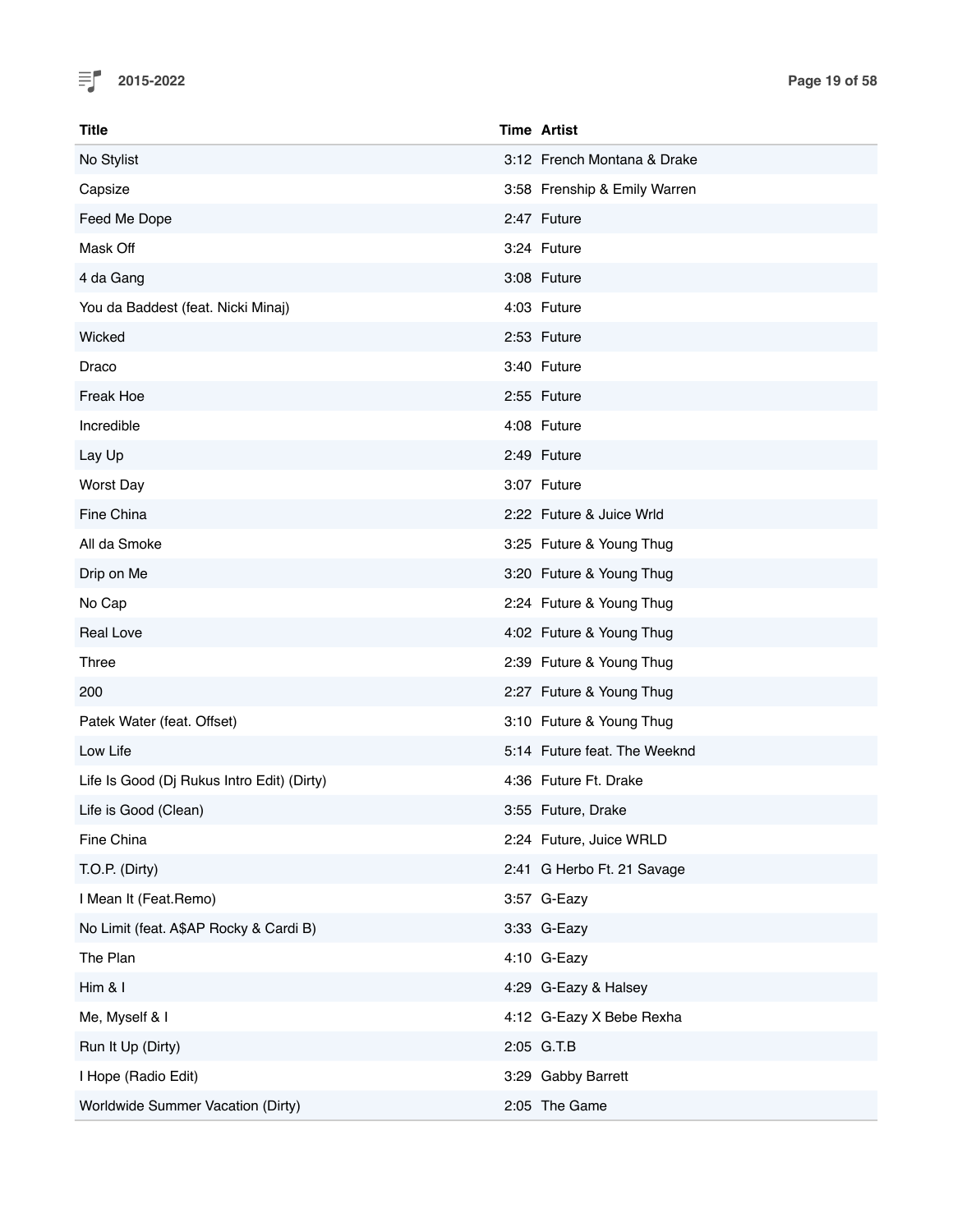

| <b>Title</b>                               | <b>Time Artist</b> |                              |
|--------------------------------------------|--------------------|------------------------------|
| No Stylist                                 |                    | 3:12 French Montana & Drake  |
| Capsize                                    |                    | 3:58 Frenship & Emily Warren |
| Feed Me Dope                               |                    | 2:47 Future                  |
| Mask Off                                   |                    | 3:24 Future                  |
| 4 da Gang                                  |                    | 3:08 Future                  |
| You da Baddest (feat. Nicki Minaj)         |                    | 4:03 Future                  |
| Wicked                                     |                    | 2:53 Future                  |
| Draco                                      |                    | 3:40 Future                  |
| Freak Hoe                                  |                    | 2:55 Future                  |
| Incredible                                 |                    | 4:08 Future                  |
| Lay Up                                     |                    | 2:49 Future                  |
| <b>Worst Day</b>                           |                    | 3:07 Future                  |
| Fine China                                 |                    | 2:22 Future & Juice Wrld     |
| All da Smoke                               |                    | 3:25 Future & Young Thug     |
| Drip on Me                                 |                    | 3:20 Future & Young Thug     |
| No Cap                                     |                    | 2:24 Future & Young Thug     |
| <b>Real Love</b>                           |                    | 4:02 Future & Young Thug     |
| Three                                      |                    | 2:39 Future & Young Thug     |
| 200                                        |                    | 2:27 Future & Young Thug     |
| Patek Water (feat. Offset)                 |                    | 3:10 Future & Young Thug     |
| Low Life                                   |                    | 5:14 Future feat. The Weeknd |
| Life Is Good (Dj Rukus Intro Edit) (Dirty) |                    | 4:36 Future Ft. Drake        |
| Life is Good (Clean)                       |                    | 3:55 Future, Drake           |
| Fine China                                 |                    | 2:24 Future, Juice WRLD      |
| T.O.P. (Dirty)                             |                    | 2:41 G Herbo Ft. 21 Savage   |
| I Mean It (Feat.Remo)                      |                    | 3:57 G-Eazy                  |
| No Limit (feat. A\$AP Rocky & Cardi B)     |                    | 3:33 G-Eazy                  |
| The Plan                                   |                    | 4:10 G-Eazy                  |
| Him & I                                    |                    | 4:29 G-Eazy & Halsey         |
| Me, Myself & I                             |                    | 4:12 G-Eazy X Bebe Rexha     |
| Run It Up (Dirty)                          | 2:05 G.T.B         |                              |
| I Hope (Radio Edit)                        |                    | 3:29 Gabby Barrett           |
| Worldwide Summer Vacation (Dirty)          |                    | 2:05 The Game                |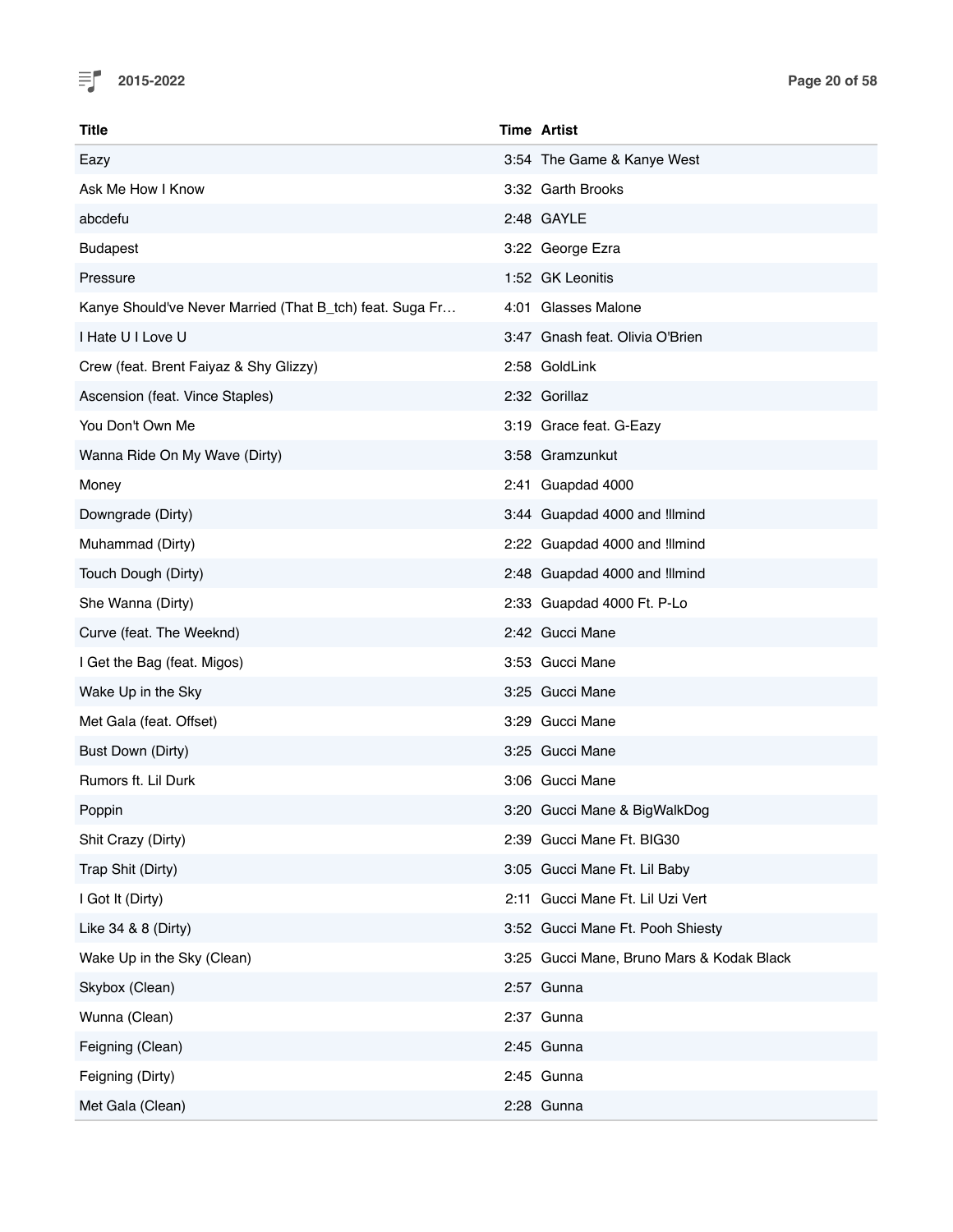

| Title                                                    | <b>Time Artist</b>                        |
|----------------------------------------------------------|-------------------------------------------|
| Eazy                                                     | 3:54 The Game & Kanye West                |
| Ask Me How I Know                                        | 3:32 Garth Brooks                         |
| abcdefu                                                  | 2:48 GAYLE                                |
| <b>Budapest</b>                                          | 3:22 George Ezra                          |
| Pressure                                                 | 1:52 GK Leonitis                          |
| Kanye Should've Never Married (That B_tch) feat. Suga Fr | 4:01 Glasses Malone                       |
| I Hate U I Love U                                        | 3:47 Gnash feat. Olivia O'Brien           |
| Crew (feat. Brent Faiyaz & Shy Glizzy)                   | 2:58 GoldLink                             |
| Ascension (feat. Vince Staples)                          | 2:32 Gorillaz                             |
| You Don't Own Me                                         | 3:19 Grace feat. G-Eazy                   |
| Wanna Ride On My Wave (Dirty)                            | 3:58 Gramzunkut                           |
| Money                                                    | 2:41 Guapdad 4000                         |
| Downgrade (Dirty)                                        | 3:44 Guapdad 4000 and !llmind             |
| Muhammad (Dirty)                                         | 2:22 Guapdad 4000 and Illmind             |
| Touch Dough (Dirty)                                      | 2:48 Guapdad 4000 and Illmind             |
| She Wanna (Dirty)                                        | 2:33 Guapdad 4000 Ft. P-Lo                |
| Curve (feat. The Weeknd)                                 | 2:42 Gucci Mane                           |
| I Get the Bag (feat. Migos)                              | 3:53 Gucci Mane                           |
| Wake Up in the Sky                                       | 3:25 Gucci Mane                           |
| Met Gala (feat. Offset)                                  | 3:29 Gucci Mane                           |
| Bust Down (Dirty)                                        | 3:25 Gucci Mane                           |
| Rumors ft. Lil Durk                                      | 3:06 Gucci Mane                           |
| Poppin                                                   | 3:20 Gucci Mane & BigWalkDog              |
| Shit Crazy (Dirty)                                       | 2:39 Gucci Mane Ft. BIG30                 |
| Trap Shit (Dirty)                                        | 3:05 Gucci Mane Ft. Lil Baby              |
| I Got It (Dirty)                                         | 2:11 Gucci Mane Ft. Lil Uzi Vert          |
| Like 34 & 8 (Dirty)                                      | 3:52 Gucci Mane Ft. Pooh Shiesty          |
| Wake Up in the Sky (Clean)                               | 3:25 Gucci Mane, Bruno Mars & Kodak Black |
| Skybox (Clean)                                           | 2:57 Gunna                                |
| Wunna (Clean)                                            | 2:37 Gunna                                |
| Feigning (Clean)                                         | 2:45 Gunna                                |
| Feigning (Dirty)                                         | 2:45 Gunna                                |
| Met Gala (Clean)                                         | 2:28 Gunna                                |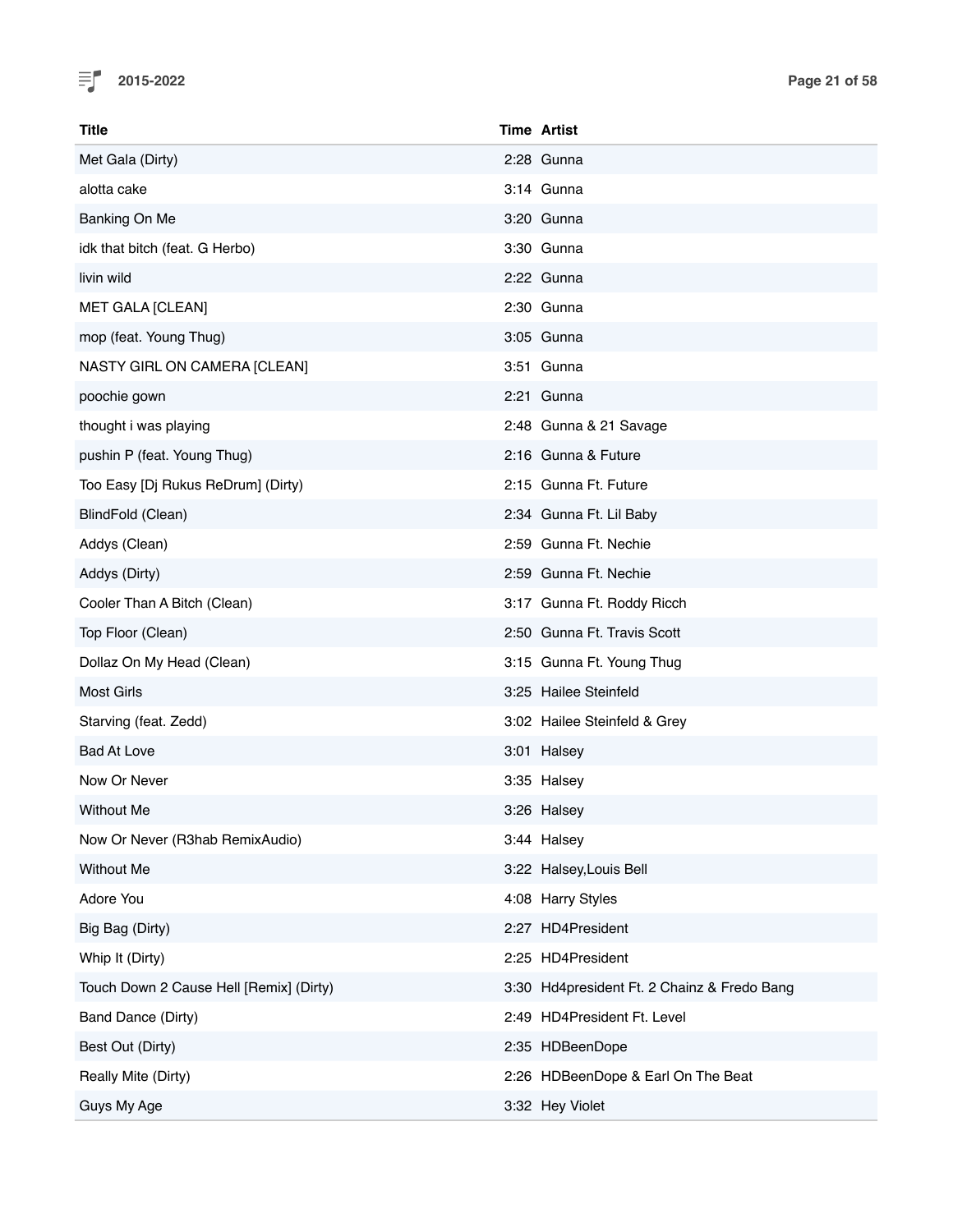

| Title                                   | <b>Time Artist</b>                          |  |
|-----------------------------------------|---------------------------------------------|--|
| Met Gala (Dirty)                        | 2:28 Gunna                                  |  |
| alotta cake                             | 3:14 Gunna                                  |  |
| Banking On Me                           | 3:20 Gunna                                  |  |
| idk that bitch (feat. G Herbo)          | 3:30 Gunna                                  |  |
| livin wild                              | 2:22 Gunna                                  |  |
| <b>MET GALA [CLEAN]</b>                 | 2:30 Gunna                                  |  |
| mop (feat. Young Thug)                  | 3:05 Gunna                                  |  |
| NASTY GIRL ON CAMERA [CLEAN]            | 3:51 Gunna                                  |  |
| poochie gown                            | 2:21 Gunna                                  |  |
| thought i was playing                   | 2:48 Gunna & 21 Savage                      |  |
| pushin P (feat. Young Thug)             | 2:16 Gunna & Future                         |  |
| Too Easy [Dj Rukus ReDrum] (Dirty)      | 2:15 Gunna Ft. Future                       |  |
| BlindFold (Clean)                       | 2:34 Gunna Ft. Lil Baby                     |  |
| Addys (Clean)                           | 2:59 Gunna Ft. Nechie                       |  |
| Addys (Dirty)                           | 2:59 Gunna Ft. Nechie                       |  |
| Cooler Than A Bitch (Clean)             | 3:17 Gunna Ft. Roddy Ricch                  |  |
| Top Floor (Clean)                       | 2:50 Gunna Ft. Travis Scott                 |  |
| Dollaz On My Head (Clean)               | 3:15 Gunna Ft. Young Thug                   |  |
| <b>Most Girls</b>                       | 3:25 Hailee Steinfeld                       |  |
| Starving (feat. Zedd)                   | 3:02 Hailee Steinfeld & Grey                |  |
| <b>Bad At Love</b>                      | 3:01 Halsey                                 |  |
| Now Or Never                            | 3:35 Halsey                                 |  |
| Without Me                              | 3:26 Halsey                                 |  |
| Now Or Never (R3hab RemixAudio)         | 3:44 Halsey                                 |  |
| <b>Without Me</b>                       | 3:22 Halsey, Louis Bell                     |  |
| Adore You                               | 4:08 Harry Styles                           |  |
| Big Bag (Dirty)                         | 2:27 HD4President                           |  |
| Whip It (Dirty)                         | 2:25 HD4President                           |  |
| Touch Down 2 Cause Hell [Remix] (Dirty) | 3:30 Hd4president Ft. 2 Chainz & Fredo Bang |  |
| Band Dance (Dirty)                      | 2:49 HD4President Ft. Level                 |  |
| Best Out (Dirty)                        | 2:35 HDBeenDope                             |  |
| Really Mite (Dirty)                     | 2:26 HDBeenDope & Earl On The Beat          |  |
| Guys My Age                             | 3:32 Hey Violet                             |  |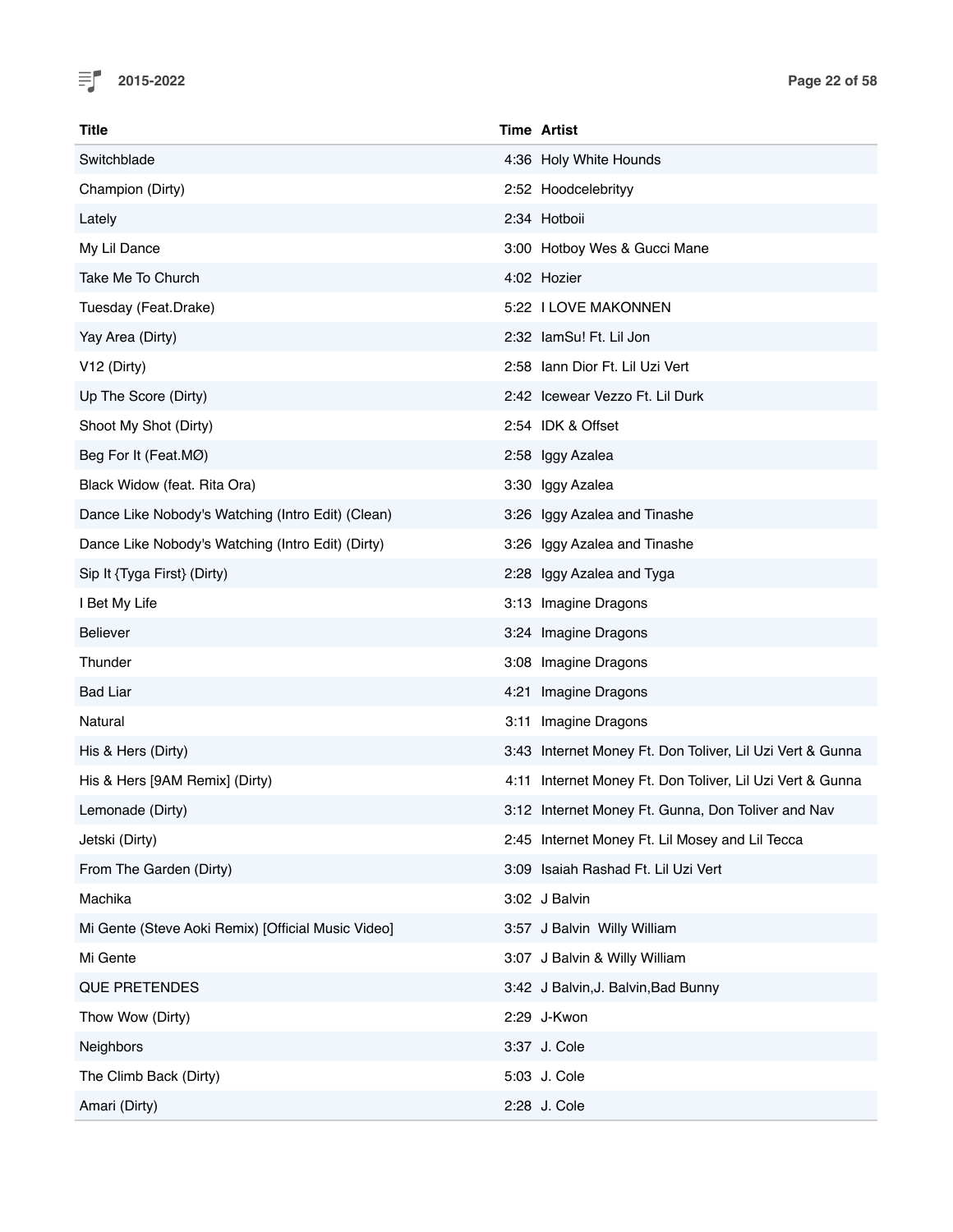

| Title                                              | <b>Time Artist</b>                                        |
|----------------------------------------------------|-----------------------------------------------------------|
| Switchblade                                        | 4:36 Holy White Hounds                                    |
| Champion (Dirty)                                   | 2:52 Hoodcelebrityy                                       |
| Lately                                             | 2:34 Hotboii                                              |
| My Lil Dance                                       | 3:00 Hotboy Wes & Gucci Mane                              |
| Take Me To Church                                  | 4:02 Hozier                                               |
| Tuesday (Feat.Drake)                               | 5:22 I LOVE MAKONNEN                                      |
| Yay Area (Dirty)                                   | 2:32 lamSu! Ft. Lil Jon                                   |
| V <sub>12</sub> (Dirty)                            | 2:58 Iann Dior Ft. Lil Uzi Vert                           |
| Up The Score (Dirty)                               | 2:42 Icewear Vezzo Ft. Lil Durk                           |
| Shoot My Shot (Dirty)                              | 2:54 IDK & Offset                                         |
| Beg For It (Feat.MØ)                               | 2:58 Iggy Azalea                                          |
| Black Widow (feat. Rita Ora)                       | 3:30 Iggy Azalea                                          |
| Dance Like Nobody's Watching (Intro Edit) (Clean)  | 3:26 Iggy Azalea and Tinashe                              |
| Dance Like Nobody's Watching (Intro Edit) (Dirty)  | 3:26 Iggy Azalea and Tinashe                              |
| Sip It {Tyga First} (Dirty)                        | 2:28 Iggy Azalea and Tyga                                 |
| I Bet My Life                                      | 3:13 Imagine Dragons                                      |
| <b>Believer</b>                                    | 3:24 Imagine Dragons                                      |
| Thunder                                            | 3:08 Imagine Dragons                                      |
| <b>Bad Liar</b>                                    | 4:21 Imagine Dragons                                      |
| Natural                                            | 3:11 Imagine Dragons                                      |
| His & Hers (Dirty)                                 | 3:43 Internet Money Ft. Don Toliver, Lil Uzi Vert & Gunna |
| His & Hers [9AM Remix] (Dirty)                     | 4:11 Internet Money Ft. Don Toliver, Lil Uzi Vert & Gunna |
| Lemonade (Dirty)                                   | 3:12 Internet Money Ft. Gunna, Don Toliver and Nav        |
| Jetski (Dirty)                                     | 2:45 Internet Money Ft. Lil Mosey and Lil Tecca           |
| From The Garden (Dirty)                            | 3:09 Isaiah Rashad Ft. Lil Uzi Vert                       |
| Machika                                            | 3:02 J Balvin                                             |
| Mi Gente (Steve Aoki Remix) [Official Music Video] | 3:57 J Balvin Willy William                               |
| Mi Gente                                           | 3:07 J Balvin & Willy William                             |
| <b>QUE PRETENDES</b>                               | 3:42 J Balvin, J. Balvin, Bad Bunny                       |
| Thow Wow (Dirty)                                   | 2:29 J-Kwon                                               |
| Neighbors                                          | 3:37 J. Cole                                              |
| The Climb Back (Dirty)                             | 5:03 J. Cole                                              |
| Amari (Dirty)                                      | 2:28 J. Cole                                              |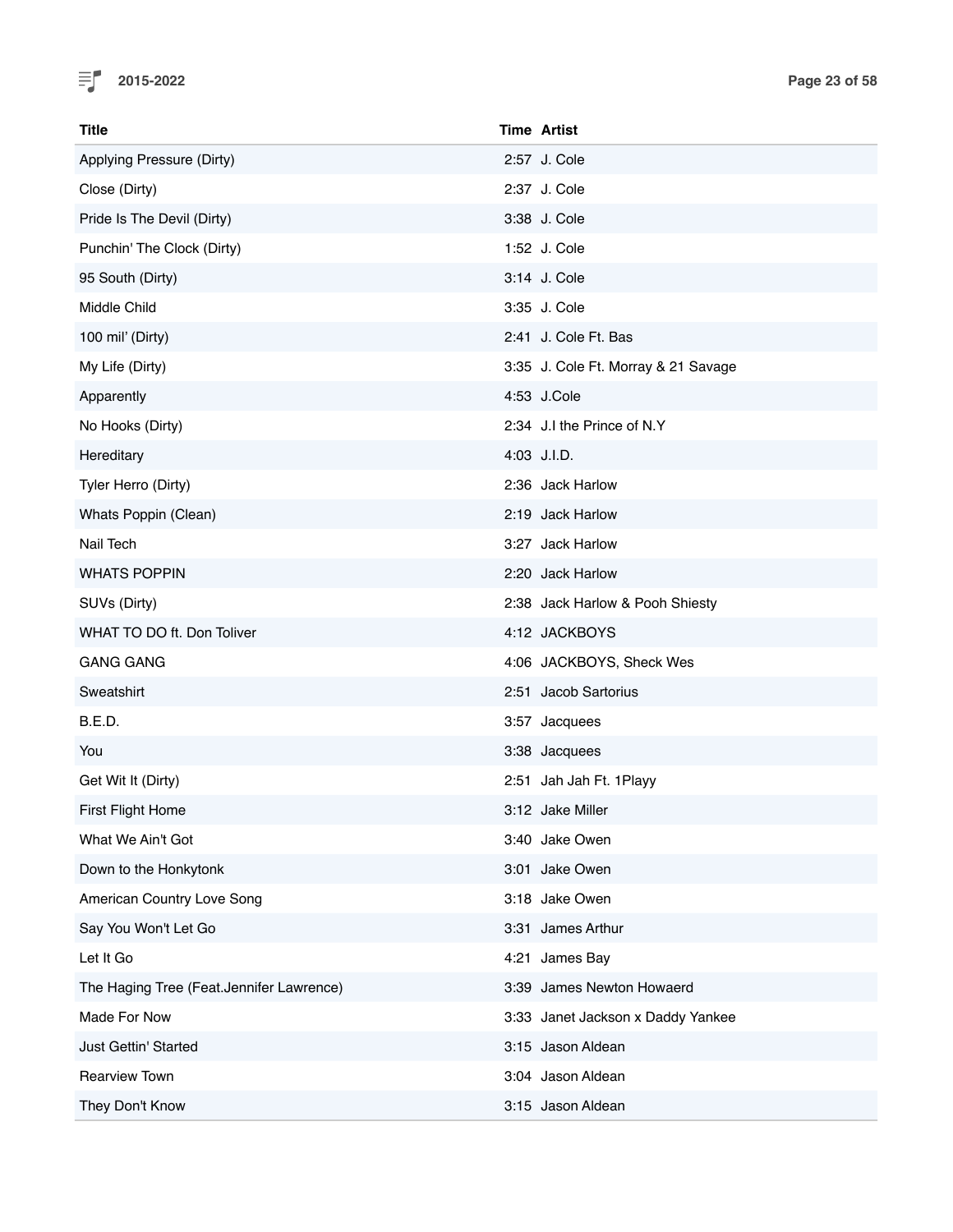

| <b>Title</b>                             | <b>Time Artist</b>                  |
|------------------------------------------|-------------------------------------|
| Applying Pressure (Dirty)                | 2:57 J. Cole                        |
| Close (Dirty)                            | 2:37 J. Cole                        |
| Pride Is The Devil (Dirty)               | 3:38 J. Cole                        |
| Punchin' The Clock (Dirty)               | 1:52 J. Cole                        |
| 95 South (Dirty)                         | 3:14 J. Cole                        |
| Middle Child                             | 3:35 J. Cole                        |
| 100 mil' (Dirty)                         | 2:41 J. Cole Ft. Bas                |
| My Life (Dirty)                          | 3:35 J. Cole Ft. Morray & 21 Savage |
| Apparently                               | 4:53 J.Cole                         |
| No Hooks (Dirty)                         | 2:34 J.I the Prince of N.Y          |
| Hereditary                               | 4:03 J.I.D.                         |
| Tyler Herro (Dirty)                      | 2:36 Jack Harlow                    |
| Whats Poppin (Clean)                     | 2:19 Jack Harlow                    |
| Nail Tech                                | 3:27 Jack Harlow                    |
| <b>WHATS POPPIN</b>                      | 2:20 Jack Harlow                    |
| SUVs (Dirty)                             | 2:38 Jack Harlow & Pooh Shiesty     |
| WHAT TO DO ft. Don Toliver               | 4:12 JACKBOYS                       |
| <b>GANG GANG</b>                         | 4:06 JACKBOYS, Sheck Wes            |
| Sweatshirt                               | 2:51 Jacob Sartorius                |
| B.E.D.                                   | 3:57 Jacquees                       |
| You                                      | 3:38 Jacquees                       |
| Get Wit It (Dirty)                       | 2:51 Jah Jah Ft. 1Playy             |
| First Flight Home                        | 3:12 Jake Miller                    |
| What We Ain't Got                        | 3:40 Jake Owen                      |
| Down to the Honkytonk                    | 3:01 Jake Owen                      |
| American Country Love Song               | 3:18 Jake Owen                      |
| Say You Won't Let Go                     | 3:31 James Arthur                   |
| Let It Go                                | 4:21 James Bay                      |
| The Haging Tree (Feat.Jennifer Lawrence) | 3:39 James Newton Howaerd           |
| Made For Now                             | 3:33 Janet Jackson x Daddy Yankee   |
| Just Gettin' Started                     | 3:15 Jason Aldean                   |
| <b>Rearview Town</b>                     | 3:04 Jason Aldean                   |
| They Don't Know                          | 3:15 Jason Aldean                   |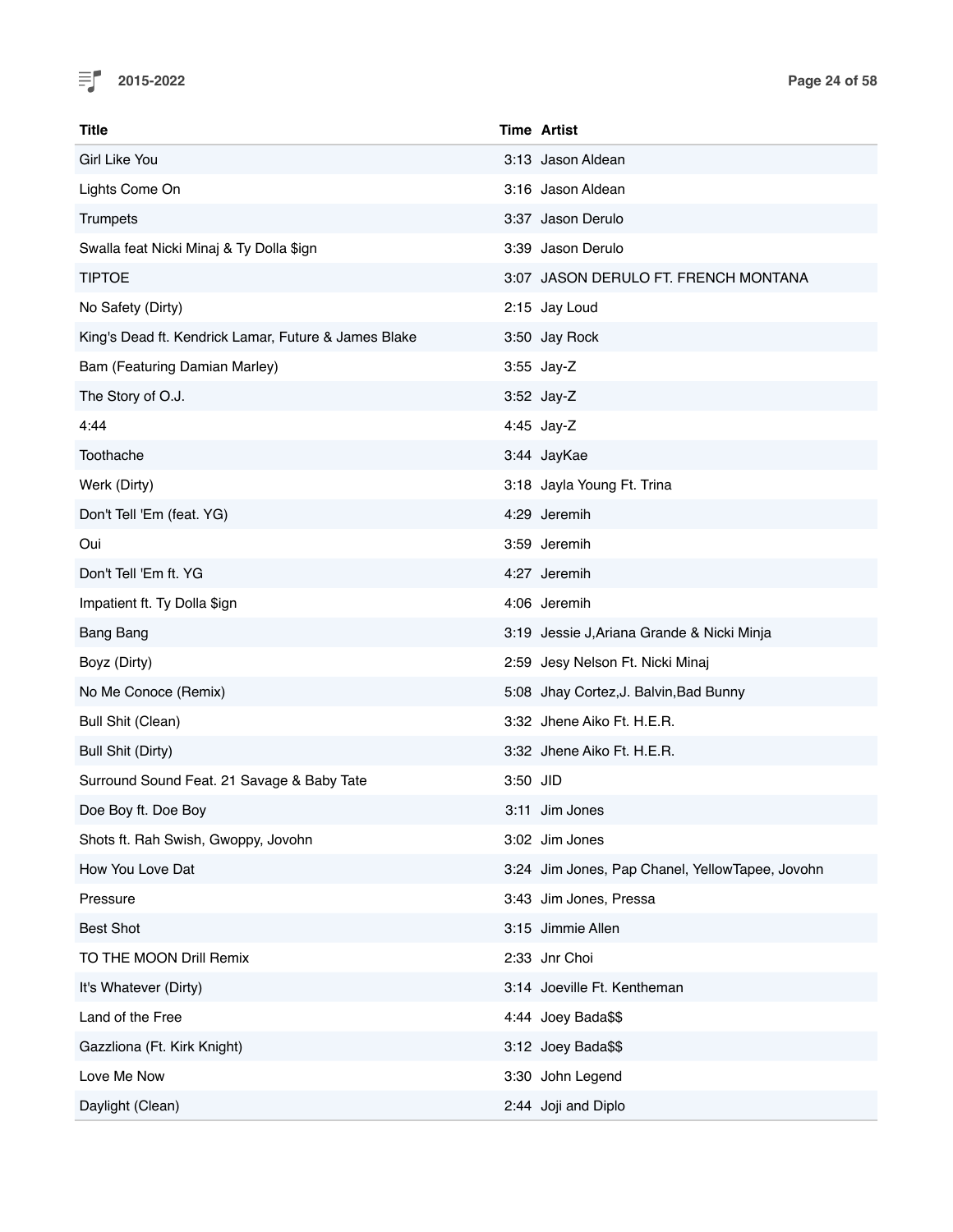

| Title                                                |          | <b>Time Artist</b>                              |
|------------------------------------------------------|----------|-------------------------------------------------|
| Girl Like You                                        |          | 3:13 Jason Aldean                               |
| Lights Come On                                       |          | 3:16 Jason Aldean                               |
| Trumpets                                             |          | 3:37 Jason Derulo                               |
| Swalla feat Nicki Minaj & Ty Dolla \$ign             |          | 3:39 Jason Derulo                               |
| <b>TIPTOE</b>                                        |          | 3:07 JASON DERULO FT. FRENCH MONTANA            |
| No Safety (Dirty)                                    |          | 2:15 Jay Loud                                   |
| King's Dead ft. Kendrick Lamar, Future & James Blake |          | 3:50 Jay Rock                                   |
| Bam (Featuring Damian Marley)                        |          | 3:55 Jay-Z                                      |
| The Story of O.J.                                    |          | 3:52 Jay-Z                                      |
| 4:44                                                 |          | 4:45 Jay-Z                                      |
| Toothache                                            |          | 3:44 JayKae                                     |
| Werk (Dirty)                                         |          | 3:18 Jayla Young Ft. Trina                      |
| Don't Tell 'Em (feat. YG)                            |          | 4:29 Jeremih                                    |
| Oui                                                  |          | 3:59 Jeremih                                    |
| Don't Tell 'Em ft. YG                                |          | 4:27 Jeremih                                    |
| Impatient ft. Ty Dolla \$ign                         |          | 4:06 Jeremih                                    |
| <b>Bang Bang</b>                                     |          | 3:19 Jessie J, Ariana Grande & Nicki Minja      |
| Boyz (Dirty)                                         |          | 2:59 Jesy Nelson Ft. Nicki Minaj                |
| No Me Conoce (Remix)                                 |          | 5:08 Jhay Cortez, J. Balvin, Bad Bunny          |
| <b>Bull Shit (Clean)</b>                             |          | 3:32 Jhene Aiko Ft. H.E.R.                      |
| <b>Bull Shit (Dirty)</b>                             |          | 3:32 Jhene Aiko Ft. H.E.R.                      |
| Surround Sound Feat. 21 Savage & Baby Tate           | 3:50 JID |                                                 |
| Doe Boy ft. Doe Boy                                  |          | 3:11 Jim Jones                                  |
| Shots ft. Rah Swish, Gwoppy, Jovohn                  |          | 3:02 Jim Jones                                  |
| How You Love Dat                                     |          | 3:24 Jim Jones, Pap Chanel, YellowTapee, Jovohn |
| Pressure                                             |          | 3:43 Jim Jones, Pressa                          |
| <b>Best Shot</b>                                     |          | 3:15 Jimmie Allen                               |
| TO THE MOON Drill Remix                              |          | 2:33 Jnr Choi                                   |
| It's Whatever (Dirty)                                |          | 3:14 Joeville Ft. Kentheman                     |
| Land of the Free                                     |          | 4:44 Joey Bada\$\$                              |
| Gazzliona (Ft. Kirk Knight)                          |          | 3:12 Joey Bada\$\$                              |
| Love Me Now                                          |          | 3:30 John Legend                                |
| Daylight (Clean)                                     |          | 2:44 Joji and Diplo                             |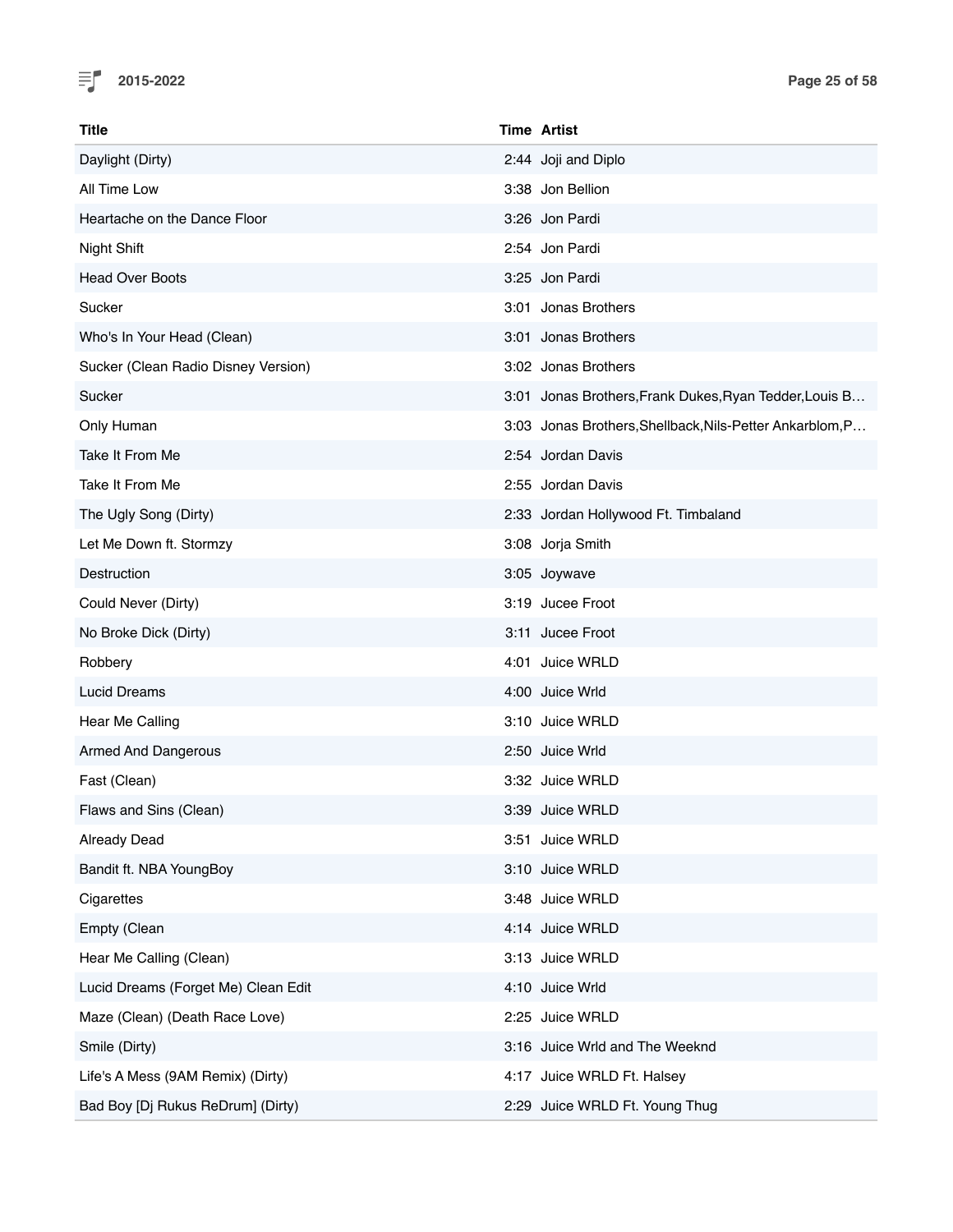

| Title                               | <b>Time Artist</b>                  |                                                          |
|-------------------------------------|-------------------------------------|----------------------------------------------------------|
| Daylight (Dirty)                    | 2:44 Joji and Diplo                 |                                                          |
| All Time Low                        | 3:38 Jon Bellion                    |                                                          |
| Heartache on the Dance Floor        | 3:26 Jon Pardi                      |                                                          |
| Night Shift                         | 2:54 Jon Pardi                      |                                                          |
| <b>Head Over Boots</b>              | 3:25 Jon Pardi                      |                                                          |
| Sucker                              | 3:01 Jonas Brothers                 |                                                          |
| Who's In Your Head (Clean)          | 3:01 Jonas Brothers                 |                                                          |
| Sucker (Clean Radio Disney Version) | 3:02 Jonas Brothers                 |                                                          |
| Sucker                              |                                     | 3:01 Jonas Brothers, Frank Dukes, Ryan Tedder, Louis B   |
| Only Human                          |                                     | 3:03 Jonas Brothers, Shellback, Nils-Petter Ankarblom, P |
| Take It From Me                     | 2:54 Jordan Davis                   |                                                          |
| Take It From Me                     | 2:55 Jordan Davis                   |                                                          |
| The Ugly Song (Dirty)               | 2:33 Jordan Hollywood Ft. Timbaland |                                                          |
| Let Me Down ft. Stormzy             | 3:08 Jorja Smith                    |                                                          |
| Destruction                         | 3:05 Joywave                        |                                                          |
| Could Never (Dirty)                 | 3:19 Jucee Froot                    |                                                          |
| No Broke Dick (Dirty)               | 3:11 Jucee Froot                    |                                                          |
| Robbery                             | 4:01 Juice WRLD                     |                                                          |
| <b>Lucid Dreams</b>                 | 4:00 Juice Wrld                     |                                                          |
| Hear Me Calling                     | 3:10 Juice WRLD                     |                                                          |
| <b>Armed And Dangerous</b>          | 2:50 Juice Wrld                     |                                                          |
| Fast (Clean)                        | 3:32 Juice WRLD                     |                                                          |
| Flaws and Sins (Clean)              | 3:39 Juice WRLD                     |                                                          |
| <b>Already Dead</b>                 | 3:51 Juice WRLD                     |                                                          |
| Bandit ft. NBA YoungBoy             | 3:10 Juice WRLD                     |                                                          |
| Cigarettes                          | 3:48 Juice WRLD                     |                                                          |
| Empty (Clean                        | 4:14 Juice WRLD                     |                                                          |
| Hear Me Calling (Clean)             | 3:13 Juice WRLD                     |                                                          |
| Lucid Dreams (Forget Me) Clean Edit | 4:10 Juice Wrld                     |                                                          |
| Maze (Clean) (Death Race Love)      | 2:25 Juice WRLD                     |                                                          |
| Smile (Dirty)                       | 3:16 Juice Wrld and The Weeknd      |                                                          |
| Life's A Mess (9AM Remix) (Dirty)   | 4:17 Juice WRLD Ft. Halsey          |                                                          |
| Bad Boy [Dj Rukus ReDrum] (Dirty)   | 2:29 Juice WRLD Ft. Young Thug      |                                                          |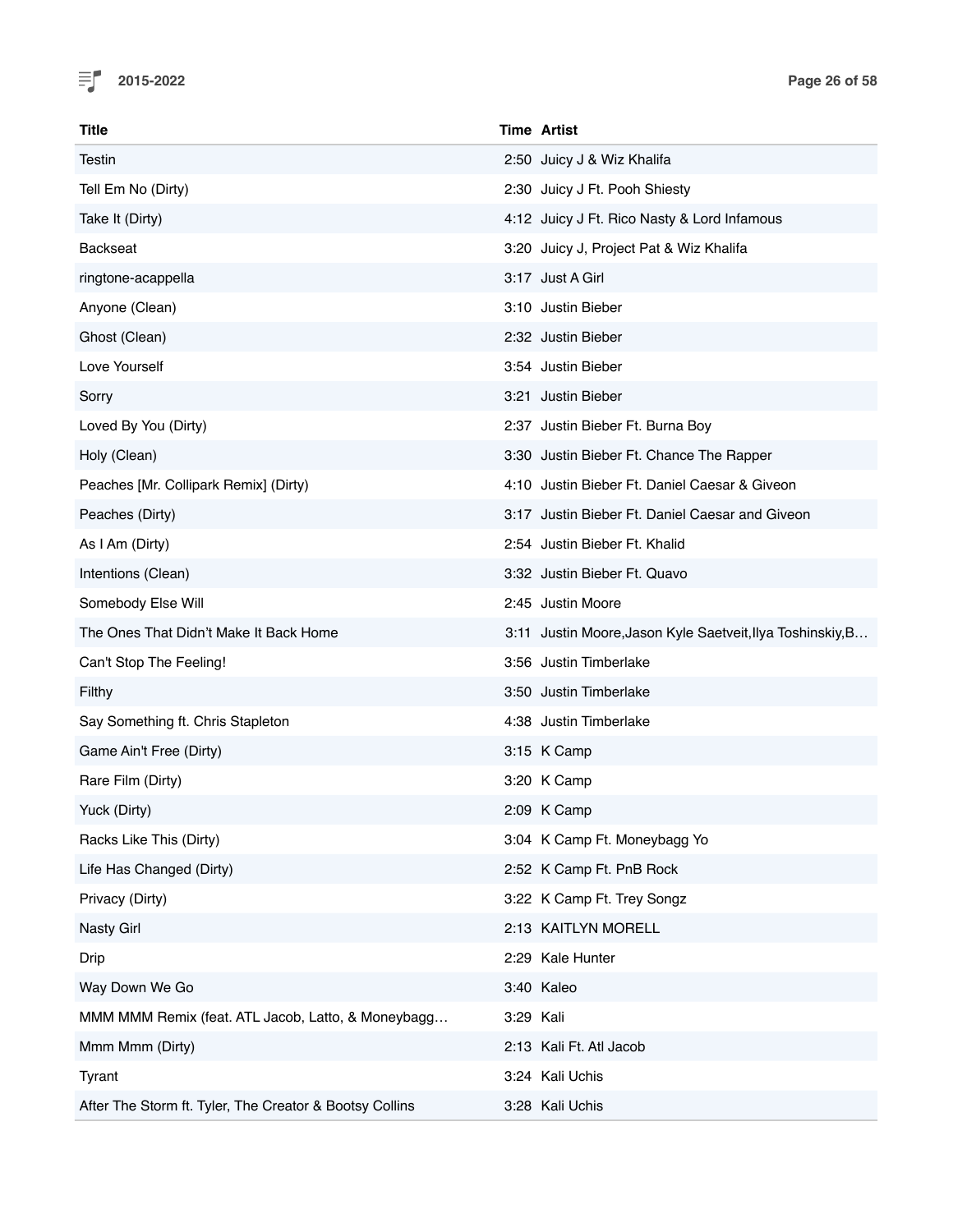

| Title                                                   |           | <b>Time Artist</b>                                         |
|---------------------------------------------------------|-----------|------------------------------------------------------------|
| Testin                                                  |           | 2:50 Juicy J & Wiz Khalifa                                 |
| Tell Em No (Dirty)                                      |           | 2:30 Juicy J Ft. Pooh Shiesty                              |
| Take It (Dirty)                                         |           | 4:12 Juicy J Ft. Rico Nasty & Lord Infamous                |
| <b>Backseat</b>                                         |           | 3:20 Juicy J, Project Pat & Wiz Khalifa                    |
| ringtone-acappella                                      |           | 3:17 Just A Girl                                           |
| Anyone (Clean)                                          |           | 3:10 Justin Bieber                                         |
| Ghost (Clean)                                           |           | 2:32 Justin Bieber                                         |
| Love Yourself                                           |           | 3:54 Justin Bieber                                         |
| Sorry                                                   |           | 3:21 Justin Bieber                                         |
| Loved By You (Dirty)                                    |           | 2:37 Justin Bieber Ft. Burna Boy                           |
| Holy (Clean)                                            |           | 3:30 Justin Bieber Ft. Chance The Rapper                   |
| Peaches [Mr. Collipark Remix] (Dirty)                   |           | 4:10 Justin Bieber Ft. Daniel Caesar & Giveon              |
| Peaches (Dirty)                                         |           | 3:17 Justin Bieber Ft. Daniel Caesar and Giveon            |
| As I Am (Dirty)                                         |           | 2:54 Justin Bieber Ft. Khalid                              |
| Intentions (Clean)                                      |           | 3:32 Justin Bieber Ft. Quavo                               |
| Somebody Else Will                                      |           | 2:45 Justin Moore                                          |
| The Ones That Didn't Make It Back Home                  |           | 3:11 Justin Moore, Jason Kyle Saetveit, Ilya Toshinskiy, B |
| Can't Stop The Feeling!                                 |           | 3:56 Justin Timberlake                                     |
| Filthy                                                  |           | 3:50 Justin Timberlake                                     |
| Say Something ft. Chris Stapleton                       |           | 4:38 Justin Timberlake                                     |
| Game Ain't Free (Dirty)                                 |           | 3:15 K Camp                                                |
| Rare Film (Dirty)                                       |           | 3:20 K Camp                                                |
| Yuck (Dirty)                                            |           | 2:09 K Camp                                                |
| Racks Like This (Dirty)                                 |           | 3:04 K Camp Ft. Moneybagg Yo                               |
| Life Has Changed (Dirty)                                |           | 2:52 K Camp Ft. PnB Rock                                   |
| Privacy (Dirty)                                         |           | 3:22 K Camp Ft. Trey Songz                                 |
| <b>Nasty Girl</b>                                       |           | 2:13 KAITLYN MORELL                                        |
| Drip                                                    |           | 2:29 Kale Hunter                                           |
| Way Down We Go                                          |           | 3:40 Kaleo                                                 |
| MMM MMM Remix (feat. ATL Jacob, Latto, & Moneybagg      | 3:29 Kali |                                                            |
| Mmm Mmm (Dirty)                                         |           | 2:13 Kali Ft. Atl Jacob                                    |
| Tyrant                                                  |           | 3:24 Kali Uchis                                            |
| After The Storm ft. Tyler, The Creator & Bootsy Collins |           | 3:28 Kali Uchis                                            |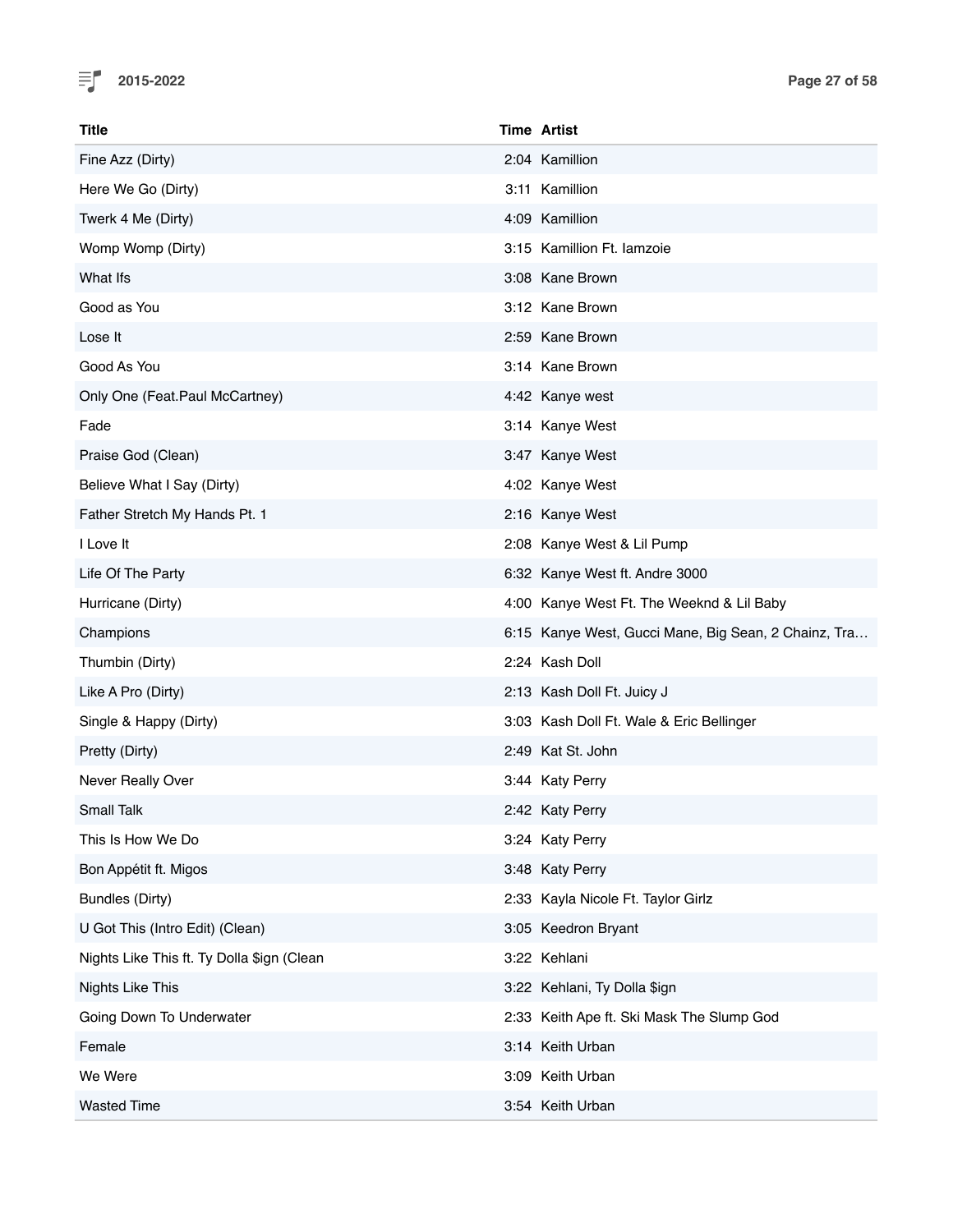

| Title                                      | <b>Time Artist</b>                                   |
|--------------------------------------------|------------------------------------------------------|
| Fine Azz (Dirty)                           | 2:04 Kamillion                                       |
| Here We Go (Dirty)                         | 3:11 Kamillion                                       |
| Twerk 4 Me (Dirty)                         | 4:09 Kamillion                                       |
| Womp Womp (Dirty)                          | 3:15 Kamillion Ft. lamzoie                           |
| What Ifs                                   | 3:08 Kane Brown                                      |
| Good as You                                | 3:12 Kane Brown                                      |
| Lose It                                    | 2:59 Kane Brown                                      |
| Good As You                                | 3:14 Kane Brown                                      |
| Only One (Feat.Paul McCartney)             | 4:42 Kanye west                                      |
| Fade                                       | 3:14 Kanye West                                      |
| Praise God (Clean)                         | 3:47 Kanye West                                      |
| Believe What I Say (Dirty)                 | 4:02 Kanye West                                      |
| Father Stretch My Hands Pt. 1              | 2:16 Kanye West                                      |
| I Love It                                  | 2:08 Kanye West & Lil Pump                           |
| Life Of The Party                          | 6:32 Kanye West ft. Andre 3000                       |
| Hurricane (Dirty)                          | 4:00 Kanye West Ft. The Weeknd & Lil Baby            |
| Champions                                  | 6:15 Kanye West, Gucci Mane, Big Sean, 2 Chainz, Tra |
| Thumbin (Dirty)                            | 2:24 Kash Doll                                       |
| Like A Pro (Dirty)                         | 2:13 Kash Doll Ft. Juicy J                           |
| Single & Happy (Dirty)                     | 3:03 Kash Doll Ft. Wale & Eric Bellinger             |
| Pretty (Dirty)                             | 2:49 Kat St. John                                    |
| Never Really Over                          | 3:44 Katy Perry                                      |
| <b>Small Talk</b>                          | 2:42 Katy Perry                                      |
| This Is How We Do                          | 3:24 Katy Perry                                      |
| Bon Appétit ft. Migos                      | 3:48 Katy Perry                                      |
| Bundles (Dirty)                            | 2:33 Kayla Nicole Ft. Taylor Girlz                   |
| U Got This (Intro Edit) (Clean)            | 3:05 Keedron Bryant                                  |
| Nights Like This ft. Ty Dolla \$ign (Clean | 3:22 Kehlani                                         |
| Nights Like This                           | 3:22 Kehlani, Ty Dolla \$ign                         |
| Going Down To Underwater                   | 2:33 Keith Ape ft. Ski Mask The Slump God            |
| Female                                     | 3:14 Keith Urban                                     |
| We Were                                    | 3:09 Keith Urban                                     |
| <b>Wasted Time</b>                         | 3:54 Keith Urban                                     |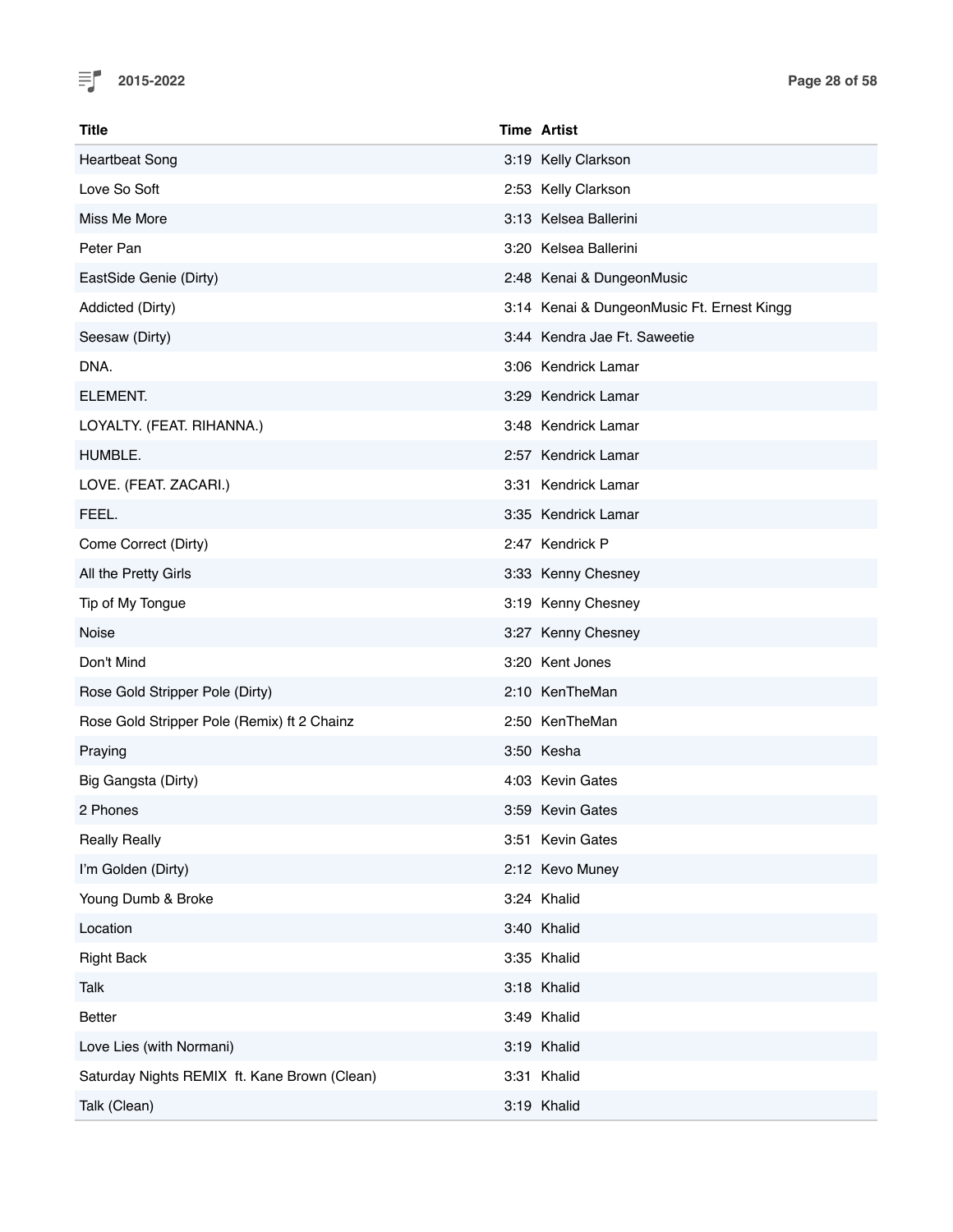

| <b>Title</b>                                 | <b>Time Artist</b>                         |
|----------------------------------------------|--------------------------------------------|
| <b>Heartbeat Song</b>                        | 3:19 Kelly Clarkson                        |
| Love So Soft                                 | 2:53 Kelly Clarkson                        |
| Miss Me More                                 | 3:13 Kelsea Ballerini                      |
| Peter Pan                                    | 3:20 Kelsea Ballerini                      |
| EastSide Genie (Dirty)                       | 2:48 Kenai & DungeonMusic                  |
| Addicted (Dirty)                             | 3:14 Kenai & DungeonMusic Ft. Ernest Kingg |
| Seesaw (Dirty)                               | 3:44 Kendra Jae Ft. Saweetie               |
| DNA.                                         | 3:06 Kendrick Lamar                        |
| ELEMENT.                                     | 3:29 Kendrick Lamar                        |
| LOYALTY. (FEAT. RIHANNA.)                    | 3:48 Kendrick Lamar                        |
| HUMBLE.                                      | 2:57 Kendrick Lamar                        |
| LOVE. (FEAT. ZACARI.)                        | 3:31 Kendrick Lamar                        |
| FEEL.                                        | 3:35 Kendrick Lamar                        |
| Come Correct (Dirty)                         | 2:47 Kendrick P                            |
| All the Pretty Girls                         | 3:33 Kenny Chesney                         |
| Tip of My Tongue                             | 3:19 Kenny Chesney                         |
| Noise                                        | 3:27 Kenny Chesney                         |
| Don't Mind                                   | 3:20 Kent Jones                            |
| Rose Gold Stripper Pole (Dirty)              | 2:10 KenTheMan                             |
| Rose Gold Stripper Pole (Remix) ft 2 Chainz  | 2:50 KenTheMan                             |
| Praying                                      | 3:50 Kesha                                 |
| Big Gangsta (Dirty)                          | 4:03 Kevin Gates                           |
| 2 Phones                                     | 3:59 Kevin Gates                           |
| <b>Really Really</b>                         | 3:51 Kevin Gates                           |
| I'm Golden (Dirty)                           | 2:12 Kevo Muney                            |
| Young Dumb & Broke                           | 3:24 Khalid                                |
| Location                                     | 3:40 Khalid                                |
| <b>Right Back</b>                            | 3:35 Khalid                                |
| Talk                                         | 3:18 Khalid                                |
| Better                                       | 3:49 Khalid                                |
| Love Lies (with Normani)                     | 3:19 Khalid                                |
| Saturday Nights REMIX ft. Kane Brown (Clean) | 3:31 Khalid                                |
| Talk (Clean)                                 | 3:19 Khalid                                |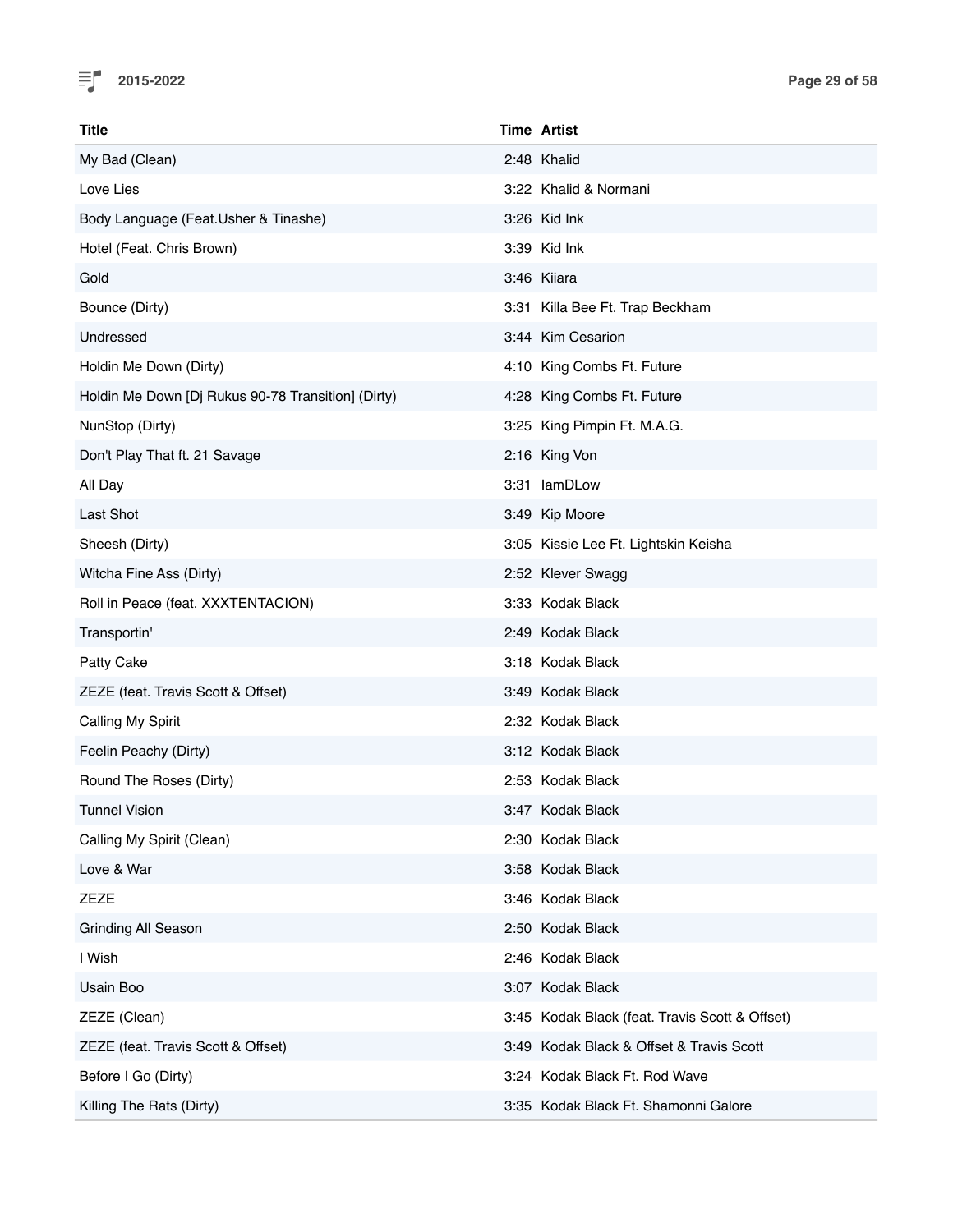

| Title                                              | <b>Time Artist</b>                             |
|----------------------------------------------------|------------------------------------------------|
| My Bad (Clean)                                     | 2:48 Khalid                                    |
| Love Lies                                          | 3:22 Khalid & Normani                          |
| Body Language (Feat.Usher & Tinashe)               | 3:26 Kid Ink                                   |
| Hotel (Feat. Chris Brown)                          | 3:39 Kid Ink                                   |
| Gold                                               | 3:46 Kiiara                                    |
| Bounce (Dirty)                                     | 3:31 Killa Bee Ft. Trap Beckham                |
| Undressed                                          | 3:44 Kim Cesarion                              |
| Holdin Me Down (Dirty)                             | 4:10 King Combs Ft. Future                     |
| Holdin Me Down [Dj Rukus 90-78 Transition] (Dirty) | 4:28 King Combs Ft. Future                     |
| NunStop (Dirty)                                    | 3:25 King Pimpin Ft. M.A.G.                    |
| Don't Play That ft. 21 Savage                      | 2:16 King Von                                  |
| All Day                                            | 3:31 lamDLow                                   |
| Last Shot                                          | 3:49 Kip Moore                                 |
| Sheesh (Dirty)                                     | 3:05 Kissie Lee Ft. Lightskin Keisha           |
| Witcha Fine Ass (Dirty)                            | 2:52 Klever Swagg                              |
| Roll in Peace (feat. XXXTENTACION)                 | 3:33 Kodak Black                               |
| Transportin'                                       | 2:49 Kodak Black                               |
| Patty Cake                                         | 3:18 Kodak Black                               |
| ZEZE (feat. Travis Scott & Offset)                 | 3:49 Kodak Black                               |
| Calling My Spirit                                  | 2:32 Kodak Black                               |
| Feelin Peachy (Dirty)                              | 3:12 Kodak Black                               |
| Round The Roses (Dirty)                            | 2:53 Kodak Black                               |
| <b>Tunnel Vision</b>                               | 3:47 Kodak Black                               |
| Calling My Spirit (Clean)                          | 2:30 Kodak Black                               |
| Love & War                                         | 3:58 Kodak Black                               |
| ZEZE                                               | 3:46 Kodak Black                               |
| <b>Grinding All Season</b>                         | 2:50 Kodak Black                               |
| I Wish                                             | 2:46 Kodak Black                               |
| Usain Boo                                          | 3:07 Kodak Black                               |
| ZEZE (Clean)                                       | 3:45 Kodak Black (feat. Travis Scott & Offset) |
| ZEZE (feat. Travis Scott & Offset)                 | 3:49 Kodak Black & Offset & Travis Scott       |
| Before I Go (Dirty)                                | 3:24 Kodak Black Ft. Rod Wave                  |
| Killing The Rats (Dirty)                           | 3:35 Kodak Black Ft. Shamonni Galore           |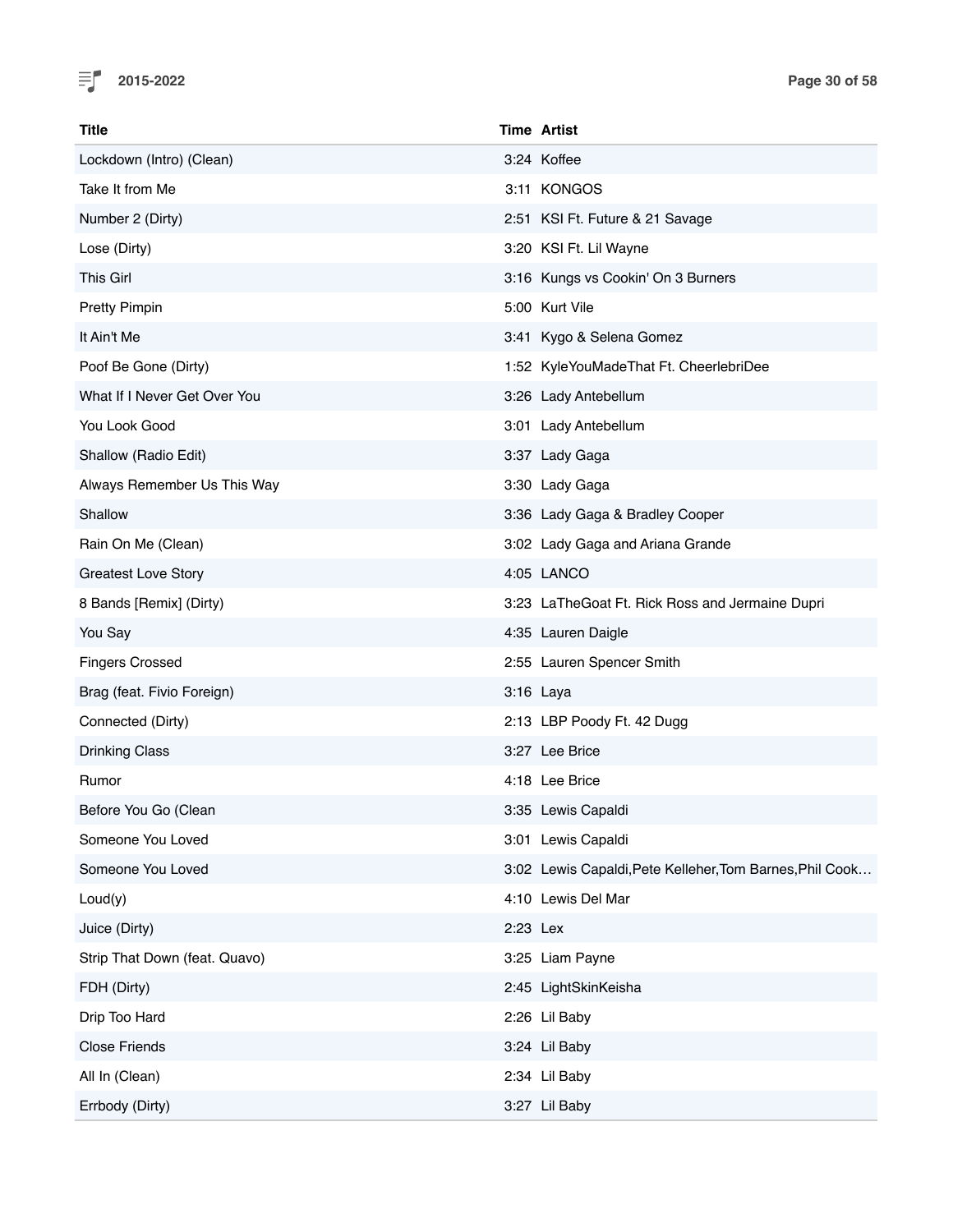

| Title                         |          | <b>Time Artist</b>                                       |
|-------------------------------|----------|----------------------------------------------------------|
| Lockdown (Intro) (Clean)      |          | 3:24 Koffee                                              |
| Take It from Me               |          | 3:11 KONGOS                                              |
| Number 2 (Dirty)              |          | 2:51 KSI Ft. Future & 21 Savage                          |
| Lose (Dirty)                  |          | 3:20 KSI Ft. Lil Wayne                                   |
| <b>This Girl</b>              |          | 3:16 Kungs vs Cookin' On 3 Burners                       |
| <b>Pretty Pimpin</b>          |          | 5:00 Kurt Vile                                           |
| It Ain't Me                   |          | 3:41 Kygo & Selena Gomez                                 |
| Poof Be Gone (Dirty)          |          | 1:52 KyleYouMadeThat Ft. CheerlebriDee                   |
| What If I Never Get Over You  |          | 3:26 Lady Antebellum                                     |
| You Look Good                 |          | 3:01 Lady Antebellum                                     |
| Shallow (Radio Edit)          |          | 3:37 Lady Gaga                                           |
| Always Remember Us This Way   |          | 3:30 Lady Gaga                                           |
| Shallow                       |          | 3:36 Lady Gaga & Bradley Cooper                          |
| Rain On Me (Clean)            |          | 3:02 Lady Gaga and Ariana Grande                         |
| <b>Greatest Love Story</b>    |          | 4:05 LANCO                                               |
| 8 Bands [Remix] (Dirty)       |          | 3:23 LaTheGoat Ft. Rick Ross and Jermaine Dupri          |
| You Say                       |          | 4:35 Lauren Daigle                                       |
| <b>Fingers Crossed</b>        |          | 2:55 Lauren Spencer Smith                                |
| Brag (feat. Fivio Foreign)    |          | 3:16 Laya                                                |
| Connected (Dirty)             |          | 2:13 LBP Poody Ft. 42 Dugg                               |
| <b>Drinking Class</b>         |          | 3:27 Lee Brice                                           |
| Rumor                         |          | 4:18 Lee Brice                                           |
| Before You Go (Clean          |          | 3:35 Lewis Capaldi                                       |
| Someone You Loved             |          | 3:01 Lewis Capaldi                                       |
| Someone You Loved             |          | 3:02 Lewis Capaldi, Pete Kelleher, Tom Barnes, Phil Cook |
| Loud(y)                       |          | 4:10 Lewis Del Mar                                       |
| Juice (Dirty)                 | 2:23 Lex |                                                          |
| Strip That Down (feat. Quavo) |          | 3:25 Liam Payne                                          |
| FDH (Dirty)                   |          | 2:45 LightSkinKeisha                                     |
| Drip Too Hard                 |          | 2:26 Lil Baby                                            |
| <b>Close Friends</b>          |          | 3:24 Lil Baby                                            |
| All In (Clean)                |          | 2:34 Lil Baby                                            |
| Errbody (Dirty)               |          | 3:27 Lil Baby                                            |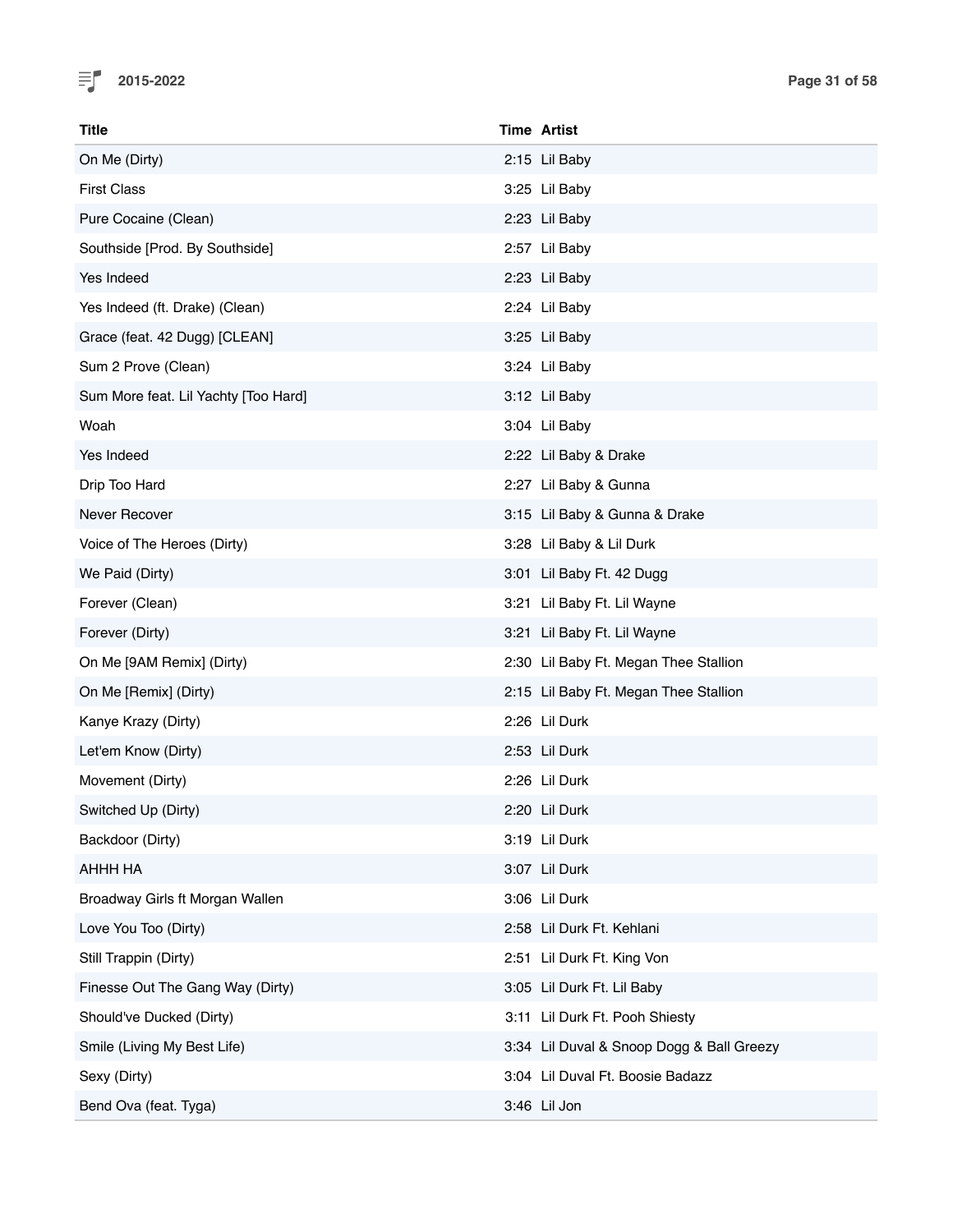

| Title                                | <b>Time Artist</b>                        |
|--------------------------------------|-------------------------------------------|
| On Me (Dirty)                        | 2:15 Lil Baby                             |
| <b>First Class</b>                   | 3:25 Lil Baby                             |
| Pure Cocaine (Clean)                 | 2:23 Lil Baby                             |
| Southside [Prod. By Southside]       | 2:57 Lil Baby                             |
| Yes Indeed                           | 2:23 Lil Baby                             |
| Yes Indeed (ft. Drake) (Clean)       | 2:24 Lil Baby                             |
| Grace (feat. 42 Dugg) [CLEAN]        | 3:25 Lil Baby                             |
| Sum 2 Prove (Clean)                  | 3:24 Lil Baby                             |
| Sum More feat. Lil Yachty [Too Hard] | 3:12 Lil Baby                             |
| Woah                                 | 3:04 Lil Baby                             |
| Yes Indeed                           | 2:22 Lil Baby & Drake                     |
| Drip Too Hard                        | 2:27 Lil Baby & Gunna                     |
| Never Recover                        | 3:15 Lil Baby & Gunna & Drake             |
| Voice of The Heroes (Dirty)          | 3:28 Lil Baby & Lil Durk                  |
| We Paid (Dirty)                      | 3:01 Lil Baby Ft. 42 Dugg                 |
| Forever (Clean)                      | 3:21 Lil Baby Ft. Lil Wayne               |
| Forever (Dirty)                      | 3:21 Lil Baby Ft. Lil Wayne               |
| On Me [9AM Remix] (Dirty)            | 2:30 Lil Baby Ft. Megan Thee Stallion     |
| On Me [Remix] (Dirty)                | 2:15 Lil Baby Ft. Megan Thee Stallion     |
| Kanye Krazy (Dirty)                  | 2:26 Lil Durk                             |
| Let'em Know (Dirty)                  | 2:53 Lil Durk                             |
| Movement (Dirty)                     | 2:26 Lil Durk                             |
| Switched Up (Dirty)                  | 2:20 Lil Durk                             |
| Backdoor (Dirty)                     | 3:19 Lil Durk                             |
| AHHH HA                              | 3:07 Lil Durk                             |
| Broadway Girls ft Morgan Wallen      | 3:06 Lil Durk                             |
| Love You Too (Dirty)                 | 2:58 Lil Durk Ft. Kehlani                 |
| Still Trappin (Dirty)                | 2:51 Lil Durk Ft. King Von                |
| Finesse Out The Gang Way (Dirty)     | 3:05 Lil Durk Ft. Lil Baby                |
| Should've Ducked (Dirty)             | 3:11 Lil Durk Ft. Pooh Shiesty            |
| Smile (Living My Best Life)          | 3:34 Lil Duval & Snoop Dogg & Ball Greezy |
| Sexy (Dirty)                         | 3:04 Lil Duval Ft. Boosie Badazz          |
| Bend Ova (feat. Tyga)                | 3:46 Lil Jon                              |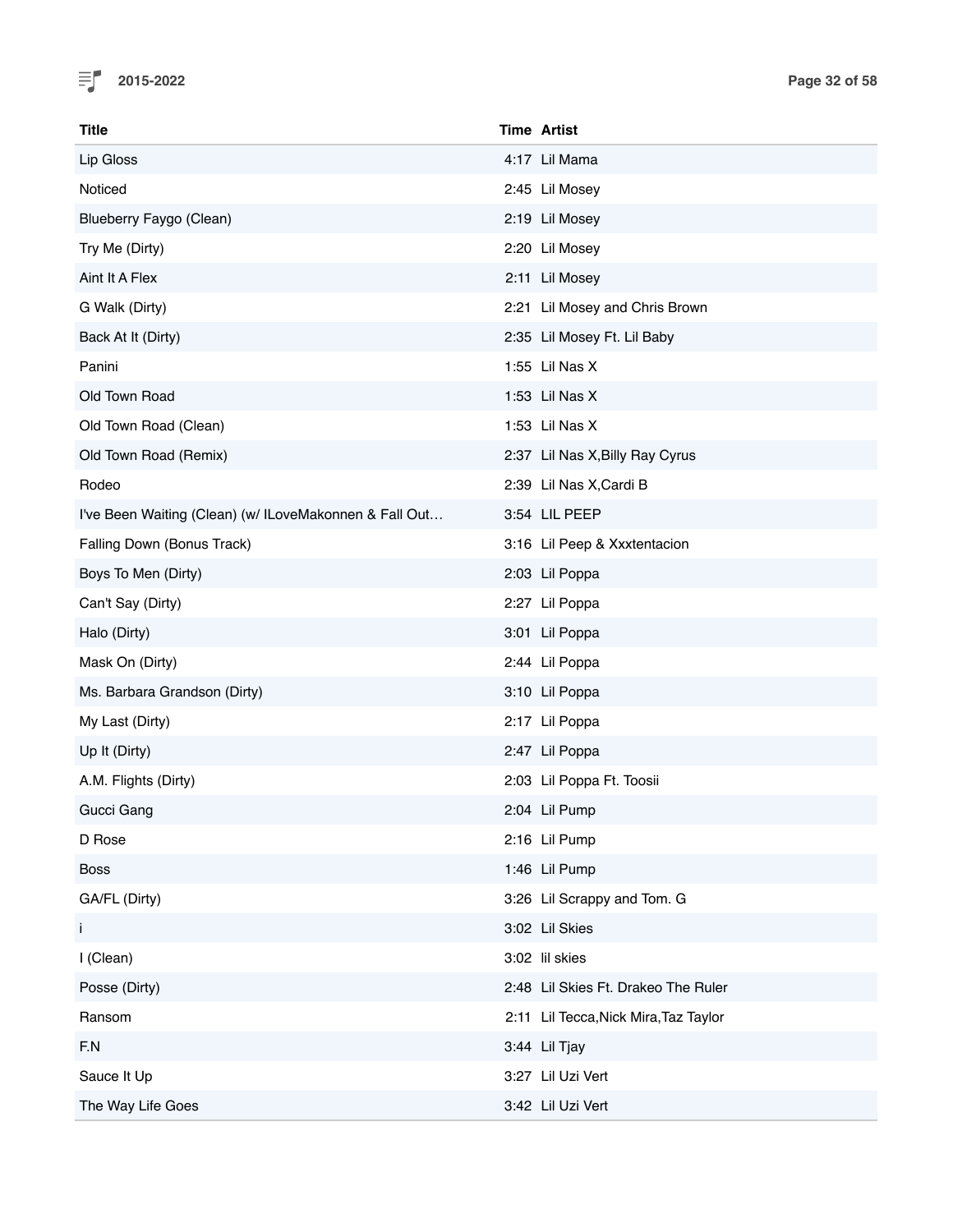

| <b>Title</b>                                           | <b>Time Artist</b>                    |
|--------------------------------------------------------|---------------------------------------|
| Lip Gloss                                              | 4:17 Lil Mama                         |
| Noticed                                                | 2:45 Lil Mosey                        |
| Blueberry Faygo (Clean)                                | 2:19 Lil Mosey                        |
| Try Me (Dirty)                                         | 2:20 Lil Mosey                        |
| Aint It A Flex                                         | 2:11 Lil Mosey                        |
| G Walk (Dirty)                                         | 2:21 Lil Mosey and Chris Brown        |
| Back At It (Dirty)                                     | 2:35 Lil Mosey Ft. Lil Baby           |
| Panini                                                 | 1:55 Lil Nas X                        |
| Old Town Road                                          | 1:53 Lil Nas X                        |
| Old Town Road (Clean)                                  | 1:53 Lil Nas X                        |
| Old Town Road (Remix)                                  | 2:37 Lil Nas X, Billy Ray Cyrus       |
| Rodeo                                                  | 2:39 Lil Nas X, Cardi B               |
| I've Been Waiting (Clean) (w/ ILoveMakonnen & Fall Out | 3:54 LIL PEEP                         |
| Falling Down (Bonus Track)                             | 3:16 Lil Peep & Xxxtentacion          |
| Boys To Men (Dirty)                                    | 2:03 Lil Poppa                        |
| Can't Say (Dirty)                                      | 2:27 Lil Poppa                        |
| Halo (Dirty)                                           | 3:01 Lil Poppa                        |
| Mask On (Dirty)                                        | 2:44 Lil Poppa                        |
| Ms. Barbara Grandson (Dirty)                           | 3:10 Lil Poppa                        |
| My Last (Dirty)                                        | 2:17 Lil Poppa                        |
| Up It (Dirty)                                          | 2:47 Lil Poppa                        |
| A.M. Flights (Dirty)                                   | 2:03 Lil Poppa Ft. Toosii             |
| Gucci Gang                                             | 2:04 Lil Pump                         |
| D Rose                                                 | 2:16 Lil Pump                         |
| <b>Boss</b>                                            | 1:46 Lil Pump                         |
| GA/FL (Dirty)                                          | 3:26 Lil Scrappy and Tom. G           |
| i,                                                     | 3:02 Lil Skies                        |
| I (Clean)                                              | 3:02 lil skies                        |
| Posse (Dirty)                                          | 2:48 Lil Skies Ft. Drakeo The Ruler   |
| Ransom                                                 | 2:11 Lil Tecca, Nick Mira, Taz Taylor |
| F.N                                                    | 3:44 Lil Tjay                         |
| Sauce It Up                                            | 3:27 Lil Uzi Vert                     |
| The Way Life Goes                                      | 3:42 Lil Uzi Vert                     |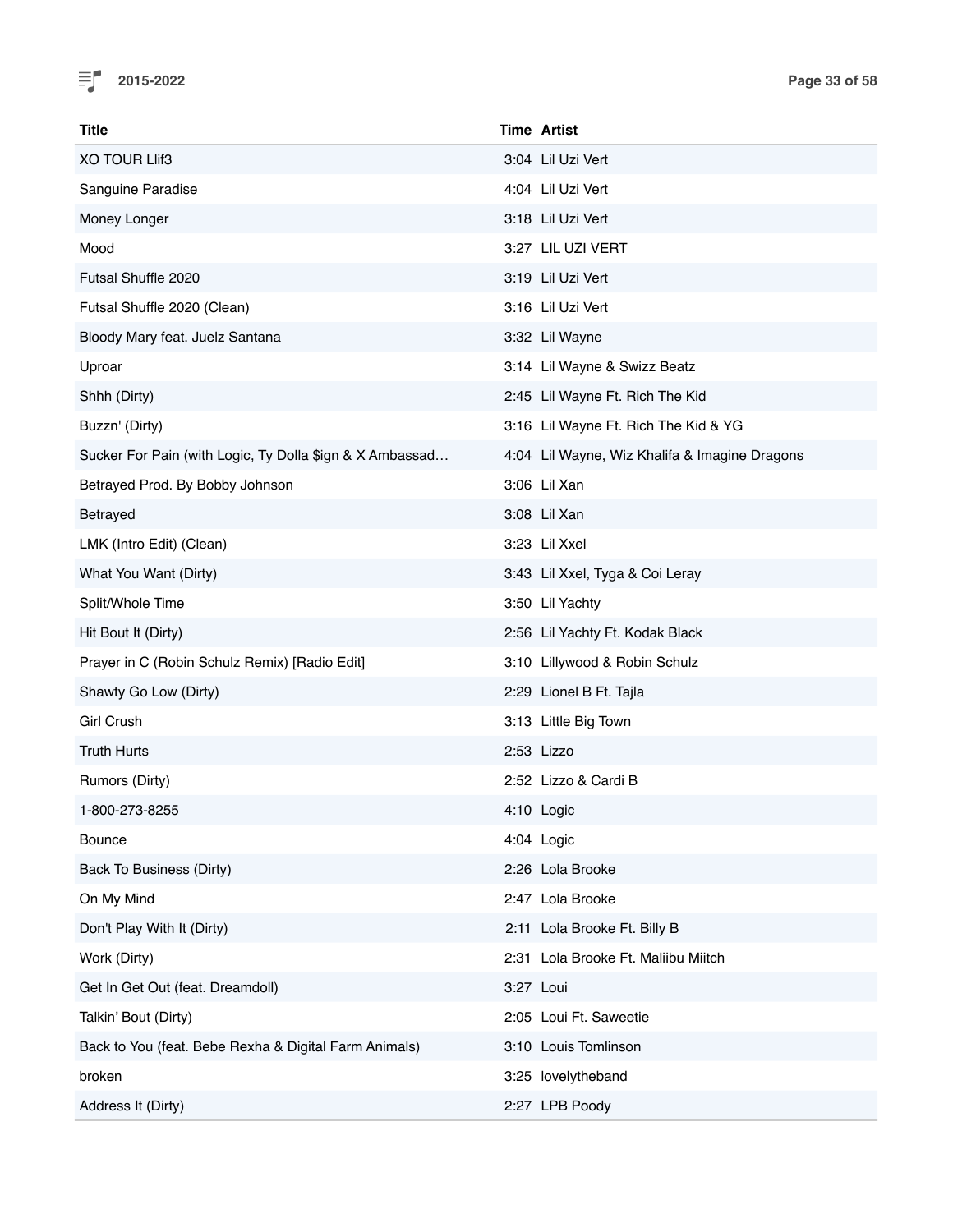

| Title                                                    | <b>Time Artist</b>                            |
|----------------------------------------------------------|-----------------------------------------------|
| <b>XO TOUR LIIf3</b>                                     | 3:04 Lil Uzi Vert                             |
| Sanguine Paradise                                        | 4:04 Lil Uzi Vert                             |
| Money Longer                                             | 3:18 Lil Uzi Vert                             |
| Mood                                                     | 3:27 LIL UZI VERT                             |
| Futsal Shuffle 2020                                      | 3:19 Lil Uzi Vert                             |
| Futsal Shuffle 2020 (Clean)                              | 3:16 Lil Uzi Vert                             |
| Bloody Mary feat. Juelz Santana                          | 3:32 Lil Wayne                                |
| Uproar                                                   | 3:14 Lil Wayne & Swizz Beatz                  |
| Shhh (Dirty)                                             | 2:45 Lil Wayne Ft. Rich The Kid               |
| Buzzn' (Dirty)                                           | 3:16 Lil Wayne Ft. Rich The Kid & YG          |
| Sucker For Pain (with Logic, Ty Dolla \$ign & X Ambassad | 4:04 Lil Wayne, Wiz Khalifa & Imagine Dragons |
| Betrayed Prod. By Bobby Johnson                          | 3:06 Lil Xan                                  |
| Betrayed                                                 | 3:08 Lil Xan                                  |
| LMK (Intro Edit) (Clean)                                 | 3:23 Lil Xxel                                 |
| What You Want (Dirty)                                    | 3:43 Lil Xxel, Tyga & Coi Leray               |
| Split/Whole Time                                         | 3:50 Lil Yachty                               |
| Hit Bout It (Dirty)                                      | 2:56 Lil Yachty Ft. Kodak Black               |
| Prayer in C (Robin Schulz Remix) [Radio Edit]            | 3:10 Lillywood & Robin Schulz                 |
| Shawty Go Low (Dirty)                                    | 2:29 Lionel B Ft. Tajla                       |
| <b>Girl Crush</b>                                        | 3:13 Little Big Town                          |
| <b>Truth Hurts</b>                                       | 2:53 Lizzo                                    |
| Rumors (Dirty)                                           | 2:52 Lizzo & Cardi B                          |
| 1-800-273-8255                                           | 4:10 Logic                                    |
| <b>Bounce</b>                                            | 4:04 Logic                                    |
| Back To Business (Dirty)                                 | 2:26 Lola Brooke                              |
| On My Mind                                               | 2:47 Lola Brooke                              |
| Don't Play With It (Dirty)                               | 2:11 Lola Brooke Ft. Billy B                  |
| Work (Dirty)                                             | 2:31 Lola Brooke Ft. Maliibu Miitch           |
| Get In Get Out (feat. Dreamdoll)                         | 3:27 Loui                                     |
| Talkin' Bout (Dirty)                                     | 2:05 Loui Ft. Saweetie                        |
| Back to You (feat. Bebe Rexha & Digital Farm Animals)    | 3:10 Louis Tomlinson                          |
| broken                                                   | 3:25 lovelytheband                            |
| Address It (Dirty)                                       | 2:27 LPB Poody                                |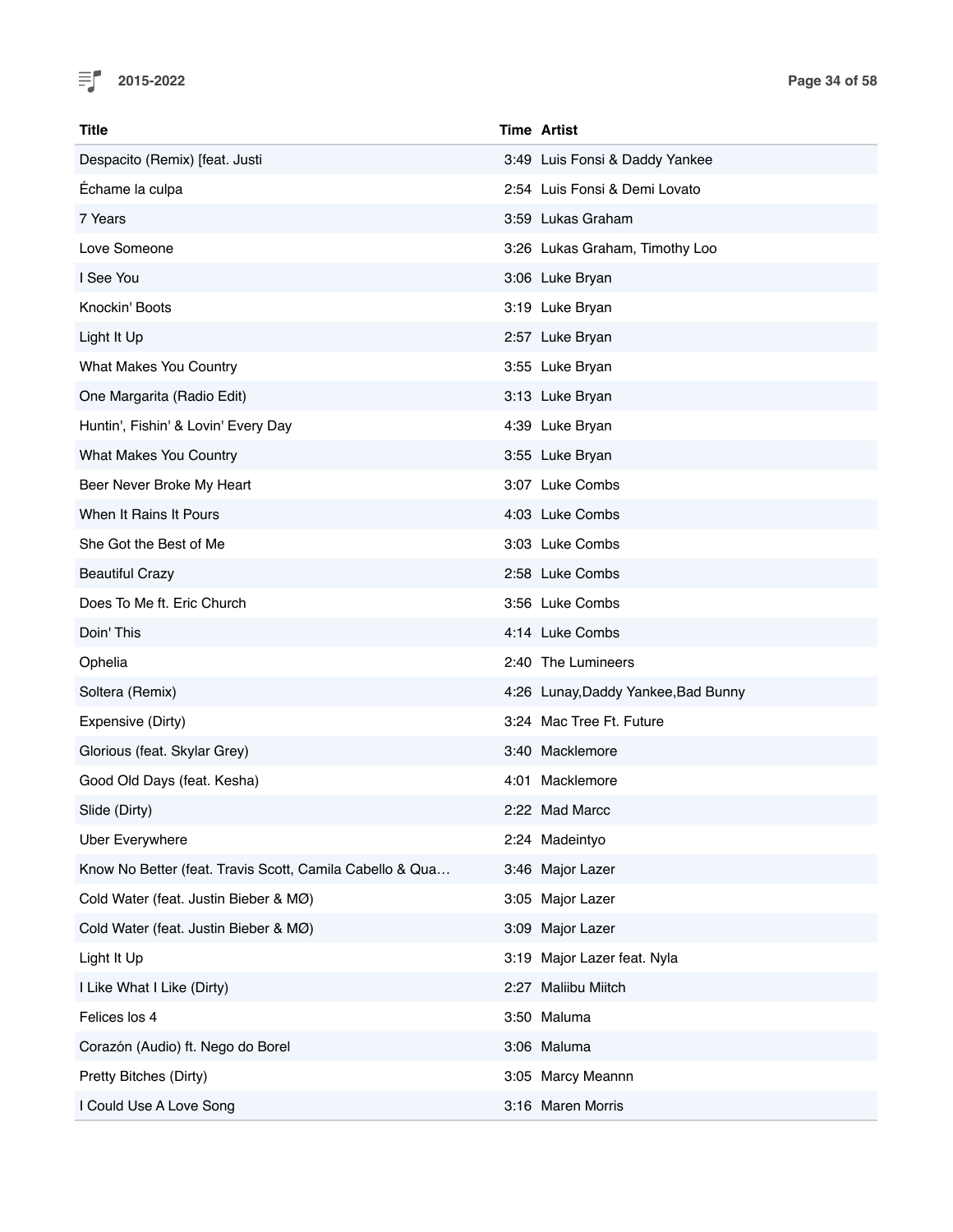

| Title                                                    | <b>Time Artist</b>                  |
|----------------------------------------------------------|-------------------------------------|
| Despacito (Remix) [feat. Justi                           | 3:49 Luis Fonsi & Daddy Yankee      |
| Échame la culpa                                          | 2:54 Luis Fonsi & Demi Lovato       |
| 7 Years                                                  | 3:59 Lukas Graham                   |
| Love Someone                                             | 3:26 Lukas Graham, Timothy Loo      |
| I See You                                                | 3:06 Luke Bryan                     |
| Knockin' Boots                                           | 3:19 Luke Bryan                     |
| Light It Up                                              | 2:57 Luke Bryan                     |
| What Makes You Country                                   | 3:55 Luke Bryan                     |
| One Margarita (Radio Edit)                               | 3:13 Luke Bryan                     |
| Huntin', Fishin' & Lovin' Every Day                      | 4:39 Luke Bryan                     |
| <b>What Makes You Country</b>                            | 3:55 Luke Bryan                     |
| Beer Never Broke My Heart                                | 3:07 Luke Combs                     |
| When It Rains It Pours                                   | 4:03 Luke Combs                     |
| She Got the Best of Me                                   | 3:03 Luke Combs                     |
| <b>Beautiful Crazy</b>                                   | 2:58 Luke Combs                     |
| Does To Me ft. Eric Church                               | 3:56 Luke Combs                     |
| Doin' This                                               | 4:14 Luke Combs                     |
| Ophelia                                                  | 2:40 The Lumineers                  |
| Soltera (Remix)                                          | 4:26 Lunay, Daddy Yankee, Bad Bunny |
| Expensive (Dirty)                                        | 3:24 Mac Tree Ft. Future            |
| Glorious (feat. Skylar Grey)                             | 3:40 Macklemore                     |
| Good Old Days (feat. Kesha)                              | 4:01 Macklemore                     |
| Slide (Dirty)                                            | 2:22 Mad Marcc                      |
| <b>Uber Everywhere</b>                                   | 2:24 Madeintyo                      |
| Know No Better (feat. Travis Scott, Camila Cabello & Qua | 3:46 Major Lazer                    |
| Cold Water (feat. Justin Bieber & MØ)                    | 3:05 Major Lazer                    |
| Cold Water (feat. Justin Bieber & MØ)                    | 3:09 Major Lazer                    |
| Light It Up                                              | 3:19 Major Lazer feat. Nyla         |
| I Like What I Like (Dirty)                               | 2:27 Maliibu Miitch                 |
| Felices los 4                                            | 3:50 Maluma                         |
| Corazón (Audio) ft. Nego do Borel                        | 3:06 Maluma                         |
| Pretty Bitches (Dirty)                                   | 3:05 Marcy Meannn                   |
| I Could Use A Love Song                                  | 3:16 Maren Morris                   |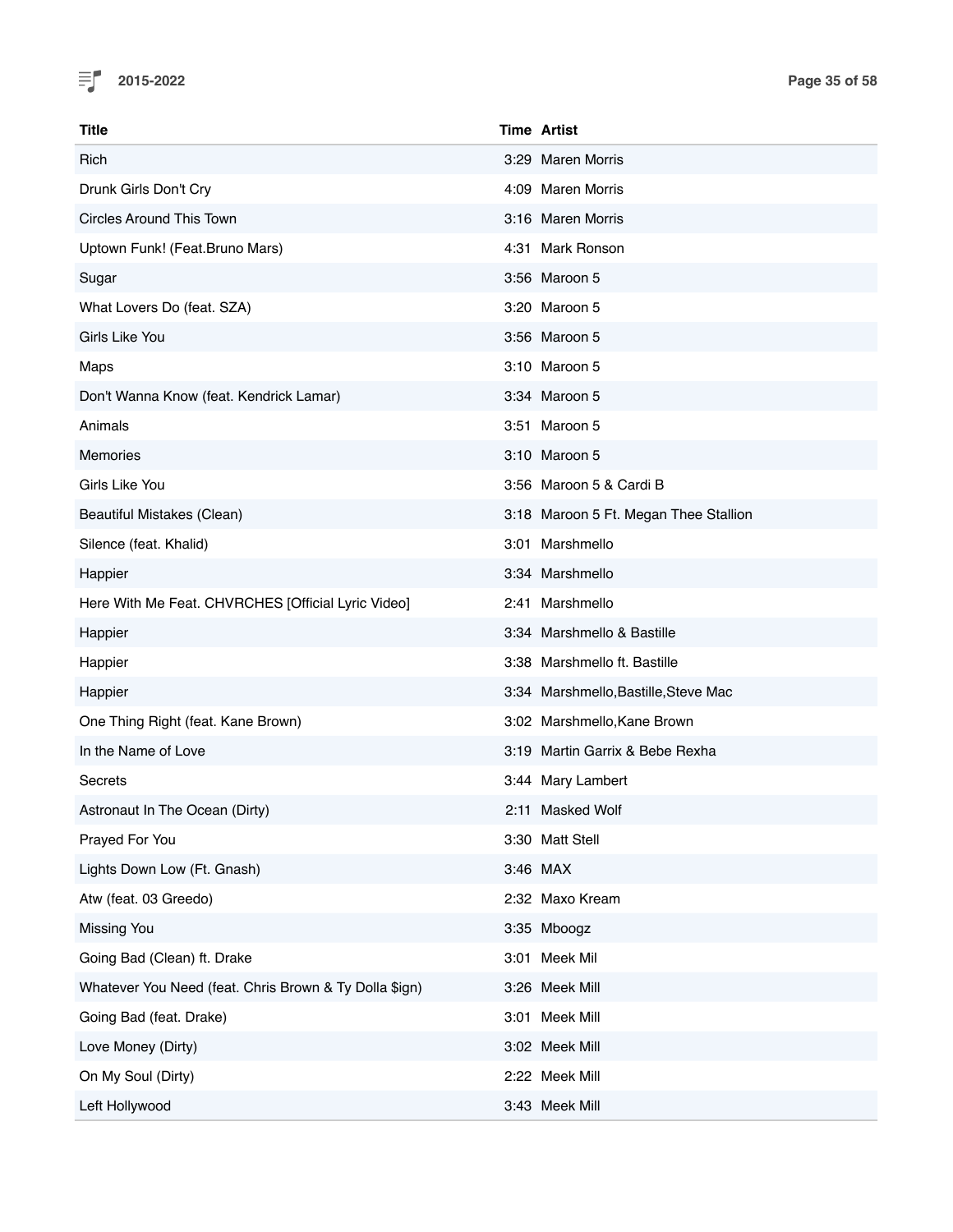

| Title                                                  | <b>Time Artist</b>                    |
|--------------------------------------------------------|---------------------------------------|
| Rich                                                   | 3:29 Maren Morris                     |
| Drunk Girls Don't Cry                                  | 4:09 Maren Morris                     |
| <b>Circles Around This Town</b>                        | 3:16 Maren Morris                     |
| Uptown Funk! (Feat.Bruno Mars)                         | 4:31 Mark Ronson                      |
| Sugar                                                  | 3:56 Maroon 5                         |
| What Lovers Do (feat. SZA)                             | 3:20 Maroon 5                         |
| Girls Like You                                         | 3:56 Maroon 5                         |
| Maps                                                   | 3:10 Maroon 5                         |
| Don't Wanna Know (feat. Kendrick Lamar)                | 3:34 Maroon 5                         |
| Animals                                                | 3:51 Maroon 5                         |
| <b>Memories</b>                                        | 3:10 Maroon 5                         |
| Girls Like You                                         | 3:56 Maroon 5 & Cardi B               |
| Beautiful Mistakes (Clean)                             | 3:18 Maroon 5 Ft. Megan Thee Stallion |
| Silence (feat. Khalid)                                 | 3:01 Marshmello                       |
| Happier                                                | 3:34 Marshmello                       |
| Here With Me Feat. CHVRCHES [Official Lyric Video]     | 2:41 Marshmello                       |
| Happier                                                | 3:34 Marshmello & Bastille            |
| Happier                                                | 3:38 Marshmello ft. Bastille          |
| Happier                                                | 3:34 Marshmello, Bastille, Steve Mac  |
| One Thing Right (feat. Kane Brown)                     | 3:02 Marshmello, Kane Brown           |
| In the Name of Love                                    | 3:19 Martin Garrix & Bebe Rexha       |
| Secrets                                                | 3:44 Mary Lambert                     |
| Astronaut In The Ocean (Dirty)                         | 2:11 Masked Wolf                      |
| Prayed For You                                         | 3:30 Matt Stell                       |
| Lights Down Low (Ft. Gnash)                            | 3:46 MAX                              |
| Atw (feat. 03 Greedo)                                  | 2:32 Maxo Kream                       |
| Missing You                                            | 3:35 Mboogz                           |
| Going Bad (Clean) ft. Drake                            | 3:01 Meek Mil                         |
| Whatever You Need (feat. Chris Brown & Ty Dolla \$ign) | 3:26 Meek Mill                        |
| Going Bad (feat. Drake)                                | 3:01 Meek Mill                        |
| Love Money (Dirty)                                     | 3:02 Meek Mill                        |
| On My Soul (Dirty)                                     | 2:22 Meek Mill                        |
| Left Hollywood                                         | 3:43 Meek Mill                        |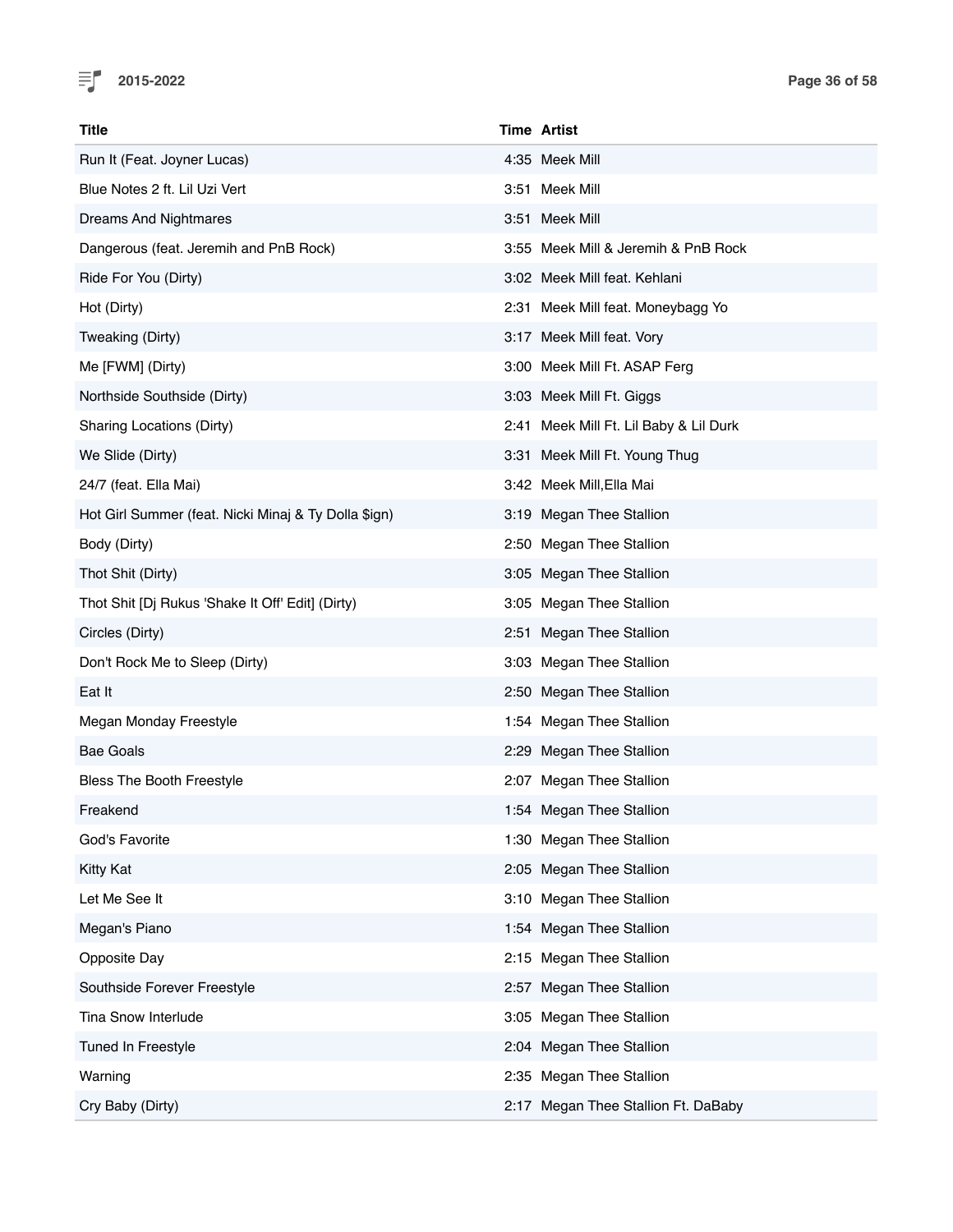

| Title                                                | <b>Time Artist</b>                     |
|------------------------------------------------------|----------------------------------------|
| Run It (Feat. Joyner Lucas)                          | 4:35 Meek Mill                         |
| Blue Notes 2 ft. Lil Uzi Vert                        | 3:51 Meek Mill                         |
| Dreams And Nightmares                                | 3:51 Meek Mill                         |
| Dangerous (feat. Jeremih and PnB Rock)               | 3:55 Meek Mill & Jeremih & PnB Rock    |
| Ride For You (Dirty)                                 | 3:02 Meek Mill feat. Kehlani           |
| Hot (Dirty)                                          | 2:31 Meek Mill feat. Moneybagg Yo      |
| Tweaking (Dirty)                                     | 3:17 Meek Mill feat. Vory              |
| Me [FWM] (Dirty)                                     | 3:00 Meek Mill Ft. ASAP Ferg           |
| Northside Southside (Dirty)                          | 3:03 Meek Mill Ft. Giggs               |
| <b>Sharing Locations (Dirty)</b>                     | 2:41 Meek Mill Ft. Lil Baby & Lil Durk |
| We Slide (Dirty)                                     | 3:31 Meek Mill Ft. Young Thug          |
| 24/7 (feat. Ella Mai)                                | 3:42 Meek Mill, Ella Mai               |
| Hot Girl Summer (feat. Nicki Minaj & Ty Dolla \$ign) | 3:19 Megan Thee Stallion               |
| Body (Dirty)                                         | 2:50 Megan Thee Stallion               |
| Thot Shit (Dirty)                                    | 3:05 Megan Thee Stallion               |
| Thot Shit [Dj Rukus 'Shake It Off' Edit] (Dirty)     | 3:05 Megan Thee Stallion               |
| Circles (Dirty)                                      | 2:51 Megan Thee Stallion               |
| Don't Rock Me to Sleep (Dirty)                       | 3:03 Megan Thee Stallion               |
| Eat It                                               | 2:50 Megan Thee Stallion               |
| Megan Monday Freestyle                               | 1:54 Megan Thee Stallion               |
| <b>Bae Goals</b>                                     | 2:29 Megan Thee Stallion               |
| <b>Bless The Booth Freestyle</b>                     | 2:07 Megan Thee Stallion               |
| Freakend                                             | 1:54 Megan Thee Stallion               |
| God's Favorite                                       | 1:30 Megan Thee Stallion               |
| <b>Kitty Kat</b>                                     | 2:05 Megan Thee Stallion               |
| Let Me See It                                        | 3:10 Megan Thee Stallion               |
| Megan's Piano                                        | 1:54 Megan Thee Stallion               |
| Opposite Day                                         | 2:15 Megan Thee Stallion               |
| Southside Forever Freestyle                          | 2:57 Megan Thee Stallion               |
| Tina Snow Interlude                                  | 3:05 Megan Thee Stallion               |
| Tuned In Freestyle                                   | 2:04 Megan Thee Stallion               |
| Warning                                              | 2:35 Megan Thee Stallion               |
| Cry Baby (Dirty)                                     | 2:17 Megan Thee Stallion Ft. DaBaby    |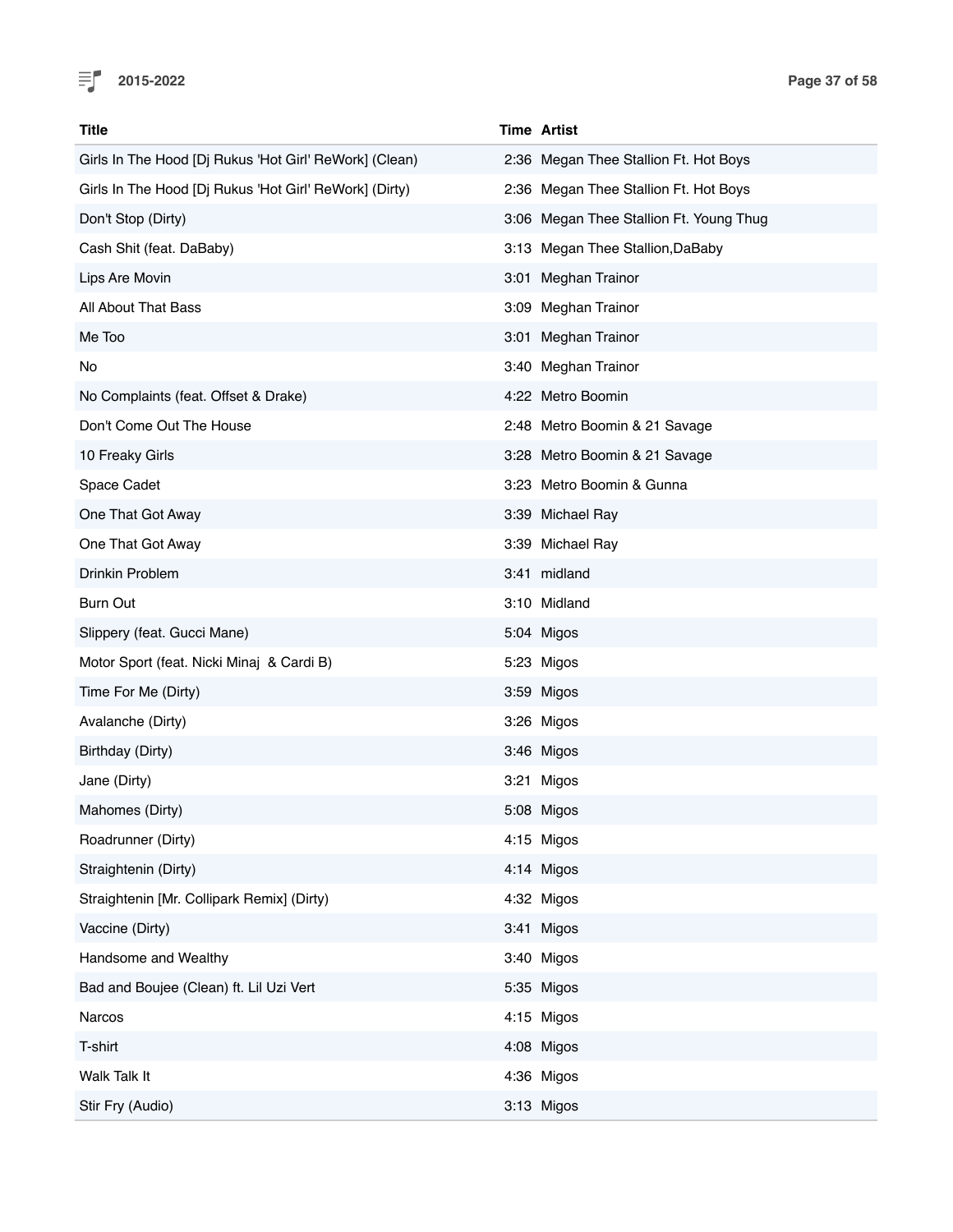

| <b>Title</b>                                           | <b>Time Artist</b>                      |  |
|--------------------------------------------------------|-----------------------------------------|--|
| Girls In The Hood [Dj Rukus 'Hot Girl' ReWork] (Clean) | 2:36 Megan Thee Stallion Ft. Hot Boys   |  |
| Girls In The Hood [Dj Rukus 'Hot Girl' ReWork] (Dirty) | 2:36 Megan Thee Stallion Ft. Hot Boys   |  |
| Don't Stop (Dirty)                                     | 3:06 Megan Thee Stallion Ft. Young Thug |  |
| Cash Shit (feat. DaBaby)                               | 3:13 Megan Thee Stallion, DaBaby        |  |
| Lips Are Movin                                         | 3:01 Meghan Trainor                     |  |
| All About That Bass                                    | 3:09 Meghan Trainor                     |  |
| Me Too                                                 | 3:01 Meghan Trainor                     |  |
| No                                                     | 3:40 Meghan Trainor                     |  |
| No Complaints (feat. Offset & Drake)                   | 4:22 Metro Boomin                       |  |
| Don't Come Out The House                               | 2:48 Metro Boomin & 21 Savage           |  |
| 10 Freaky Girls                                        | 3:28 Metro Boomin & 21 Savage           |  |
| Space Cadet                                            | 3:23 Metro Boomin & Gunna               |  |
| One That Got Away                                      | 3:39 Michael Ray                        |  |
| One That Got Away                                      | 3:39 Michael Ray                        |  |
| Drinkin Problem                                        | 3:41 midland                            |  |
| Burn Out                                               | 3:10 Midland                            |  |
| Slippery (feat. Gucci Mane)                            | 5:04 Migos                              |  |
| Motor Sport (feat. Nicki Minaj & Cardi B)              | 5:23 Migos                              |  |
| Time For Me (Dirty)                                    | 3:59 Migos                              |  |
| Avalanche (Dirty)                                      | 3:26 Migos                              |  |
| Birthday (Dirty)                                       | 3:46 Migos                              |  |
| Jane (Dirty)                                           | 3:21 Migos                              |  |
| Mahomes (Dirty)                                        | 5:08 Migos                              |  |
| Roadrunner (Dirty)                                     | 4:15 Migos                              |  |
| Straightenin (Dirty)                                   | 4:14 Migos                              |  |
| Straightenin [Mr. Collipark Remix] (Dirty)             | 4:32 Migos                              |  |
| Vaccine (Dirty)                                        | 3:41 Migos                              |  |
| Handsome and Wealthy                                   | 3:40 Migos                              |  |
| Bad and Boujee (Clean) ft. Lil Uzi Vert                | 5:35 Migos                              |  |
| Narcos                                                 | 4:15 Migos                              |  |
| T-shirt                                                | 4:08 Migos                              |  |
| Walk Talk It                                           | 4:36 Migos                              |  |
| Stir Fry (Audio)                                       | 3:13 Migos                              |  |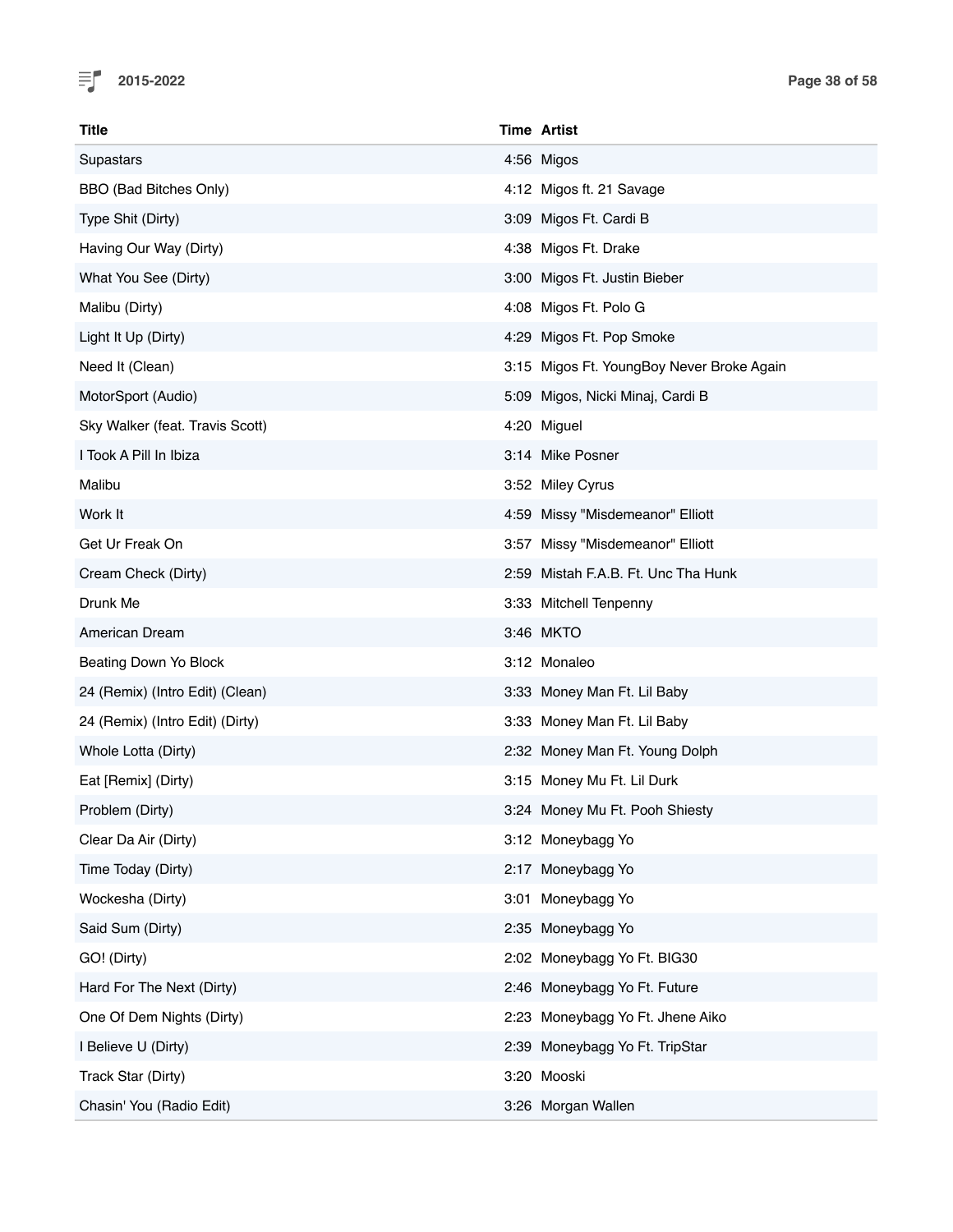

| <b>Title</b>                    | <b>Time Artist</b>                        |
|---------------------------------|-------------------------------------------|
| Supastars                       | 4:56 Migos                                |
| <b>BBO</b> (Bad Bitches Only)   | 4:12 Migos ft. 21 Savage                  |
| Type Shit (Dirty)               | 3:09 Migos Ft. Cardi B                    |
| Having Our Way (Dirty)          | 4:38 Migos Ft. Drake                      |
| What You See (Dirty)            | 3:00 Migos Ft. Justin Bieber              |
| Malibu (Dirty)                  | 4:08 Migos Ft. Polo G                     |
| Light It Up (Dirty)             | 4:29 Migos Ft. Pop Smoke                  |
| Need It (Clean)                 | 3:15 Migos Ft. YoungBoy Never Broke Again |
| MotorSport (Audio)              | 5:09 Migos, Nicki Minaj, Cardi B          |
| Sky Walker (feat. Travis Scott) | 4:20 Miguel                               |
| I Took A Pill In Ibiza          | 3:14 Mike Posner                          |
| Malibu                          | 3:52 Miley Cyrus                          |
| Work It                         | 4:59 Missy "Misdemeanor" Elliott          |
| Get Ur Freak On                 | 3:57 Missy "Misdemeanor" Elliott          |
| Cream Check (Dirty)             | 2:59 Mistah F.A.B. Ft. Unc Tha Hunk       |
| Drunk Me                        | 3:33 Mitchell Tenpenny                    |
| American Dream                  | 3:46 MKTO                                 |
| Beating Down Yo Block           | 3:12 Monaleo                              |
| 24 (Remix) (Intro Edit) (Clean) | 3:33 Money Man Ft. Lil Baby               |
| 24 (Remix) (Intro Edit) (Dirty) | 3:33 Money Man Ft. Lil Baby               |
| Whole Lotta (Dirty)             | 2:32 Money Man Ft. Young Dolph            |
| Eat [Remix] (Dirty)             | 3:15 Money Mu Ft. Lil Durk                |
| Problem (Dirty)                 | 3:24 Money Mu Ft. Pooh Shiesty            |
| Clear Da Air (Dirty)            | 3:12 Moneybagg Yo                         |
| Time Today (Dirty)              | 2:17 Moneybagg Yo                         |
| Wockesha (Dirty)                | 3:01 Moneybagg Yo                         |
| Said Sum (Dirty)                | 2:35 Moneybagg Yo                         |
| GO! (Dirty)                     | 2:02 Moneybagg Yo Ft. BIG30               |
| Hard For The Next (Dirty)       | 2:46 Moneybagg Yo Ft. Future              |
| One Of Dem Nights (Dirty)       | 2:23 Moneybagg Yo Ft. Jhene Aiko          |
| I Believe U (Dirty)             | 2:39 Moneybagg Yo Ft. TripStar            |
| Track Star (Dirty)              | 3:20 Mooski                               |
| Chasin' You (Radio Edit)        | 3:26 Morgan Wallen                        |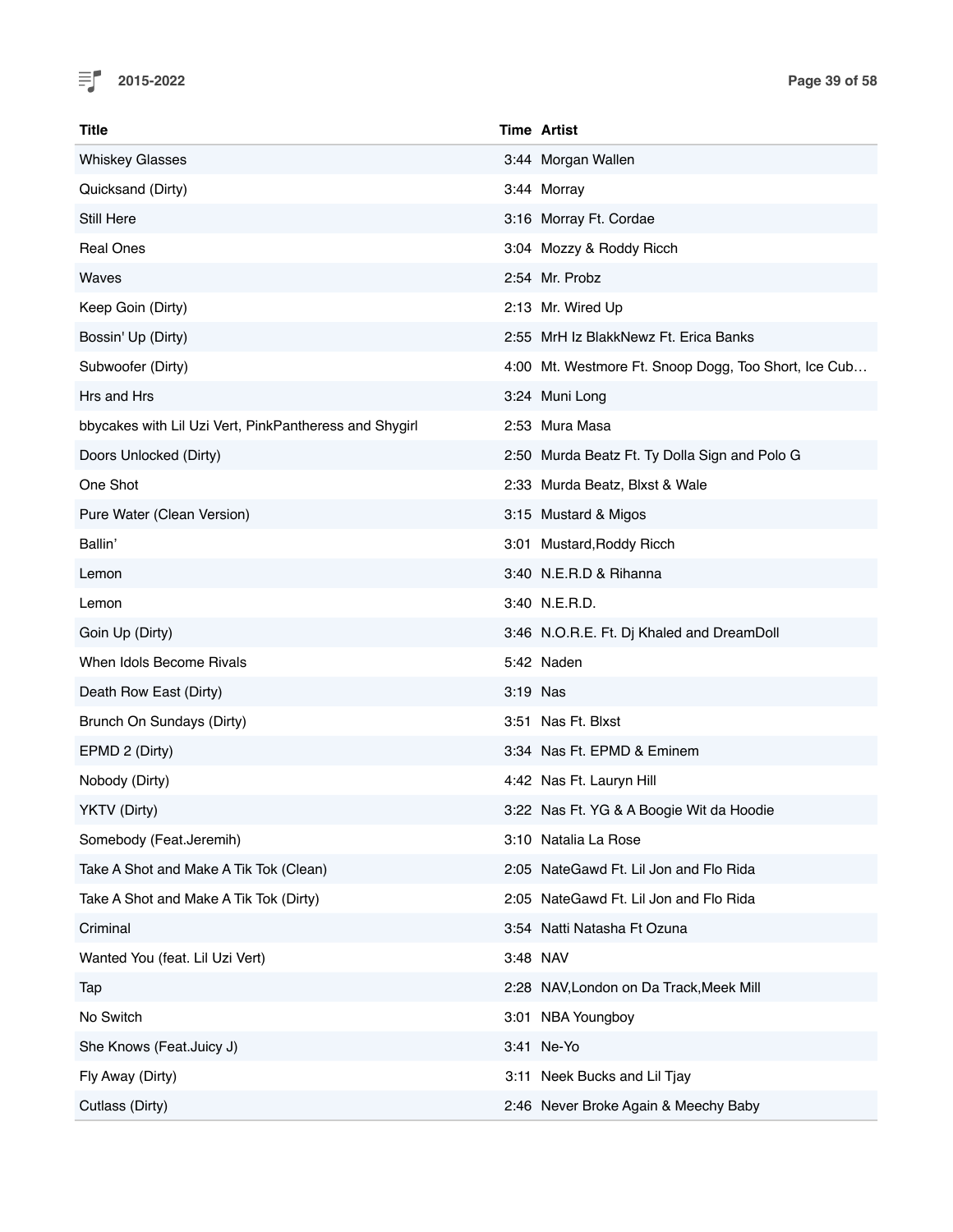

| Title                                                  |          | <b>Time Artist</b>                                   |
|--------------------------------------------------------|----------|------------------------------------------------------|
| <b>Whiskey Glasses</b>                                 |          | 3:44 Morgan Wallen                                   |
| Quicksand (Dirty)                                      |          | 3:44 Morray                                          |
| Still Here                                             |          | 3:16 Morray Ft. Cordae                               |
| <b>Real Ones</b>                                       |          | 3:04 Mozzy & Roddy Ricch                             |
| Waves                                                  |          | 2:54 Mr. Probz                                       |
| Keep Goin (Dirty)                                      |          | 2:13 Mr. Wired Up                                    |
| Bossin' Up (Dirty)                                     |          | 2:55 MrH Iz BlakkNewz Ft. Erica Banks                |
| Subwoofer (Dirty)                                      |          | 4:00 Mt. Westmore Ft. Snoop Dogg, Too Short, Ice Cub |
| Hrs and Hrs                                            |          | 3:24 Muni Long                                       |
| bbycakes with Lil Uzi Vert, PinkPantheress and Shygirl |          | 2:53 Mura Masa                                       |
| Doors Unlocked (Dirty)                                 |          | 2:50 Murda Beatz Ft. Ty Dolla Sign and Polo G        |
| One Shot                                               |          | 2:33 Murda Beatz, Blxst & Wale                       |
| Pure Water (Clean Version)                             |          | 3:15 Mustard & Migos                                 |
| Ballin'                                                |          | 3:01 Mustard, Roddy Ricch                            |
| Lemon                                                  |          | 3:40 N.E.R.D & Rihanna                               |
| Lemon                                                  |          | 3:40 N.E.R.D.                                        |
| Goin Up (Dirty)                                        |          | 3:46 N.O.R.E. Ft. Dj Khaled and DreamDoll            |
| When Idols Become Rivals                               |          | 5:42 Naden                                           |
| Death Row East (Dirty)                                 | 3:19 Nas |                                                      |
| Brunch On Sundays (Dirty)                              |          | 3:51 Nas Ft. Blxst                                   |
| EPMD 2 (Dirty)                                         |          | 3:34 Nas Ft. EPMD & Eminem                           |
| Nobody (Dirty)                                         |          | 4:42 Nas Ft. Lauryn Hill                             |
| YKTV (Dirty)                                           |          | 3:22 Nas Ft. YG & A Boogie Wit da Hoodie             |
| Somebody (Feat.Jeremih)                                |          | 3:10 Natalia La Rose                                 |
| Take A Shot and Make A Tik Tok (Clean)                 |          | 2:05 NateGawd Ft. Lil Jon and Flo Rida               |
| Take A Shot and Make A Tik Tok (Dirty)                 |          | 2:05 NateGawd Ft. Lil Jon and Flo Rida               |
| Criminal                                               |          | 3:54 Natti Natasha Ft Ozuna                          |
| Wanted You (feat. Lil Uzi Vert)                        | 3:48 NAV |                                                      |
| Tap                                                    |          | 2:28 NAV, London on Da Track, Meek Mill              |
| No Switch                                              |          | 3:01 NBA Youngboy                                    |
| She Knows (Feat.Juicy J)                               |          | 3:41 Ne-Yo                                           |
| Fly Away (Dirty)                                       |          | 3:11 Neek Bucks and Lil Tjay                         |
| Cutlass (Dirty)                                        |          | 2:46 Never Broke Again & Meechy Baby                 |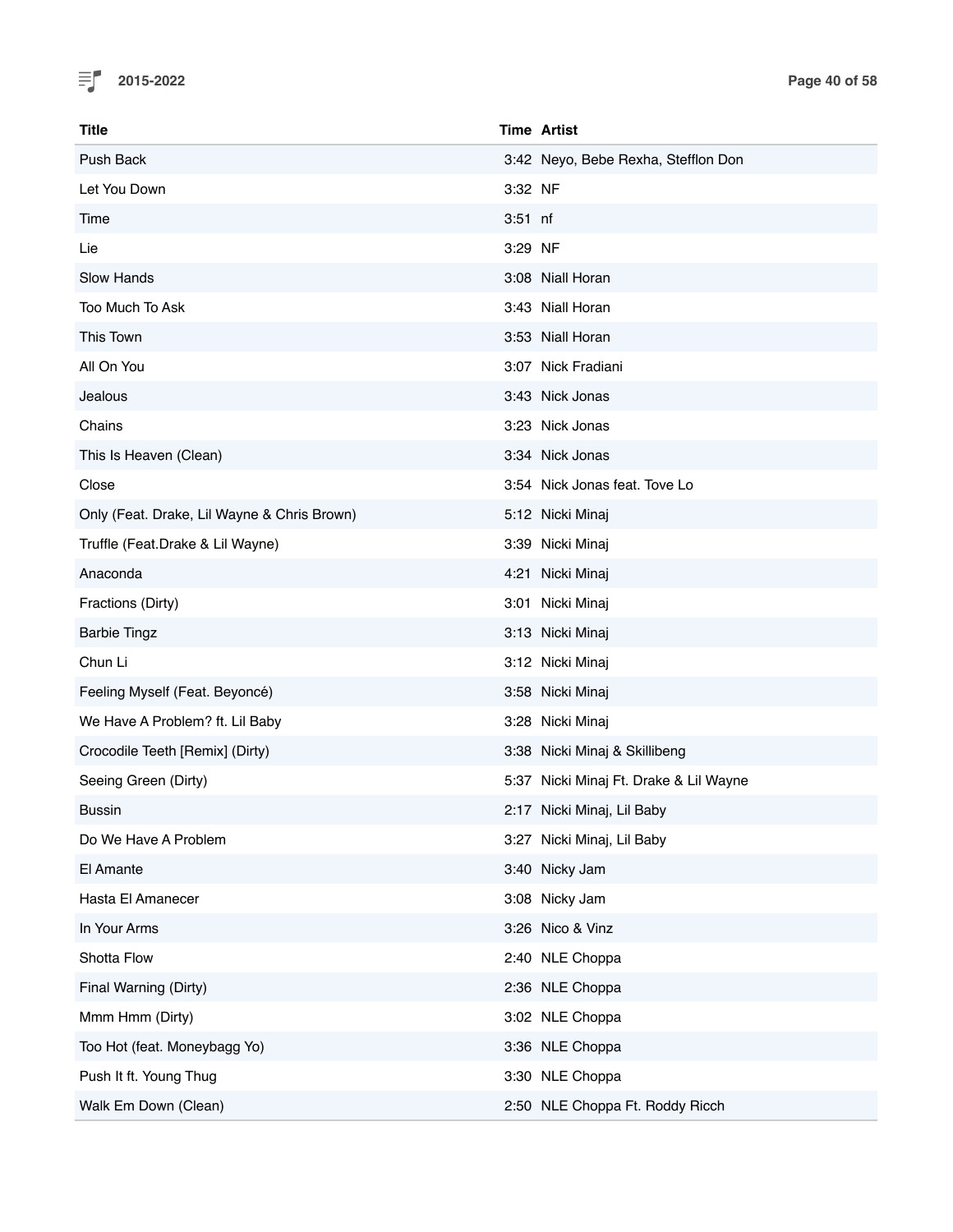

| Title                                       |           | <b>Time Artist</b>                     |
|---------------------------------------------|-----------|----------------------------------------|
| Push Back                                   |           | 3:42 Neyo, Bebe Rexha, Stefflon Don    |
| Let You Down                                | 3:32 NF   |                                        |
| Time                                        | $3:51$ nf |                                        |
| Lie                                         | 3:29 NF   |                                        |
| Slow Hands                                  |           | 3:08 Niall Horan                       |
| Too Much To Ask                             |           | 3:43 Niall Horan                       |
| This Town                                   |           | 3:53 Niall Horan                       |
| All On You                                  |           | 3:07 Nick Fradiani                     |
| Jealous                                     |           | 3:43 Nick Jonas                        |
| Chains                                      |           | 3:23 Nick Jonas                        |
| This Is Heaven (Clean)                      |           | 3:34 Nick Jonas                        |
| Close                                       |           | 3:54 Nick Jonas feat. Tove Lo          |
| Only (Feat. Drake, Lil Wayne & Chris Brown) |           | 5:12 Nicki Minaj                       |
| Truffle (Feat.Drake & Lil Wayne)            |           | 3:39 Nicki Minaj                       |
| Anaconda                                    |           | 4:21 Nicki Minaj                       |
| Fractions (Dirty)                           |           | 3:01 Nicki Minaj                       |
| <b>Barbie Tingz</b>                         |           | 3:13 Nicki Minaj                       |
| Chun Li                                     |           | 3:12 Nicki Minaj                       |
| Feeling Myself (Feat. Beyoncé)              |           | 3:58 Nicki Minaj                       |
| We Have A Problem? ft. Lil Baby             |           | 3:28 Nicki Minaj                       |
| Crocodile Teeth [Remix] (Dirty)             |           | 3:38 Nicki Minaj & Skillibeng          |
| Seeing Green (Dirty)                        |           | 5:37 Nicki Minaj Ft. Drake & Lil Wayne |
| Bussin                                      |           | 2:17 Nicki Minaj, Lil Baby             |
| Do We Have A Problem                        |           | 3:27 Nicki Minaj, Lil Baby             |
| El Amante                                   |           | 3:40 Nicky Jam                         |
| Hasta El Amanecer                           |           | 3:08 Nicky Jam                         |
| In Your Arms                                |           | 3:26 Nico & Vinz                       |
| Shotta Flow                                 |           | 2:40 NLE Choppa                        |
| Final Warning (Dirty)                       |           | 2:36 NLE Choppa                        |
| Mmm Hmm (Dirty)                             |           | 3:02 NLE Choppa                        |
| Too Hot (feat. Moneybagg Yo)                |           | 3:36 NLE Choppa                        |
| Push It ft. Young Thug                      |           | 3:30 NLE Choppa                        |
| Walk Em Down (Clean)                        |           | 2:50 NLE Choppa Ft. Roddy Ricch        |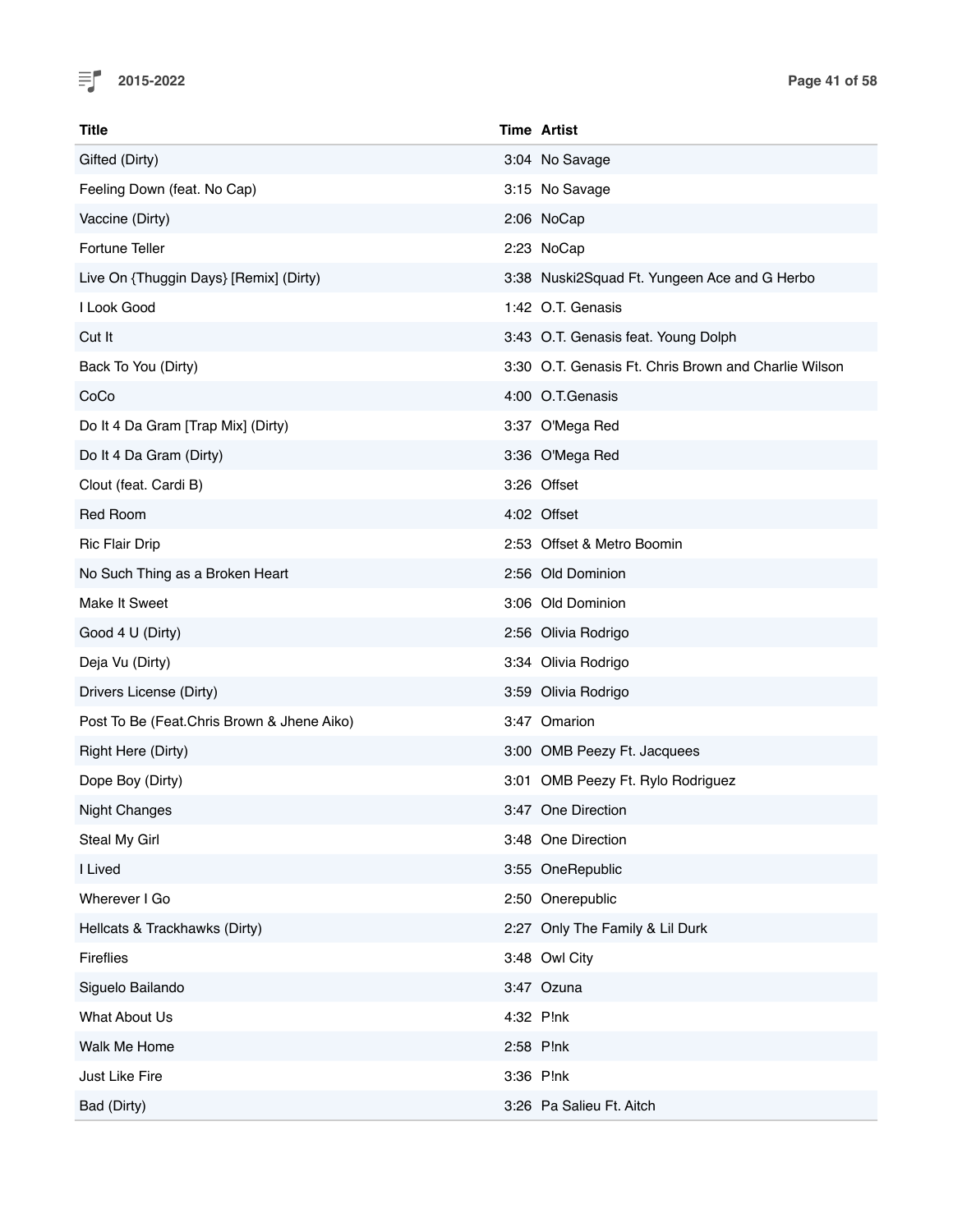

| <b>Title</b>                               | <b>Time Artist</b>                                   |
|--------------------------------------------|------------------------------------------------------|
| Gifted (Dirty)                             | 3:04 No Savage                                       |
| Feeling Down (feat. No Cap)                | 3:15 No Savage                                       |
| Vaccine (Dirty)                            | 2:06 NoCap                                           |
| Fortune Teller                             | 2:23 NoCap                                           |
| Live On {Thuggin Days} [Remix] (Dirty)     | 3:38 Nuski2Squad Ft. Yungeen Ace and G Herbo         |
| I Look Good                                | 1:42 O.T. Genasis                                    |
| Cut It                                     | 3:43 O.T. Genasis feat. Young Dolph                  |
| Back To You (Dirty)                        | 3:30 O.T. Genasis Ft. Chris Brown and Charlie Wilson |
| CoCo                                       | 4:00 O.T.Genasis                                     |
| Do It 4 Da Gram [Trap Mix] (Dirty)         | 3:37 O'Mega Red                                      |
| Do It 4 Da Gram (Dirty)                    | 3:36 O'Mega Red                                      |
| Clout (feat. Cardi B)                      | 3:26 Offset                                          |
| Red Room                                   | 4:02 Offset                                          |
| <b>Ric Flair Drip</b>                      | 2:53 Offset & Metro Boomin                           |
| No Such Thing as a Broken Heart            | 2:56 Old Dominion                                    |
| Make It Sweet                              | 3:06 Old Dominion                                    |
| Good 4 U (Dirty)                           | 2:56 Olivia Rodrigo                                  |
| Deja Vu (Dirty)                            | 3:34 Olivia Rodrigo                                  |
| Drivers License (Dirty)                    | 3:59 Olivia Rodrigo                                  |
| Post To Be (Feat.Chris Brown & Jhene Aiko) | 3:47 Omarion                                         |
| Right Here (Dirty)                         | 3:00 OMB Peezy Ft. Jacquees                          |
| Dope Boy (Dirty)                           | 3:01 OMB Peezy Ft. Rylo Rodriguez                    |
| <b>Night Changes</b>                       | 3:47 One Direction                                   |
| Steal My Girl                              | 3:48 One Direction                                   |
| I Lived                                    | 3:55 OneRepublic                                     |
| Wherever I Go                              | 2:50 Onerepublic                                     |
| Hellcats & Trackhawks (Dirty)              | 2:27 Only The Family & Lil Durk                      |
| <b>Fireflies</b>                           | 3:48 Owl City                                        |
| Siguelo Bailando                           | 3:47 Ozuna                                           |
| What About Us                              | 4:32 P!nk                                            |
| Walk Me Home                               | 2:58 P!nk                                            |
| Just Like Fire                             | 3:36 P!nk                                            |
| Bad (Dirty)                                | 3:26 Pa Salieu Ft. Aitch                             |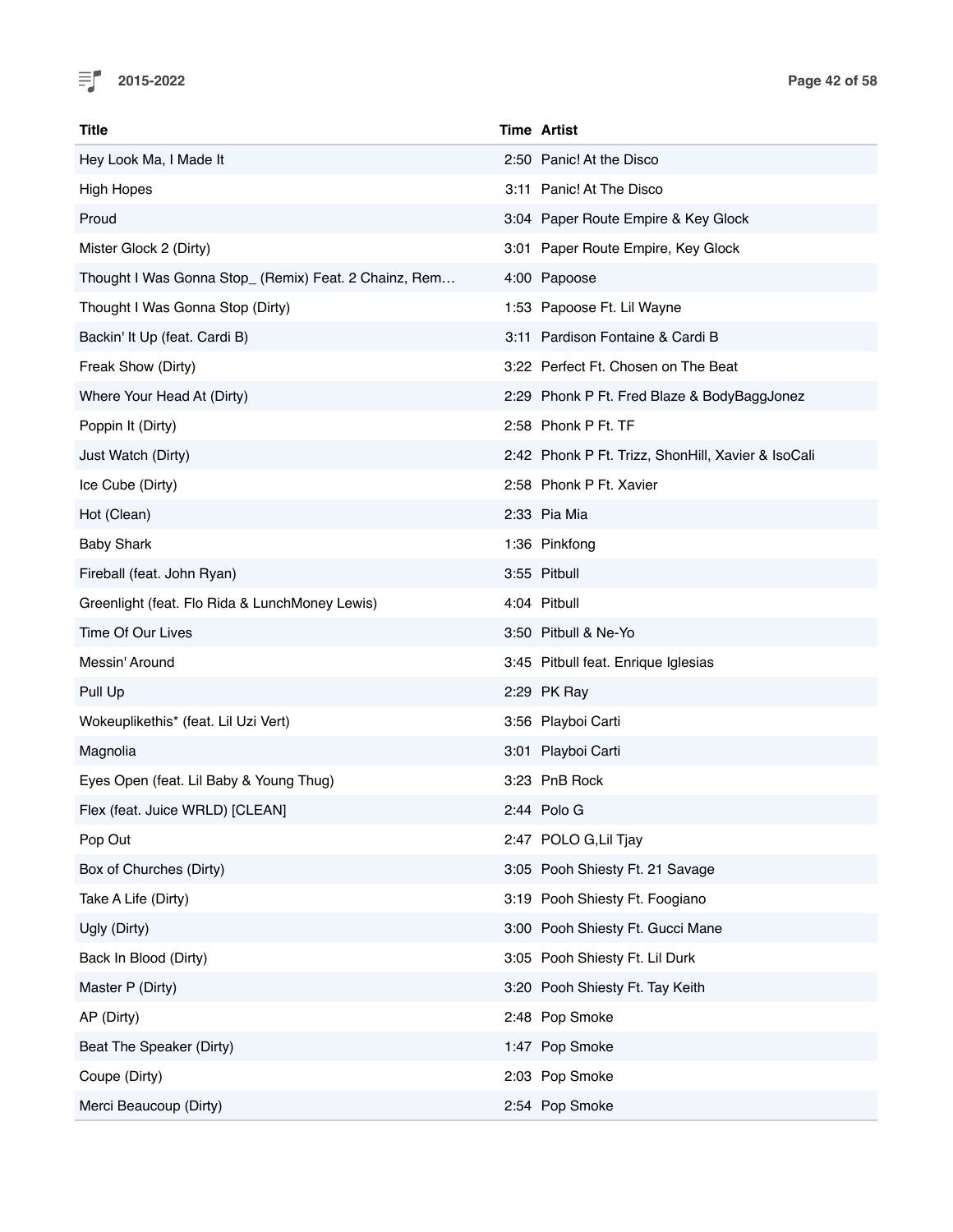

| Title                                                 | <b>Time Artist</b>                                 |
|-------------------------------------------------------|----------------------------------------------------|
| Hey Look Ma, I Made It                                | 2:50 Panic! At the Disco                           |
| <b>High Hopes</b>                                     | 3:11 Panic! At The Disco                           |
| Proud                                                 | 3:04 Paper Route Empire & Key Glock                |
| Mister Glock 2 (Dirty)                                | 3:01 Paper Route Empire, Key Glock                 |
| Thought I Was Gonna Stop_ (Remix) Feat. 2 Chainz, Rem | 4:00 Papoose                                       |
| Thought I Was Gonna Stop (Dirty)                      | 1:53 Papoose Ft. Lil Wayne                         |
| Backin' It Up (feat. Cardi B)                         | 3:11 Pardison Fontaine & Cardi B                   |
| Freak Show (Dirty)                                    | 3:22 Perfect Ft. Chosen on The Beat                |
| Where Your Head At (Dirty)                            | 2:29 Phonk P Ft. Fred Blaze & BodyBaggJonez        |
| Poppin It (Dirty)                                     | 2:58 Phonk P Ft. TF                                |
| Just Watch (Dirty)                                    | 2:42 Phonk P Ft. Trizz, ShonHill, Xavier & IsoCali |
| Ice Cube (Dirty)                                      | 2:58 Phonk P Ft. Xavier                            |
| Hot (Clean)                                           | 2:33 Pia Mia                                       |
| <b>Baby Shark</b>                                     | 1:36 Pinkfong                                      |
| Fireball (feat. John Ryan)                            | 3:55 Pitbull                                       |
| Greenlight (feat. Flo Rida & LunchMoney Lewis)        | 4:04 Pitbull                                       |
| Time Of Our Lives                                     | 3:50 Pitbull & Ne-Yo                               |
| Messin' Around                                        | 3:45 Pitbull feat. Enrique Iglesias                |
| Pull Up                                               | 2:29 PK Ray                                        |
| Wokeuplikethis* (feat. Lil Uzi Vert)                  | 3:56 Playboi Carti                                 |
| Magnolia                                              | 3:01 Playboi Carti                                 |
| Eyes Open (feat. Lil Baby & Young Thug)               | 3:23 PnB Rock                                      |
| Flex (feat. Juice WRLD) [CLEAN]                       | 2:44 Polo G                                        |
| Pop Out                                               | 2:47 POLO G, Lil Tjay                              |
| Box of Churches (Dirty)                               | 3:05 Pooh Shiesty Ft. 21 Savage                    |
| Take A Life (Dirty)                                   | 3:19 Pooh Shiesty Ft. Foogiano                     |
| Ugly (Dirty)                                          | 3:00 Pooh Shiesty Ft. Gucci Mane                   |
| Back In Blood (Dirty)                                 | 3:05 Pooh Shiesty Ft. Lil Durk                     |
| Master P (Dirty)                                      | 3:20 Pooh Shiesty Ft. Tay Keith                    |
| AP (Dirty)                                            | 2:48 Pop Smoke                                     |
| Beat The Speaker (Dirty)                              | 1:47 Pop Smoke                                     |
| Coupe (Dirty)                                         | 2:03 Pop Smoke                                     |
| Merci Beaucoup (Dirty)                                | 2:54 Pop Smoke                                     |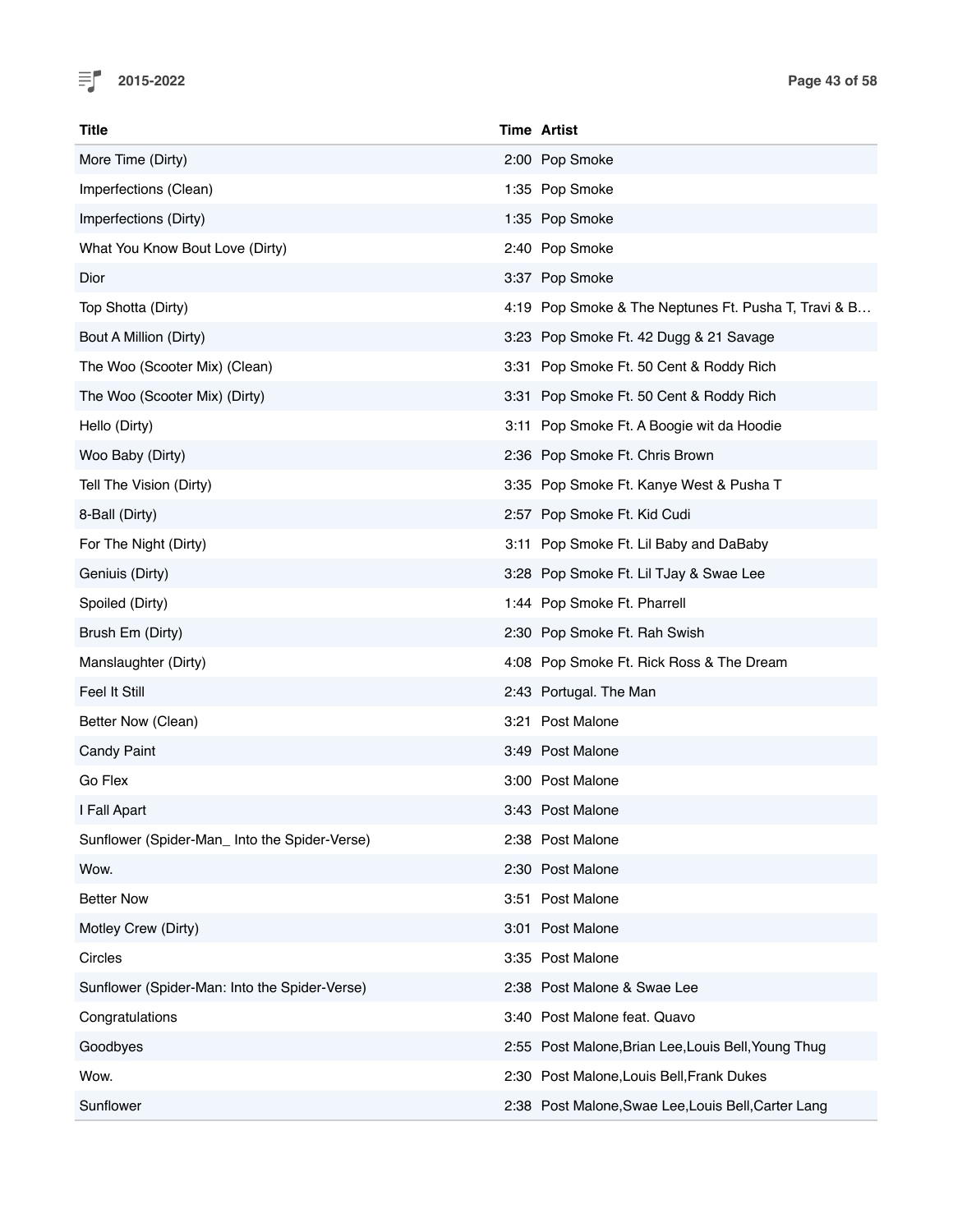

| Title                                         | <b>Time Artist</b>                                   |
|-----------------------------------------------|------------------------------------------------------|
| More Time (Dirty)                             | 2:00 Pop Smoke                                       |
| Imperfections (Clean)                         | 1:35 Pop Smoke                                       |
| Imperfections (Dirty)                         | 1:35 Pop Smoke                                       |
| What You Know Bout Love (Dirty)               | 2:40 Pop Smoke                                       |
| Dior                                          | 3:37 Pop Smoke                                       |
| Top Shotta (Dirty)                            | 4:19 Pop Smoke & The Neptunes Ft. Pusha T, Travi & B |
| Bout A Million (Dirty)                        | 3:23 Pop Smoke Ft. 42 Dugg & 21 Savage               |
| The Woo (Scooter Mix) (Clean)                 | 3:31 Pop Smoke Ft. 50 Cent & Roddy Rich              |
| The Woo (Scooter Mix) (Dirty)                 | 3:31 Pop Smoke Ft. 50 Cent & Roddy Rich              |
| Hello (Dirty)                                 | 3:11 Pop Smoke Ft. A Boogie wit da Hoodie            |
| Woo Baby (Dirty)                              | 2:36 Pop Smoke Ft. Chris Brown                       |
| Tell The Vision (Dirty)                       | 3:35 Pop Smoke Ft. Kanye West & Pusha T              |
| 8-Ball (Dirty)                                | 2:57 Pop Smoke Ft. Kid Cudi                          |
| For The Night (Dirty)                         | 3:11 Pop Smoke Ft. Lil Baby and DaBaby               |
| Geniuis (Dirty)                               | 3:28 Pop Smoke Ft. Lil TJay & Swae Lee               |
| Spoiled (Dirty)                               | 1:44 Pop Smoke Ft. Pharrell                          |
| Brush Em (Dirty)                              | 2:30 Pop Smoke Ft. Rah Swish                         |
| Manslaughter (Dirty)                          | 4:08 Pop Smoke Ft. Rick Ross & The Dream             |
| Feel It Still                                 | 2:43 Portugal. The Man                               |
| Better Now (Clean)                            | 3:21 Post Malone                                     |
| <b>Candy Paint</b>                            | 3:49 Post Malone                                     |
| Go Flex                                       | 3:00 Post Malone                                     |
| I Fall Apart                                  | 3:43 Post Malone                                     |
| Sunflower (Spider-Man_Into the Spider-Verse)  | 2:38 Post Malone                                     |
| Wow.                                          | 2:30 Post Malone                                     |
| <b>Better Now</b>                             | Post Malone<br>3:51                                  |
| Motley Crew (Dirty)                           | 3:01 Post Malone                                     |
| Circles                                       | 3:35 Post Malone                                     |
| Sunflower (Spider-Man: Into the Spider-Verse) | 2:38 Post Malone & Swae Lee                          |
| Congratulations                               | 3:40 Post Malone feat. Quavo                         |
| Goodbyes                                      | 2:55 Post Malone, Brian Lee, Louis Bell, Young Thug  |
| Wow.                                          | 2:30 Post Malone, Louis Bell, Frank Dukes            |
| Sunflower                                     | 2:38 Post Malone, Swae Lee, Louis Bell, Carter Lang  |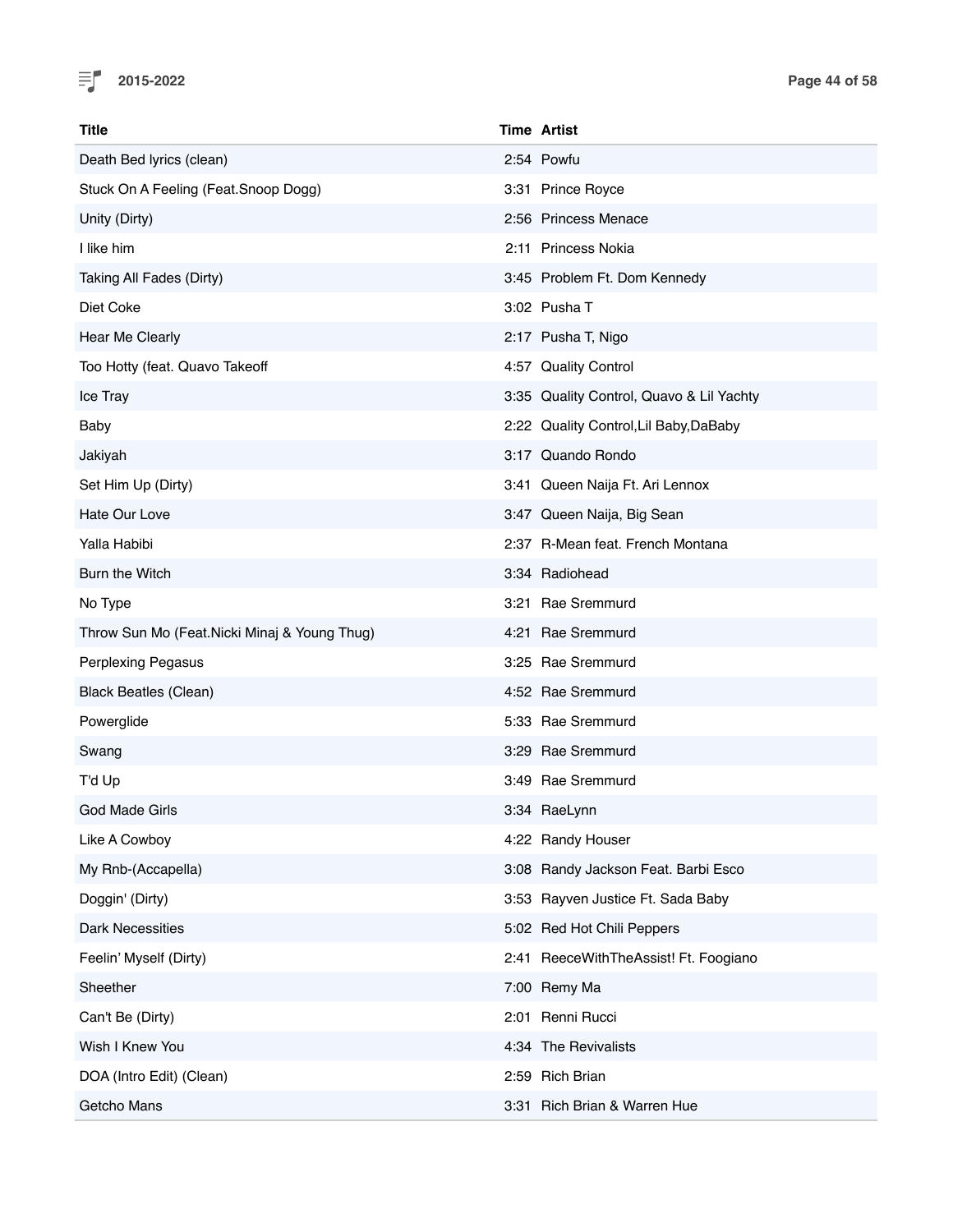

| <b>Title</b>                                 | <b>Time Artist</b>                       |
|----------------------------------------------|------------------------------------------|
| Death Bed lyrics (clean)                     | 2:54 Powfu                               |
| Stuck On A Feeling (Feat.Snoop Dogg)         | 3:31 Prince Royce                        |
| Unity (Dirty)                                | 2:56 Princess Menace                     |
| I like him                                   | 2:11 Princess Nokia                      |
| Taking All Fades (Dirty)                     | 3:45 Problem Ft. Dom Kennedy             |
| Diet Coke                                    | 3:02 Pusha T                             |
| Hear Me Clearly                              | 2:17 Pusha T, Nigo                       |
| Too Hotty (feat. Quavo Takeoff               | 4:57 Quality Control                     |
| Ice Tray                                     | 3:35 Quality Control, Quavo & Lil Yachty |
| Baby                                         | 2:22 Quality Control, Lil Baby, DaBaby   |
| Jakiyah                                      | 3:17 Quando Rondo                        |
| Set Him Up (Dirty)                           | 3:41 Queen Naija Ft. Ari Lennox          |
| Hate Our Love                                | 3:47 Queen Naija, Big Sean               |
| Yalla Habibi                                 | 2:37 R-Mean feat. French Montana         |
| Burn the Witch                               | 3:34 Radiohead                           |
| No Type                                      | 3:21 Rae Sremmurd                        |
| Throw Sun Mo (Feat.Nicki Minaj & Young Thug) | 4:21 Rae Sremmurd                        |
| Perplexing Pegasus                           | 3:25 Rae Sremmurd                        |
| <b>Black Beatles (Clean)</b>                 | 4:52 Rae Sremmurd                        |
| Powerglide                                   | 5:33 Rae Sremmurd                        |
| Swang                                        | 3:29 Rae Sremmurd                        |
| T'd Up                                       | 3:49 Rae Sremmurd                        |
| God Made Girls                               | 3:34 RaeLynn                             |
| Like A Cowboy                                | 4:22 Randy Houser                        |
| My Rnb-(Accapella)                           | 3:08 Randy Jackson Feat. Barbi Esco      |
| Doggin' (Dirty)                              | 3:53 Rayven Justice Ft. Sada Baby        |
| <b>Dark Necessities</b>                      | 5:02 Red Hot Chili Peppers               |
| Feelin' Myself (Dirty)                       | 2:41 ReeceWithTheAssist! Ft. Foogiano    |
| Sheether                                     | 7:00 Remy Ma                             |
| Can't Be (Dirty)                             | 2:01 Renni Rucci                         |
| Wish I Knew You                              | 4:34 The Revivalists                     |
| DOA (Intro Edit) (Clean)                     | 2:59 Rich Brian                          |
| Getcho Mans                                  | 3:31 Rich Brian & Warren Hue             |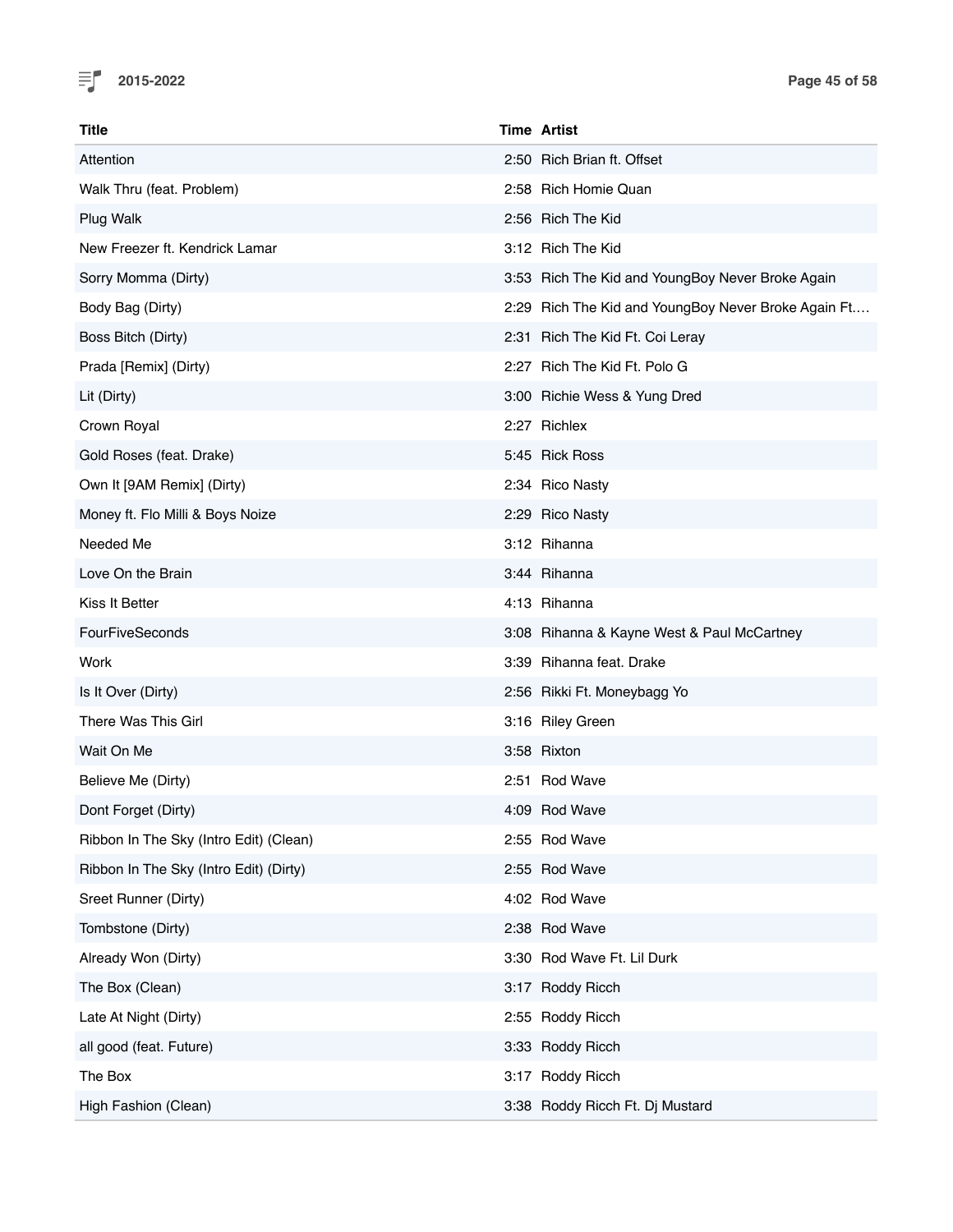

| <b>Title</b>                           | <b>Time Artist</b>                                  |
|----------------------------------------|-----------------------------------------------------|
| Attention                              | 2:50 Rich Brian ft. Offset                          |
| Walk Thru (feat. Problem)              | 2:58 Rich Homie Quan                                |
| Plug Walk                              | 2:56 Rich The Kid                                   |
| New Freezer ft. Kendrick Lamar         | 3:12 Rich The Kid                                   |
| Sorry Momma (Dirty)                    | 3:53 Rich The Kid and YoungBoy Never Broke Again    |
| Body Bag (Dirty)                       | 2:29 Rich The Kid and YoungBoy Never Broke Again Ft |
| Boss Bitch (Dirty)                     | 2:31 Rich The Kid Ft. Coi Leray                     |
| Prada [Remix] (Dirty)                  | 2:27 Rich The Kid Ft. Polo G                        |
| Lit (Dirty)                            | 3:00 Richie Wess & Yung Dred                        |
| Crown Royal                            | 2:27 Richlex                                        |
| Gold Roses (feat. Drake)               | 5:45 Rick Ross                                      |
| Own It [9AM Remix] (Dirty)             | 2:34 Rico Nasty                                     |
| Money ft. Flo Milli & Boys Noize       | 2:29 Rico Nasty                                     |
| Needed Me                              | 3:12 Rihanna                                        |
| Love On the Brain                      | 3:44 Rihanna                                        |
| Kiss It Better                         | 4:13 Rihanna                                        |
| <b>FourFiveSeconds</b>                 | 3:08 Rihanna & Kayne West & Paul McCartney          |
| Work                                   | 3:39 Rihanna feat. Drake                            |
| Is It Over (Dirty)                     | 2:56 Rikki Ft. Moneybagg Yo                         |
| There Was This Girl                    | 3:16 Riley Green                                    |
| Wait On Me                             | 3:58 Rixton                                         |
| Believe Me (Dirty)                     | 2:51 Rod Wave                                       |
| Dont Forget (Dirty)                    | 4:09 Rod Wave                                       |
| Ribbon In The Sky (Intro Edit) (Clean) | 2:55 Rod Wave                                       |
| Ribbon In The Sky (Intro Edit) (Dirty) | 2:55 Rod Wave                                       |
| Sreet Runner (Dirty)                   | 4:02 Rod Wave                                       |
| Tombstone (Dirty)                      | 2:38 Rod Wave                                       |
| Already Won (Dirty)                    | 3:30 Rod Wave Ft. Lil Durk                          |
| The Box (Clean)                        | 3:17 Roddy Ricch                                    |
| Late At Night (Dirty)                  | 2:55 Roddy Ricch                                    |
| all good (feat. Future)                | 3:33 Roddy Ricch                                    |
| The Box                                | 3:17 Roddy Ricch                                    |
| High Fashion (Clean)                   | 3:38 Roddy Ricch Ft. Dj Mustard                     |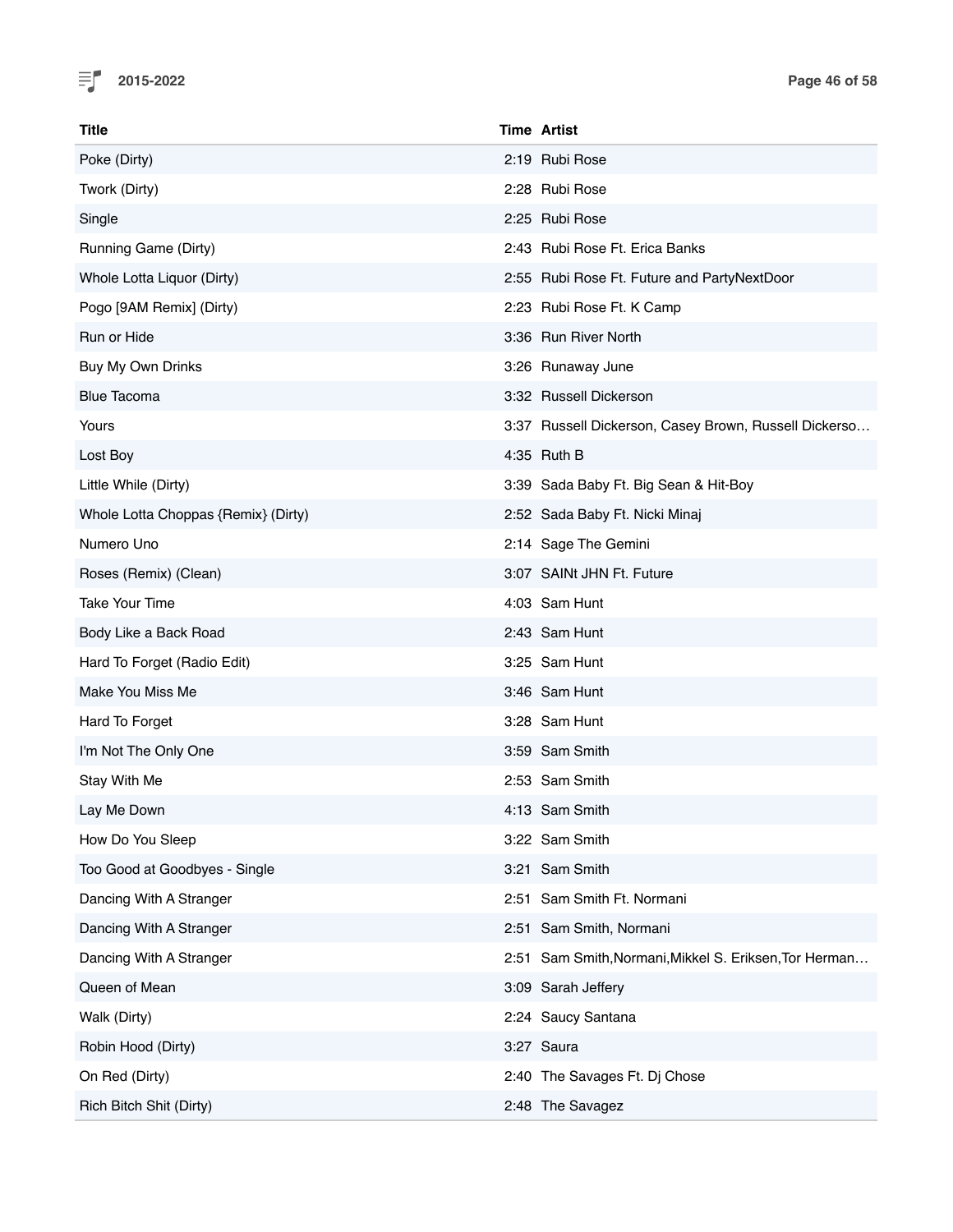

| <b>Title</b>                        | <b>Time Artist</b>                                     |
|-------------------------------------|--------------------------------------------------------|
| Poke (Dirty)                        | 2:19 Rubi Rose                                         |
| Twork (Dirty)                       | 2:28 Rubi Rose                                         |
| Single                              | 2:25 Rubi Rose                                         |
| Running Game (Dirty)                | 2:43 Rubi Rose Ft. Erica Banks                         |
| Whole Lotta Liquor (Dirty)          | 2:55 Rubi Rose Ft. Future and PartyNextDoor            |
| Pogo [9AM Remix] (Dirty)            | 2:23 Rubi Rose Ft. K Camp                              |
| Run or Hide                         | 3:36 Run River North                                   |
| Buy My Own Drinks                   | 3:26 Runaway June                                      |
| <b>Blue Tacoma</b>                  | 3:32 Russell Dickerson                                 |
| Yours                               | 3:37 Russell Dickerson, Casey Brown, Russell Dickerso  |
| Lost Boy                            | 4:35 Ruth B                                            |
| Little While (Dirty)                | 3:39 Sada Baby Ft. Big Sean & Hit-Boy                  |
| Whole Lotta Choppas {Remix} (Dirty) | 2:52 Sada Baby Ft. Nicki Minaj                         |
| Numero Uno                          | 2:14 Sage The Gemini                                   |
| Roses (Remix) (Clean)               | 3:07 SAINt JHN Ft. Future                              |
| <b>Take Your Time</b>               | 4:03 Sam Hunt                                          |
| Body Like a Back Road               | 2:43 Sam Hunt                                          |
| Hard To Forget (Radio Edit)         | 3:25 Sam Hunt                                          |
| Make You Miss Me                    | 3:46 Sam Hunt                                          |
| Hard To Forget                      | 3:28 Sam Hunt                                          |
| I'm Not The Only One                | 3:59 Sam Smith                                         |
| Stay With Me                        | 2:53 Sam Smith                                         |
| Lay Me Down                         | 4:13 Sam Smith                                         |
| How Do You Sleep                    | 3:22 Sam Smith                                         |
| Too Good at Goodbyes - Single       | 3:21 Sam Smith                                         |
| Dancing With A Stranger             | 2:51 Sam Smith Ft. Normani                             |
| Dancing With A Stranger             | 2:51 Sam Smith, Normani                                |
| Dancing With A Stranger             | 2:51 Sam Smith, Normani, Mikkel S. Eriksen, Tor Herman |
| Queen of Mean                       | 3:09 Sarah Jeffery                                     |
| Walk (Dirty)                        | 2:24 Saucy Santana                                     |
| Robin Hood (Dirty)                  | 3:27 Saura                                             |
| On Red (Dirty)                      | 2:40 The Savages Ft. Dj Chose                          |
| Rich Bitch Shit (Dirty)             | 2:48 The Savagez                                       |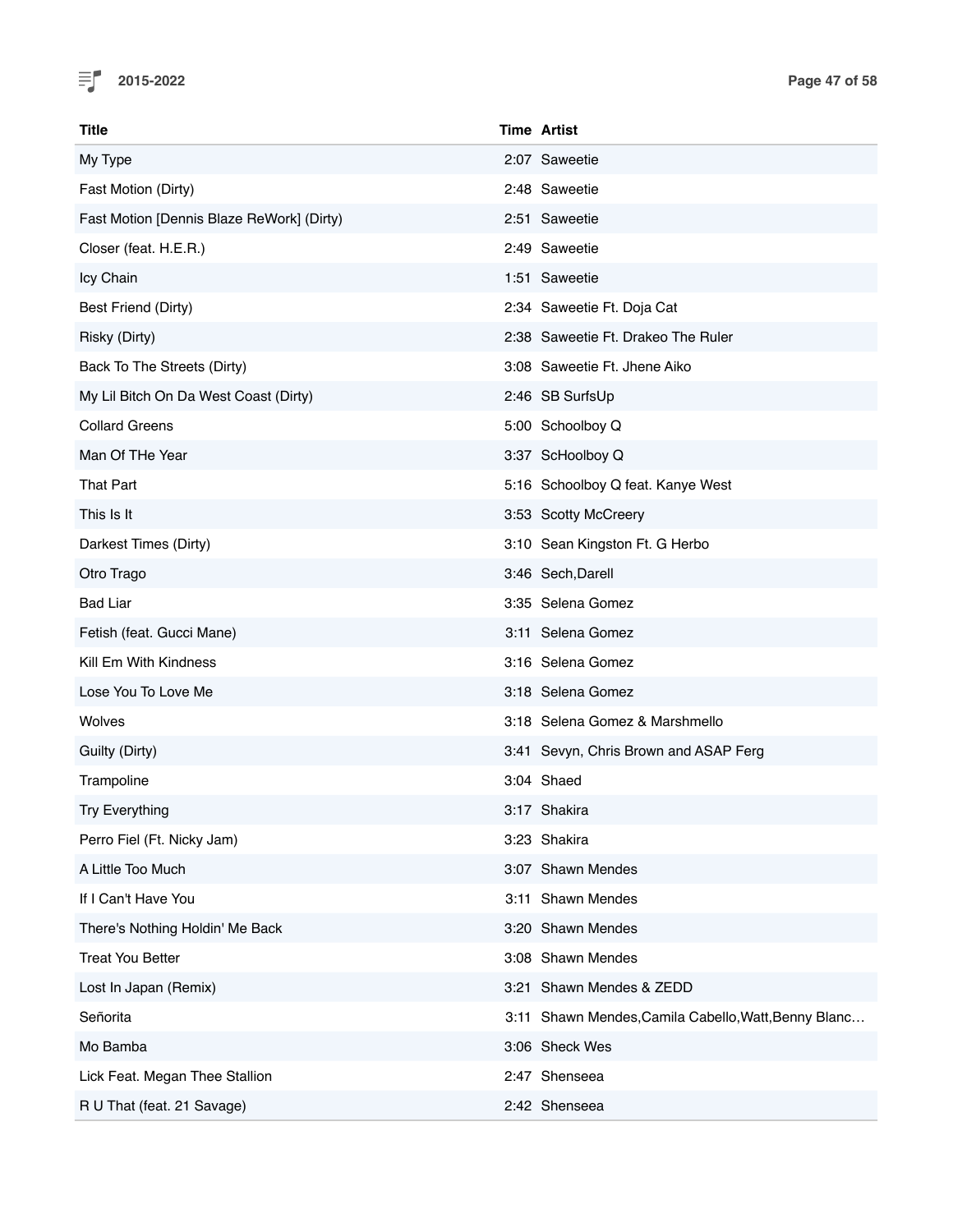

| Title                                     | <b>Time Artist</b>                                   |
|-------------------------------------------|------------------------------------------------------|
| My Type                                   | 2:07 Saweetie                                        |
| Fast Motion (Dirty)                       | 2:48 Saweetie                                        |
| Fast Motion [Dennis Blaze ReWork] (Dirty) | 2:51 Saweetie                                        |
| Closer (feat. H.E.R.)                     | 2:49 Saweetie                                        |
| Icy Chain                                 | 1:51 Saweetie                                        |
| Best Friend (Dirty)                       | 2:34 Saweetie Ft. Doja Cat                           |
| Risky (Dirty)                             | 2:38 Saweetie Ft. Drakeo The Ruler                   |
| Back To The Streets (Dirty)               | 3:08 Saweetie Ft. Jhene Aiko                         |
| My Lil Bitch On Da West Coast (Dirty)     | 2:46 SB SurfsUp                                      |
| <b>Collard Greens</b>                     | 5:00 Schoolboy Q                                     |
| Man Of THe Year                           | 3:37 ScHoolboy Q                                     |
| <b>That Part</b>                          | 5:16 Schoolboy Q feat. Kanye West                    |
| This Is It                                | 3:53 Scotty McCreery                                 |
| Darkest Times (Dirty)                     | 3:10 Sean Kingston Ft. G Herbo                       |
| Otro Trago                                | 3:46 Sech, Darell                                    |
| <b>Bad Liar</b>                           | 3:35 Selena Gomez                                    |
| Fetish (feat. Gucci Mane)                 | 3:11 Selena Gomez                                    |
| Kill Em With Kindness                     | 3:16 Selena Gomez                                    |
| Lose You To Love Me                       | 3:18 Selena Gomez                                    |
| Wolves                                    | 3:18 Selena Gomez & Marshmello                       |
| Guilty (Dirty)                            | 3:41 Sevyn, Chris Brown and ASAP Ferg                |
| Trampoline                                | 3:04 Shaed                                           |
| <b>Try Everything</b>                     | 3:17 Shakira                                         |
| Perro Fiel (Ft. Nicky Jam)                | 3:23 Shakira                                         |
| A Little Too Much                         | 3:07 Shawn Mendes                                    |
| If I Can't Have You                       | 3:11 Shawn Mendes                                    |
| There's Nothing Holdin' Me Back           | 3:20 Shawn Mendes                                    |
| <b>Treat You Better</b>                   | 3:08 Shawn Mendes                                    |
| Lost In Japan (Remix)                     | 3:21 Shawn Mendes & ZEDD                             |
| Señorita                                  | 3:11 Shawn Mendes, Camila Cabello, Watt, Benny Blanc |
| Mo Bamba                                  | 3:06 Sheck Wes                                       |
| Lick Feat. Megan Thee Stallion            | 2:47 Shenseea                                        |
| R U That (feat. 21 Savage)                | 2:42 Shenseea                                        |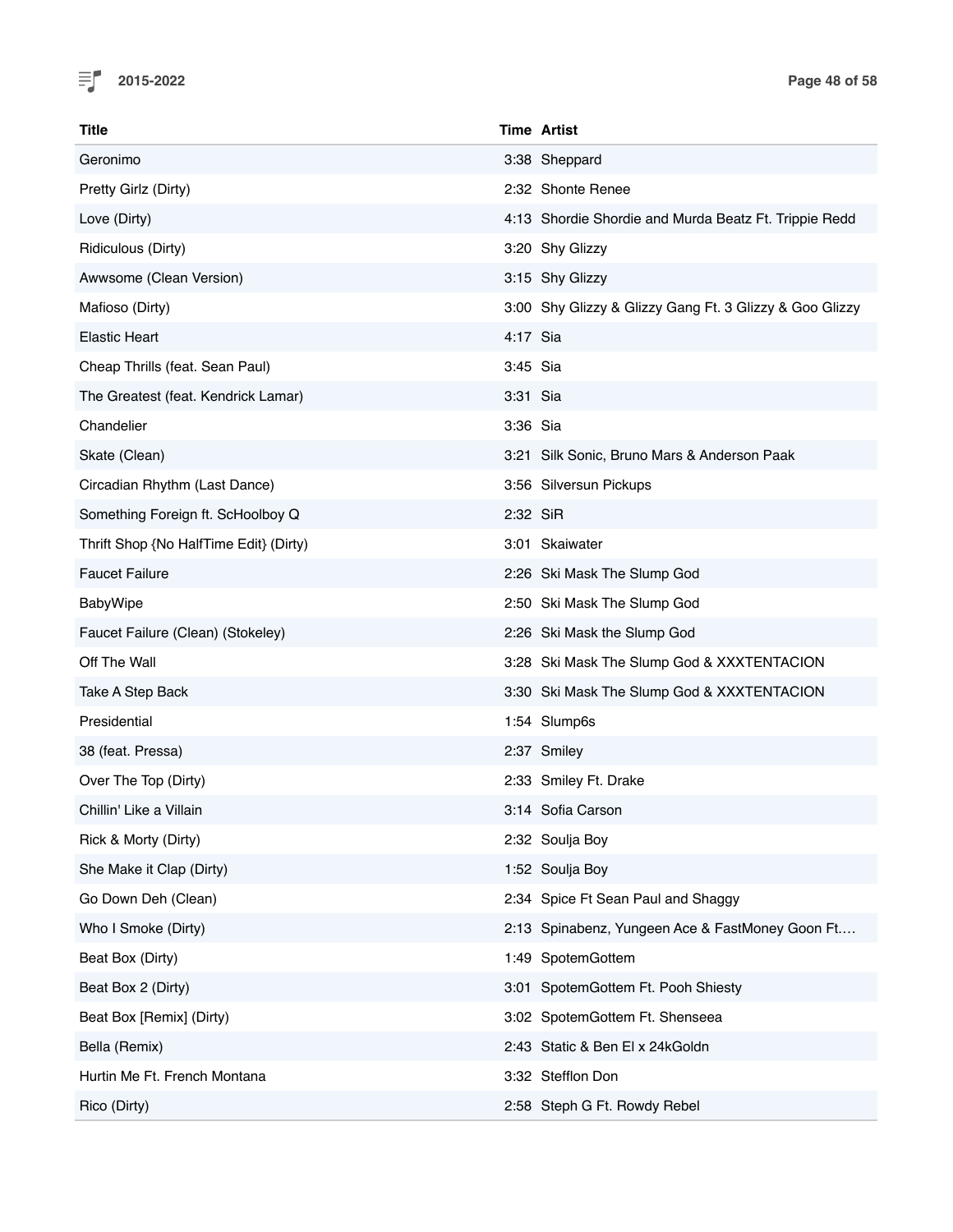

| <b>Title</b>                           | <b>Time Artist</b> |                                                         |
|----------------------------------------|--------------------|---------------------------------------------------------|
| Geronimo                               |                    | 3:38 Sheppard                                           |
| Pretty Girlz (Dirty)                   |                    | 2:32 Shonte Renee                                       |
| Love (Dirty)                           |                    | 4:13 Shordie Shordie and Murda Beatz Ft. Trippie Redd   |
| Ridiculous (Dirty)                     |                    | 3:20 Shy Glizzy                                         |
| Awwsome (Clean Version)                |                    | 3:15 Shy Glizzy                                         |
| Mafioso (Dirty)                        |                    | 3:00 Shy Glizzy & Glizzy Gang Ft. 3 Glizzy & Goo Glizzy |
| <b>Elastic Heart</b>                   | 4:17 Sia           |                                                         |
| Cheap Thrills (feat. Sean Paul)        | 3:45 Sia           |                                                         |
| The Greatest (feat. Kendrick Lamar)    | 3:31 Sia           |                                                         |
| Chandelier                             | 3:36 Sia           |                                                         |
| Skate (Clean)                          |                    | 3:21 Silk Sonic, Bruno Mars & Anderson Paak             |
| Circadian Rhythm (Last Dance)          |                    | 3:56 Silversun Pickups                                  |
| Something Foreign ft. ScHoolboy Q      | 2:32 SiR           |                                                         |
| Thrift Shop {No HalfTime Edit} (Dirty) |                    | 3:01 Skaiwater                                          |
| <b>Faucet Failure</b>                  |                    | 2:26 Ski Mask The Slump God                             |
| <b>BabyWipe</b>                        |                    | 2:50 Ski Mask The Slump God                             |
| Faucet Failure (Clean) (Stokeley)      |                    | 2:26 Ski Mask the Slump God                             |
| Off The Wall                           |                    | 3:28 Ski Mask The Slump God & XXXTENTACION              |
| Take A Step Back                       |                    | 3:30 Ski Mask The Slump God & XXXTENTACION              |
| Presidential                           |                    | 1:54 Slump6s                                            |
| 38 (feat. Pressa)                      | 2:37 Smiley        |                                                         |
| Over The Top (Dirty)                   |                    | 2:33 Smiley Ft. Drake                                   |
| Chillin' Like a Villain                |                    | 3:14 Sofia Carson                                       |
| Rick & Morty (Dirty)                   |                    | 2:32 Soulja Boy                                         |
| She Make it Clap (Dirty)               |                    | 1:52 Soulja Boy                                         |
| Go Down Deh (Clean)                    |                    | 2:34 Spice Ft Sean Paul and Shaggy                      |
| Who I Smoke (Dirty)                    |                    | 2:13 Spinabenz, Yungeen Ace & FastMoney Goon Ft         |
| Beat Box (Dirty)                       |                    | 1:49 SpotemGottem                                       |
| Beat Box 2 (Dirty)                     |                    | 3:01 SpotemGottem Ft. Pooh Shiesty                      |
| Beat Box [Remix] (Dirty)               |                    | 3:02 SpotemGottem Ft. Shenseea                          |
| Bella (Remix)                          |                    | 2:43 Static & Ben El x 24kGoldn                         |
| Hurtin Me Ft. French Montana           |                    | 3:32 Stefflon Don                                       |
| Rico (Dirty)                           |                    | 2:58 Steph G Ft. Rowdy Rebel                            |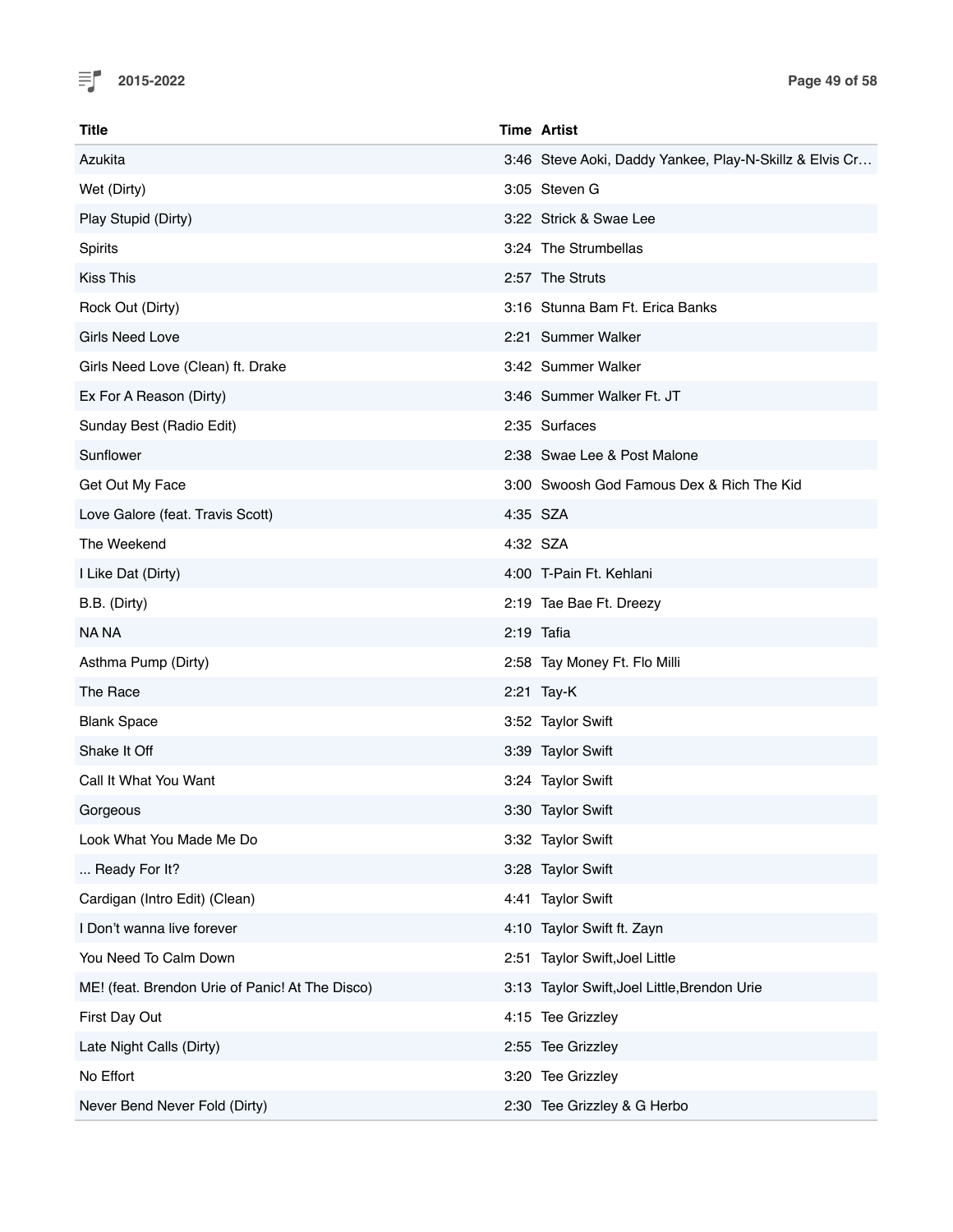

| <b>Title</b>                                    | <b>Time Artist</b>                                      |
|-------------------------------------------------|---------------------------------------------------------|
| Azukita                                         | 3:46 Steve Aoki, Daddy Yankee, Play-N-Skillz & Elvis Cr |
| Wet (Dirty)                                     | 3:05 Steven G                                           |
| Play Stupid (Dirty)                             | 3:22 Strick & Swae Lee                                  |
| Spirits                                         | 3:24 The Strumbellas                                    |
| <b>Kiss This</b>                                | 2:57 The Struts                                         |
| Rock Out (Dirty)                                | 3:16 Stunna Bam Ft. Erica Banks                         |
| <b>Girls Need Love</b>                          | 2:21 Summer Walker                                      |
| Girls Need Love (Clean) ft. Drake               | 3:42 Summer Walker                                      |
| Ex For A Reason (Dirty)                         | 3:46 Summer Walker Ft. JT                               |
| Sunday Best (Radio Edit)                        | 2:35 Surfaces                                           |
| Sunflower                                       | 2:38 Swae Lee & Post Malone                             |
| Get Out My Face                                 | 3:00 Swoosh God Famous Dex & Rich The Kid               |
| Love Galore (feat. Travis Scott)                | 4:35 SZA                                                |
| The Weekend                                     | 4:32 SZA                                                |
| I Like Dat (Dirty)                              | 4:00 T-Pain Ft. Kehlani                                 |
| B.B. (Dirty)                                    | 2:19 Tae Bae Ft. Dreezy                                 |
| NA NA                                           | $2:19$ Tafia                                            |
| Asthma Pump (Dirty)                             | 2:58 Tay Money Ft. Flo Milli                            |
| The Race                                        | 2:21 Tay-K                                              |
| <b>Blank Space</b>                              | 3:52 Taylor Swift                                       |
| Shake It Off                                    | 3:39 Taylor Swift                                       |
| Call It What You Want                           | 3:24 Taylor Swift                                       |
| Gorgeous                                        | 3:30 Taylor Swift                                       |
| Look What You Made Me Do                        | 3:32 Taylor Swift                                       |
| Ready For It?                                   | 3:28 Taylor Swift                                       |
| Cardigan (Intro Edit) (Clean)                   | 4:41 Taylor Swift                                       |
| I Don't wanna live forever                      | 4:10 Taylor Swift ft. Zayn                              |
| You Need To Calm Down                           | 2:51 Taylor Swift, Joel Little                          |
| ME! (feat. Brendon Urie of Panic! At The Disco) | 3:13 Taylor Swift, Joel Little, Brendon Urie            |
| First Day Out                                   | 4:15 Tee Grizzley                                       |
| Late Night Calls (Dirty)                        | 2:55 Tee Grizzley                                       |
| No Effort                                       | 3:20 Tee Grizzley                                       |
| Never Bend Never Fold (Dirty)                   | 2:30 Tee Grizzley & G Herbo                             |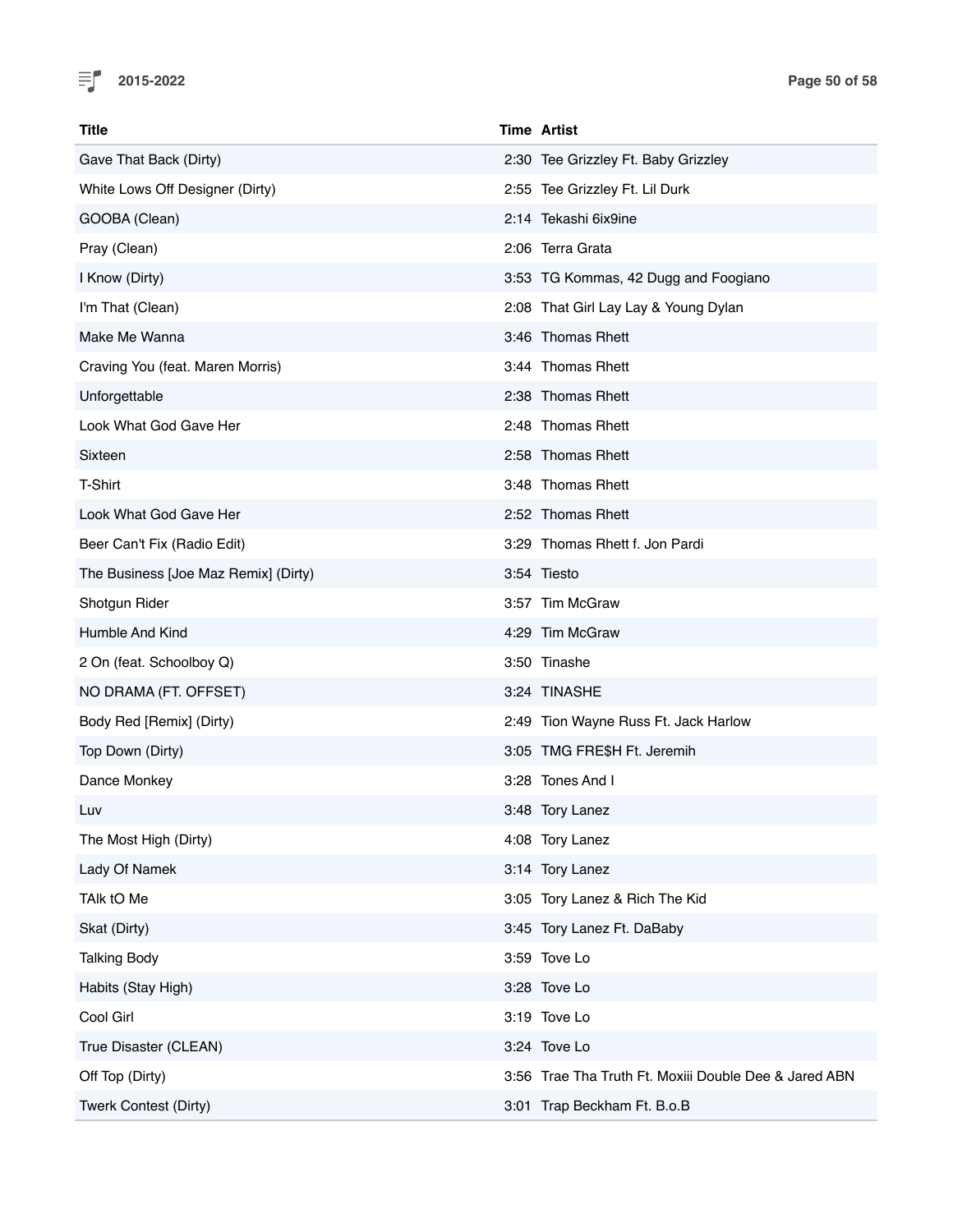

| <b>Title</b>                         | <b>Time Artist</b>                                    |
|--------------------------------------|-------------------------------------------------------|
| Gave That Back (Dirty)               | 2:30 Tee Grizzley Ft. Baby Grizzley                   |
| White Lows Off Designer (Dirty)      | 2:55 Tee Grizzley Ft. Lil Durk                        |
| GOOBA (Clean)                        | 2:14 Tekashi 6ix9ine                                  |
| Pray (Clean)                         | 2:06 Terra Grata                                      |
| I Know (Dirty)                       | 3:53 TG Kommas, 42 Dugg and Foogiano                  |
| I'm That (Clean)                     | 2:08 That Girl Lay Lay & Young Dylan                  |
| Make Me Wanna                        | 3:46 Thomas Rhett                                     |
| Craving You (feat. Maren Morris)     | 3:44 Thomas Rhett                                     |
| Unforgettable                        | 2:38 Thomas Rhett                                     |
| Look What God Gave Her               | 2:48 Thomas Rhett                                     |
| Sixteen                              | 2:58 Thomas Rhett                                     |
| T-Shirt                              | 3:48 Thomas Rhett                                     |
| Look What God Gave Her               | 2:52 Thomas Rhett                                     |
| Beer Can't Fix (Radio Edit)          | 3:29 Thomas Rhett f. Jon Pardi                        |
| The Business [Joe Maz Remix] (Dirty) | 3:54 Tiesto                                           |
| Shotgun Rider                        | 3:57 Tim McGraw                                       |
| Humble And Kind                      | 4:29 Tim McGraw                                       |
| 2 On (feat. Schoolboy Q)             | 3:50 Tinashe                                          |
| NO DRAMA (FT. OFFSET)                | 3:24 TINASHE                                          |
| Body Red [Remix] (Dirty)             | 2:49 Tion Wayne Russ Ft. Jack Harlow                  |
| Top Down (Dirty)                     | 3:05 TMG FRE\$H Ft. Jeremih                           |
| Dance Monkey                         | 3:28 Tones And I                                      |
| Luv                                  | 3:48 Tory Lanez                                       |
| The Most High (Dirty)                | 4:08 Tory Lanez                                       |
| Lady Of Namek                        | 3:14 Tory Lanez                                       |
| TAIk tO Me                           | 3:05 Tory Lanez & Rich The Kid                        |
| Skat (Dirty)                         | 3:45 Tory Lanez Ft. DaBaby                            |
| <b>Talking Body</b>                  | 3:59 Tove Lo                                          |
| Habits (Stay High)                   | 3:28 Tove Lo                                          |
| Cool Girl                            | 3:19 Tove Lo                                          |
| True Disaster (CLEAN)                | 3:24 Tove Lo                                          |
| Off Top (Dirty)                      | 3:56 Trae Tha Truth Ft. Moxiii Double Dee & Jared ABN |
| Twerk Contest (Dirty)                | 3:01 Trap Beckham Ft. B.o.B                           |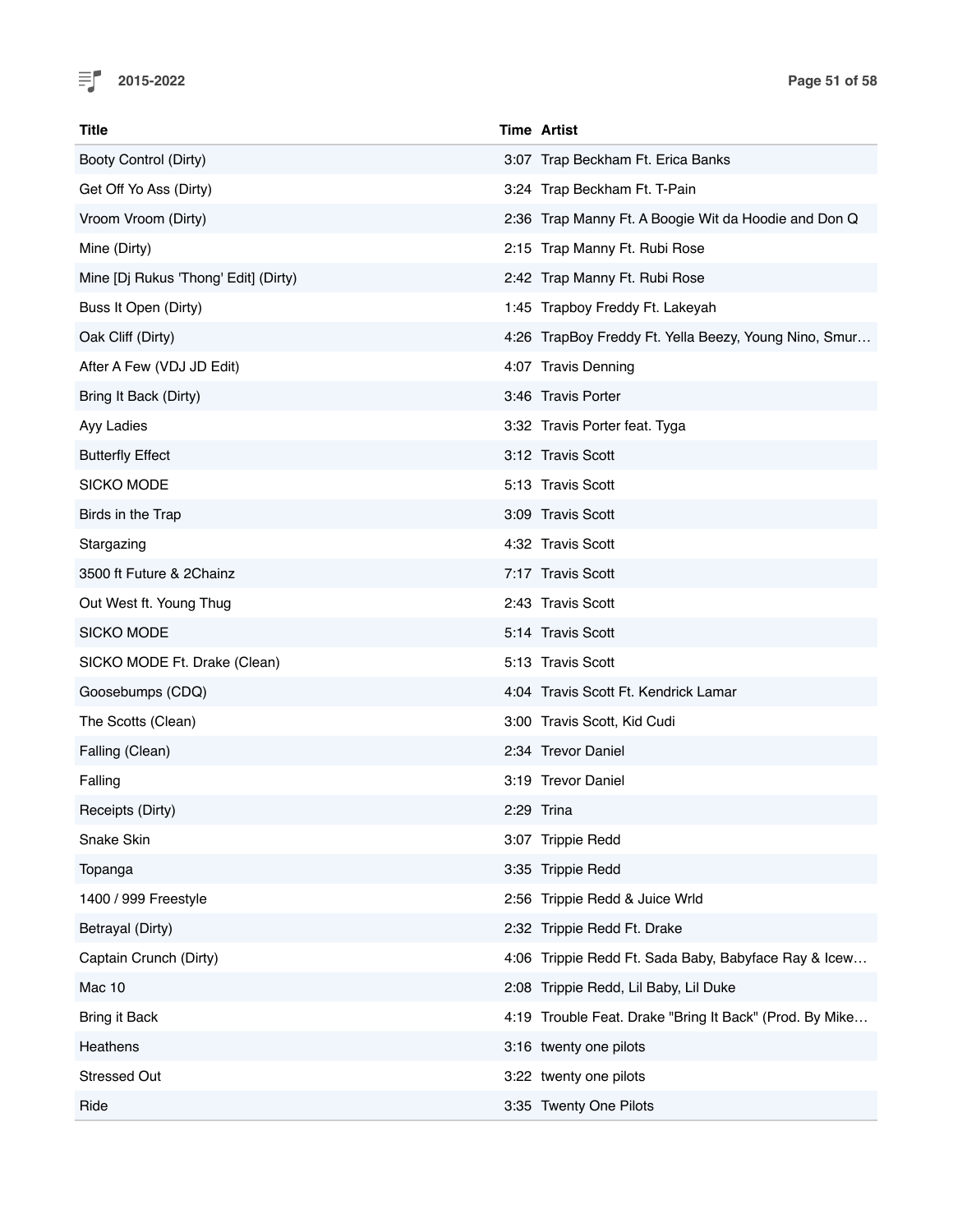

| <b>Title</b>                         | <b>Time Artist</b>                                      |
|--------------------------------------|---------------------------------------------------------|
| Booty Control (Dirty)                | 3:07 Trap Beckham Ft. Erica Banks                       |
| Get Off Yo Ass (Dirty)               | 3:24 Trap Beckham Ft. T-Pain                            |
| Vroom Vroom (Dirty)                  | 2:36 Trap Manny Ft. A Boogie Wit da Hoodie and Don Q    |
| Mine (Dirty)                         | 2:15 Trap Manny Ft. Rubi Rose                           |
| Mine [Dj Rukus 'Thong' Edit] (Dirty) | 2:42 Trap Manny Ft. Rubi Rose                           |
| Buss It Open (Dirty)                 | 1:45 Trapboy Freddy Ft. Lakeyah                         |
| Oak Cliff (Dirty)                    | 4:26 TrapBoy Freddy Ft. Yella Beezy, Young Nino, Smur   |
| After A Few (VDJ JD Edit)            | 4:07 Travis Denning                                     |
| Bring It Back (Dirty)                | 3:46 Travis Porter                                      |
| Ayy Ladies                           | 3:32 Travis Porter feat. Tyga                           |
| <b>Butterfly Effect</b>              | 3:12 Travis Scott                                       |
| <b>SICKO MODE</b>                    | 5:13 Travis Scott                                       |
| Birds in the Trap                    | 3:09 Travis Scott                                       |
| Stargazing                           | 4:32 Travis Scott                                       |
| 3500 ft Future & 2Chainz             | 7:17 Travis Scott                                       |
| Out West ft. Young Thug              | 2:43 Travis Scott                                       |
| <b>SICKO MODE</b>                    | 5:14 Travis Scott                                       |
| SICKO MODE Ft. Drake (Clean)         | 5:13 Travis Scott                                       |
| Goosebumps (CDQ)                     | 4:04 Travis Scott Ft. Kendrick Lamar                    |
| The Scotts (Clean)                   | 3:00 Travis Scott, Kid Cudi                             |
| Falling (Clean)                      | 2:34 Trevor Daniel                                      |
| Falling                              | 3:19 Trevor Daniel                                      |
| Receipts (Dirty)                     | 2:29 Trina                                              |
| Snake Skin                           | 3:07 Trippie Redd                                       |
| Topanga                              | 3:35 Trippie Redd                                       |
| 1400 / 999 Freestyle                 | 2:56 Trippie Redd & Juice Wrld                          |
| Betrayal (Dirty)                     | 2:32 Trippie Redd Ft. Drake                             |
| Captain Crunch (Dirty)               | 4:06 Trippie Redd Ft. Sada Baby, Babyface Ray & Icew    |
| Mac 10                               | 2:08 Trippie Redd, Lil Baby, Lil Duke                   |
| <b>Bring it Back</b>                 | 4:19 Trouble Feat. Drake "Bring It Back" (Prod. By Mike |
| Heathens                             | 3:16 twenty one pilots                                  |
| <b>Stressed Out</b>                  | 3:22 twenty one pilots                                  |
| Ride                                 | 3:35 Twenty One Pilots                                  |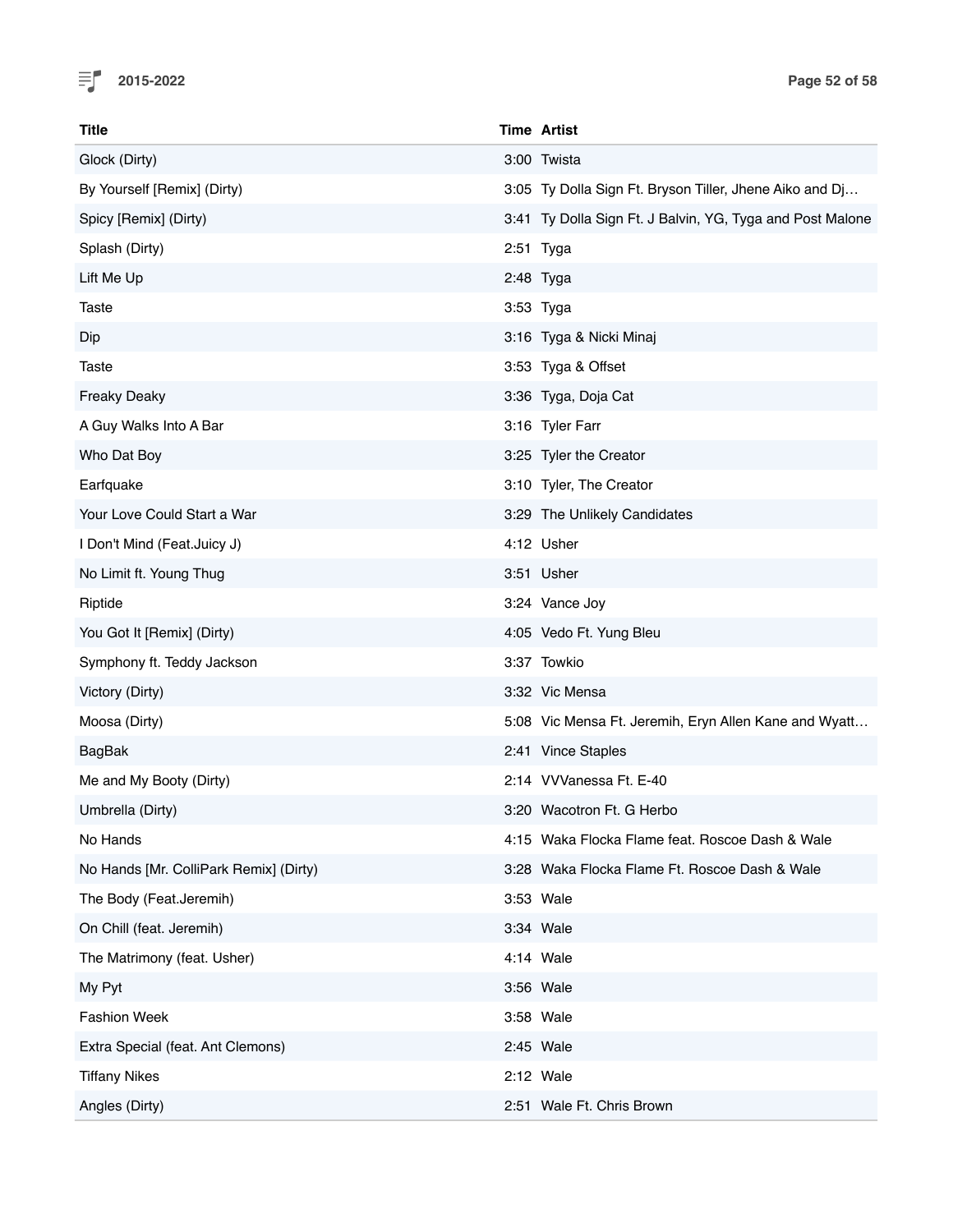

| <b>Title</b>                           | <b>Time Artist</b>                                        |
|----------------------------------------|-----------------------------------------------------------|
| Glock (Dirty)                          | 3:00 Twista                                               |
| By Yourself [Remix] (Dirty)            | 3:05 Ty Dolla Sign Ft. Bryson Tiller, Jhene Aiko and Dj   |
| Spicy [Remix] (Dirty)                  | 3:41 Ty Dolla Sign Ft. J Balvin, YG, Tyga and Post Malone |
| Splash (Dirty)                         | 2:51 Tyga                                                 |
| Lift Me Up                             | 2:48 Tyga                                                 |
| Taste                                  | 3:53 Tyga                                                 |
| Dip                                    | 3:16 Tyga & Nicki Minaj                                   |
| Taste                                  | 3:53 Tyga & Offset                                        |
| <b>Freaky Deaky</b>                    | 3:36 Tyga, Doja Cat                                       |
| A Guy Walks Into A Bar                 | 3:16 Tyler Farr                                           |
| Who Dat Boy                            | 3:25 Tyler the Creator                                    |
| Earfquake                              | 3:10 Tyler, The Creator                                   |
| Your Love Could Start a War            | 3:29 The Unlikely Candidates                              |
| I Don't Mind (Feat.Juicy J)            | 4:12 Usher                                                |
| No Limit ft. Young Thug                | 3:51 Usher                                                |
| Riptide                                | 3:24 Vance Joy                                            |
| You Got It [Remix] (Dirty)             | 4:05 Vedo Ft. Yung Bleu                                   |
| Symphony ft. Teddy Jackson             | 3:37 Towkio                                               |
| Victory (Dirty)                        | 3:32 Vic Mensa                                            |
| Moosa (Dirty)                          | 5:08 Vic Mensa Ft. Jeremih, Eryn Allen Kane and Wyatt     |
| <b>BagBak</b>                          | 2:41 Vince Staples                                        |
| Me and My Booty (Dirty)                | 2:14 VVVanessa Ft. E-40                                   |
| Umbrella (Dirty)                       | 3:20 Wacotron Ft. G Herbo                                 |
| No Hands                               | 4:15 Waka Flocka Flame feat. Roscoe Dash & Wale           |
| No Hands [Mr. ColliPark Remix] (Dirty) | 3:28 Waka Flocka Flame Ft. Roscoe Dash & Wale             |
| The Body (Feat.Jeremih)                | 3:53 Wale                                                 |
| On Chill (feat. Jeremih)               | 3:34 Wale                                                 |
| The Matrimony (feat. Usher)            | 4:14 Wale                                                 |
| My Pyt                                 | 3:56 Wale                                                 |
| <b>Fashion Week</b>                    | 3:58 Wale                                                 |
| Extra Special (feat. Ant Clemons)      | 2:45 Wale                                                 |
| <b>Tiffany Nikes</b>                   | 2:12 Wale                                                 |
| Angles (Dirty)                         | 2:51 Wale Ft. Chris Brown                                 |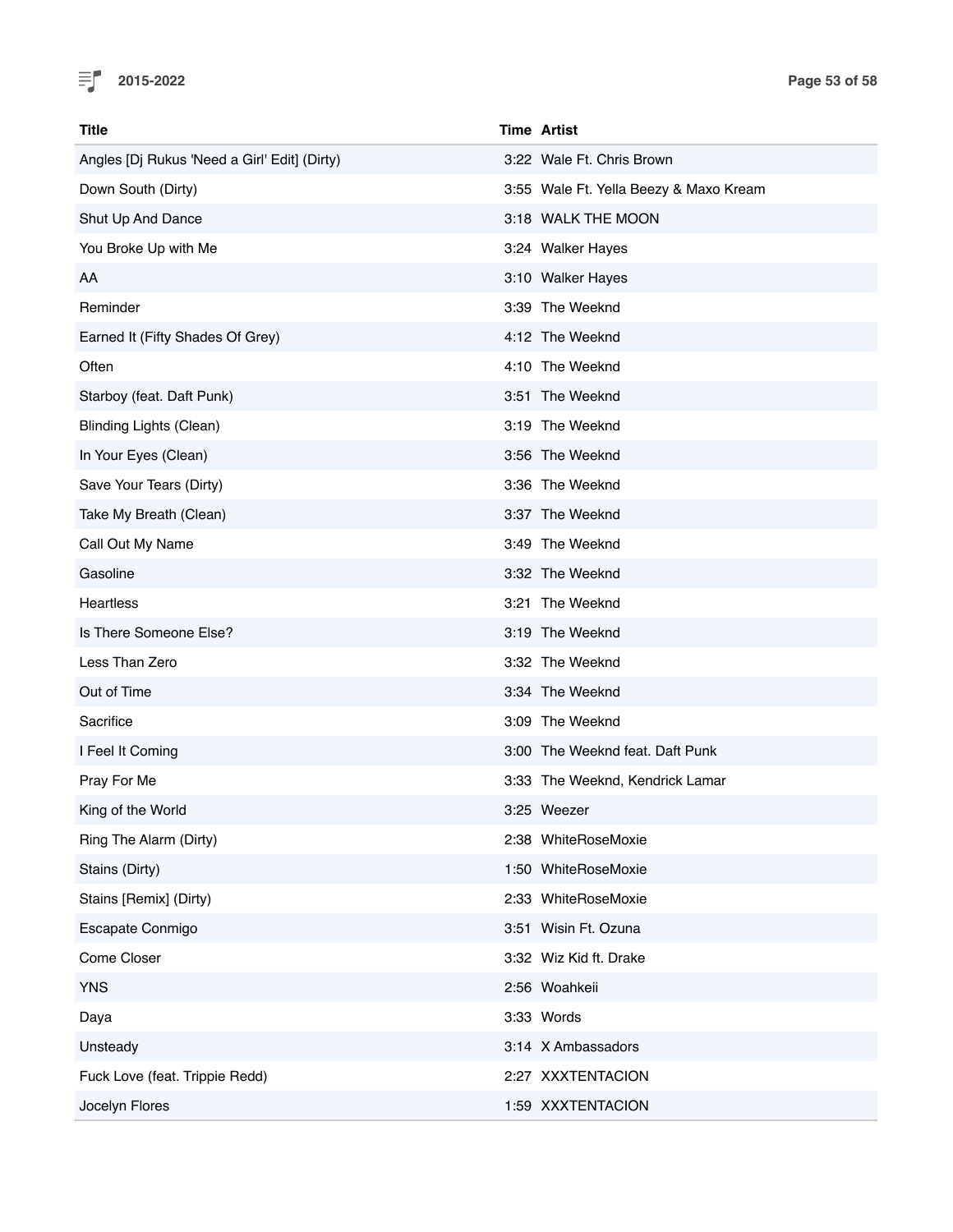

| Title                                        | <b>Time Artist</b>                     |
|----------------------------------------------|----------------------------------------|
| Angles [Dj Rukus 'Need a Girl' Edit] (Dirty) | 3:22 Wale Ft. Chris Brown              |
| Down South (Dirty)                           | 3:55 Wale Ft. Yella Beezy & Maxo Kream |
| Shut Up And Dance                            | 3:18 WALK THE MOON                     |
| You Broke Up with Me                         | 3:24 Walker Hayes                      |
| AA                                           | 3:10 Walker Hayes                      |
| Reminder                                     | 3:39 The Weeknd                        |
| Earned It (Fifty Shades Of Grey)             | 4:12 The Weeknd                        |
| Often                                        | 4:10 The Weeknd                        |
| Starboy (feat. Daft Punk)                    | 3:51 The Weeknd                        |
| <b>Blinding Lights (Clean)</b>               | 3:19 The Weeknd                        |
| In Your Eyes (Clean)                         | 3:56 The Weeknd                        |
| Save Your Tears (Dirty)                      | 3:36 The Weeknd                        |
| Take My Breath (Clean)                       | 3:37 The Weeknd                        |
| Call Out My Name                             | 3:49 The Weeknd                        |
| Gasoline                                     | 3:32 The Weeknd                        |
| Heartless                                    | 3:21 The Weeknd                        |
| Is There Someone Else?                       | 3:19 The Weeknd                        |
| Less Than Zero                               | 3:32 The Weeknd                        |
| Out of Time                                  | 3:34 The Weeknd                        |
| Sacrifice                                    | 3:09 The Weeknd                        |
| I Feel It Coming                             | 3:00 The Weeknd feat. Daft Punk        |
| Pray For Me                                  | 3:33 The Weeknd, Kendrick Lamar        |
| King of the World                            | 3:25 Weezer                            |
| Ring The Alarm (Dirty)                       | 2:38 WhiteRoseMoxie                    |
| Stains (Dirty)                               | 1:50 WhiteRoseMoxie                    |
| Stains [Remix] (Dirty)                       | 2:33 WhiteRoseMoxie                    |
| Escapate Conmigo                             | 3:51 Wisin Ft. Ozuna                   |
| Come Closer                                  | 3:32 Wiz Kid ft. Drake                 |
| <b>YNS</b>                                   | 2:56 Woahkeii                          |
| Daya                                         | 3:33 Words                             |
| Unsteady                                     | 3:14 X Ambassadors                     |
| Fuck Love (feat. Trippie Redd)               | 2:27 XXXTENTACION                      |
| Jocelyn Flores                               | 1:59 XXXTENTACION                      |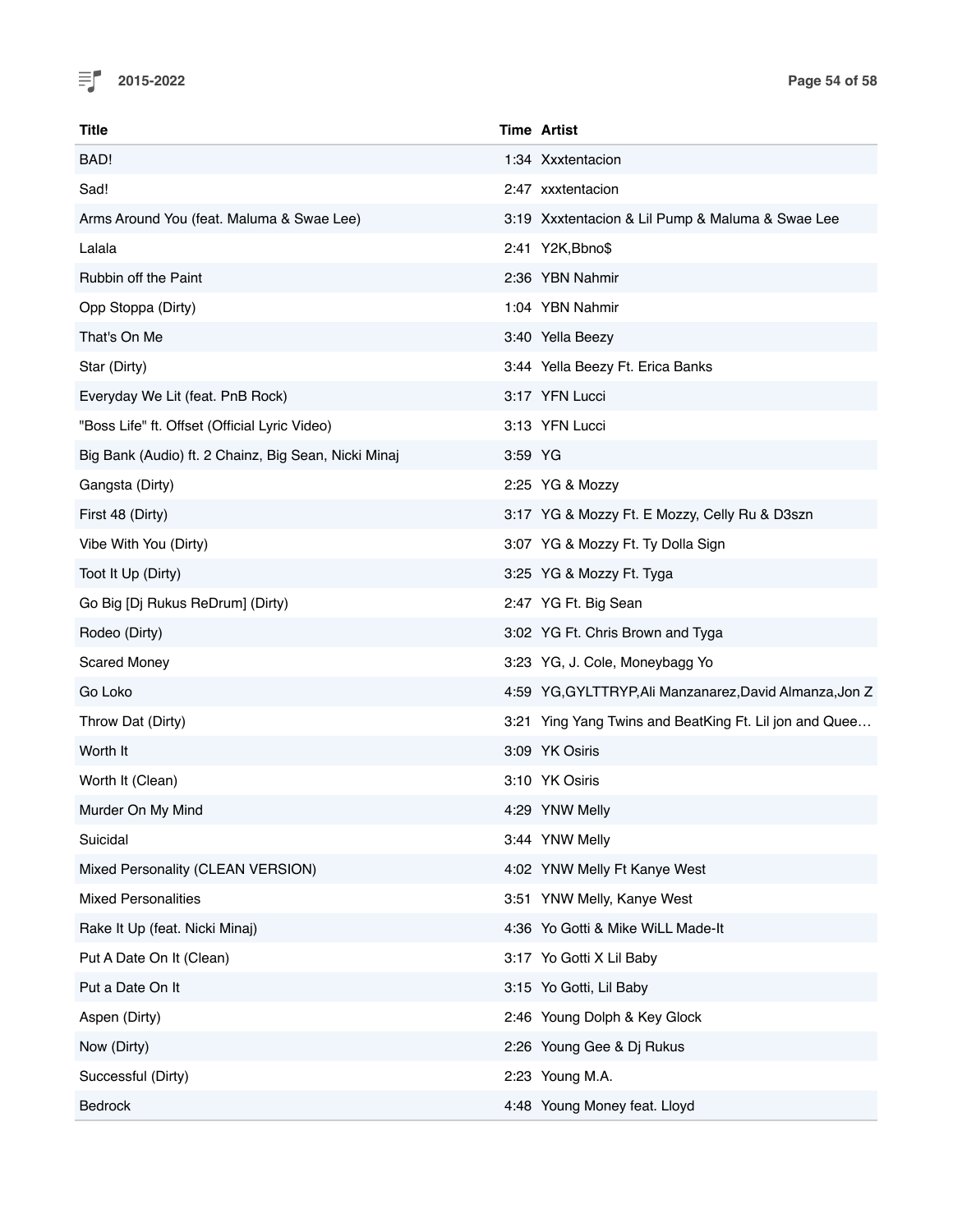

| <b>Title</b>                                         | <b>Time Artist</b>                                      |
|------------------------------------------------------|---------------------------------------------------------|
| BAD!                                                 | 1:34 Xxxtentacion                                       |
| Sad!                                                 | 2:47 xxxtentacion                                       |
| Arms Around You (feat. Maluma & Swae Lee)            | 3:19 Xxxtentacion & Lil Pump & Maluma & Swae Lee        |
| Lalala                                               | 2:41 Y2K, Bbno\$                                        |
| Rubbin off the Paint                                 | 2:36 YBN Nahmir                                         |
| Opp Stoppa (Dirty)                                   | 1:04 YBN Nahmir                                         |
| That's On Me                                         | 3:40 Yella Beezy                                        |
| Star (Dirty)                                         | 3:44 Yella Beezy Ft. Erica Banks                        |
| Everyday We Lit (feat. PnB Rock)                     | 3:17 YFN Lucci                                          |
| "Boss Life" ft. Offset (Official Lyric Video)        | 3:13 YFN Lucci                                          |
| Big Bank (Audio) ft. 2 Chainz, Big Sean, Nicki Minaj | 3:59 YG                                                 |
| Gangsta (Dirty)                                      | 2:25 YG & Mozzy                                         |
| First 48 (Dirty)                                     | 3:17 YG & Mozzy Ft. E Mozzy, Celly Ru & D3szn           |
| Vibe With You (Dirty)                                | 3:07 YG & Mozzy Ft. Ty Dolla Sign                       |
| Toot It Up (Dirty)                                   | 3:25 YG & Mozzy Ft. Tyga                                |
| Go Big [Dj Rukus ReDrum] (Dirty)                     | 2:47 YG Ft. Big Sean                                    |
| Rodeo (Dirty)                                        | 3:02 YG Ft. Chris Brown and Tyga                        |
| <b>Scared Money</b>                                  | 3:23 YG, J. Cole, Moneybagg Yo                          |
| Go Loko                                              | 4:59 YG, GYLTTRYP, Ali Manzanarez, David Almanza, Jon Z |
| Throw Dat (Dirty)                                    | 3:21 Ying Yang Twins and BeatKing Ft. Lil jon and Quee  |
| Worth It                                             | 3:09 YK Osiris                                          |
| Worth It (Clean)                                     | 3:10 YK Osiris                                          |
| Murder On My Mind                                    | 4:29 YNW Melly                                          |
| Suicidal                                             | 3:44 YNW Melly                                          |
| Mixed Personality (CLEAN VERSION)                    | 4:02 YNW Melly Ft Kanye West                            |
| <b>Mixed Personalities</b>                           | 3:51 YNW Melly, Kanye West                              |
| Rake It Up (feat. Nicki Minaj)                       | 4:36 Yo Gotti & Mike WiLL Made-It                       |
| Put A Date On It (Clean)                             | 3:17 Yo Gotti X Lil Baby                                |
| Put a Date On It                                     | 3:15 Yo Gotti, Lil Baby                                 |
| Aspen (Dirty)                                        | 2:46 Young Dolph & Key Glock                            |
| Now (Dirty)                                          | 2:26 Young Gee & Dj Rukus                               |
| Successful (Dirty)                                   | 2:23 Young M.A.                                         |
| Bedrock                                              | 4:48 Young Money feat. Lloyd                            |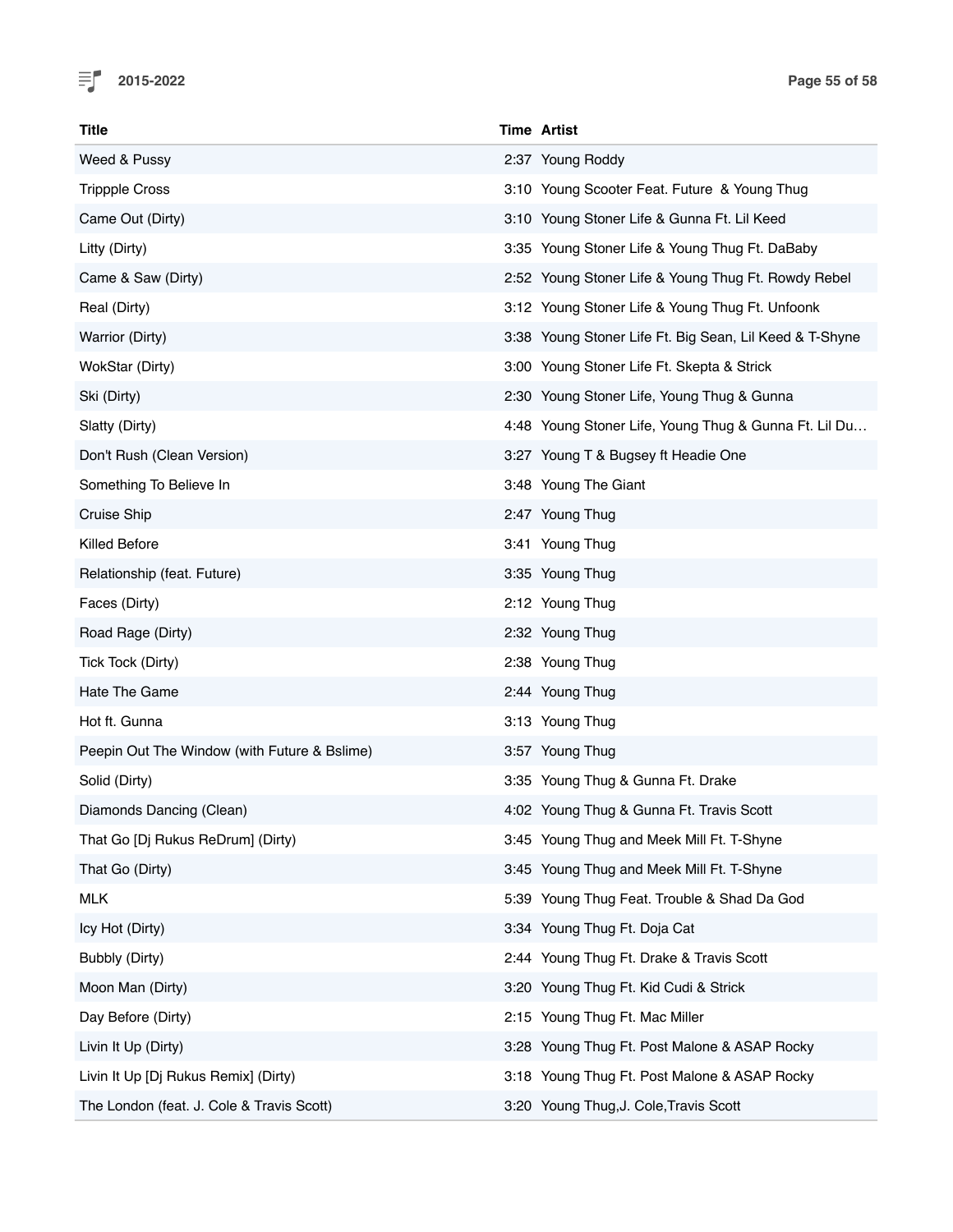

| <b>Title</b>                                 | <b>Time Artist</b>                                      |
|----------------------------------------------|---------------------------------------------------------|
| Weed & Pussy                                 | 2:37 Young Roddy                                        |
| <b>Trippple Cross</b>                        | 3:10 Young Scooter Feat. Future & Young Thug            |
| Came Out (Dirty)                             | 3:10 Young Stoner Life & Gunna Ft. Lil Keed             |
| Litty (Dirty)                                | 3:35 Young Stoner Life & Young Thug Ft. DaBaby          |
| Came & Saw (Dirty)                           | 2:52 Young Stoner Life & Young Thug Ft. Rowdy Rebel     |
| Real (Dirty)                                 | 3:12 Young Stoner Life & Young Thug Ft. Unfoonk         |
| Warrior (Dirty)                              | 3:38 Young Stoner Life Ft. Big Sean, Lil Keed & T-Shyne |
| WokStar (Dirty)                              | 3:00 Young Stoner Life Ft. Skepta & Strick              |
| Ski (Dirty)                                  | 2:30 Young Stoner Life, Young Thug & Gunna              |
| Slatty (Dirty)                               | 4:48 Young Stoner Life, Young Thug & Gunna Ft. Lil Du   |
| Don't Rush (Clean Version)                   | 3:27 Young T & Bugsey ft Headie One                     |
| Something To Believe In                      | 3:48 Young The Giant                                    |
| Cruise Ship                                  | 2:47 Young Thug                                         |
| Killed Before                                | 3:41 Young Thug                                         |
| Relationship (feat. Future)                  | 3:35 Young Thug                                         |
| Faces (Dirty)                                | 2:12 Young Thug                                         |
| Road Rage (Dirty)                            | 2:32 Young Thug                                         |
| Tick Tock (Dirty)                            | 2:38 Young Thug                                         |
| Hate The Game                                | 2:44 Young Thug                                         |
| Hot ft. Gunna                                | 3:13 Young Thug                                         |
| Peepin Out The Window (with Future & Bslime) | 3:57 Young Thug                                         |
| Solid (Dirty)                                | 3:35 Young Thug & Gunna Ft. Drake                       |
| Diamonds Dancing (Clean)                     | 4:02 Young Thug & Gunna Ft. Travis Scott                |
| That Go [Dj Rukus ReDrum] (Dirty)            | 3:45 Young Thug and Meek Mill Ft. T-Shyne               |
| That Go (Dirty)                              | 3:45 Young Thug and Meek Mill Ft. T-Shyne               |
| <b>MLK</b>                                   | 5:39 Young Thug Feat. Trouble & Shad Da God             |
| Icy Hot (Dirty)                              | 3:34 Young Thug Ft. Doja Cat                            |
| Bubbly (Dirty)                               | 2:44 Young Thug Ft. Drake & Travis Scott                |
| Moon Man (Dirty)                             | 3:20 Young Thug Ft. Kid Cudi & Strick                   |
| Day Before (Dirty)                           | 2:15 Young Thug Ft. Mac Miller                          |
| Livin It Up (Dirty)                          | 3:28 Young Thug Ft. Post Malone & ASAP Rocky            |
| Livin It Up [Dj Rukus Remix] (Dirty)         | 3:18 Young Thug Ft. Post Malone & ASAP Rocky            |
| The London (feat. J. Cole & Travis Scott)    | 3:20 Young Thug, J. Cole, Travis Scott                  |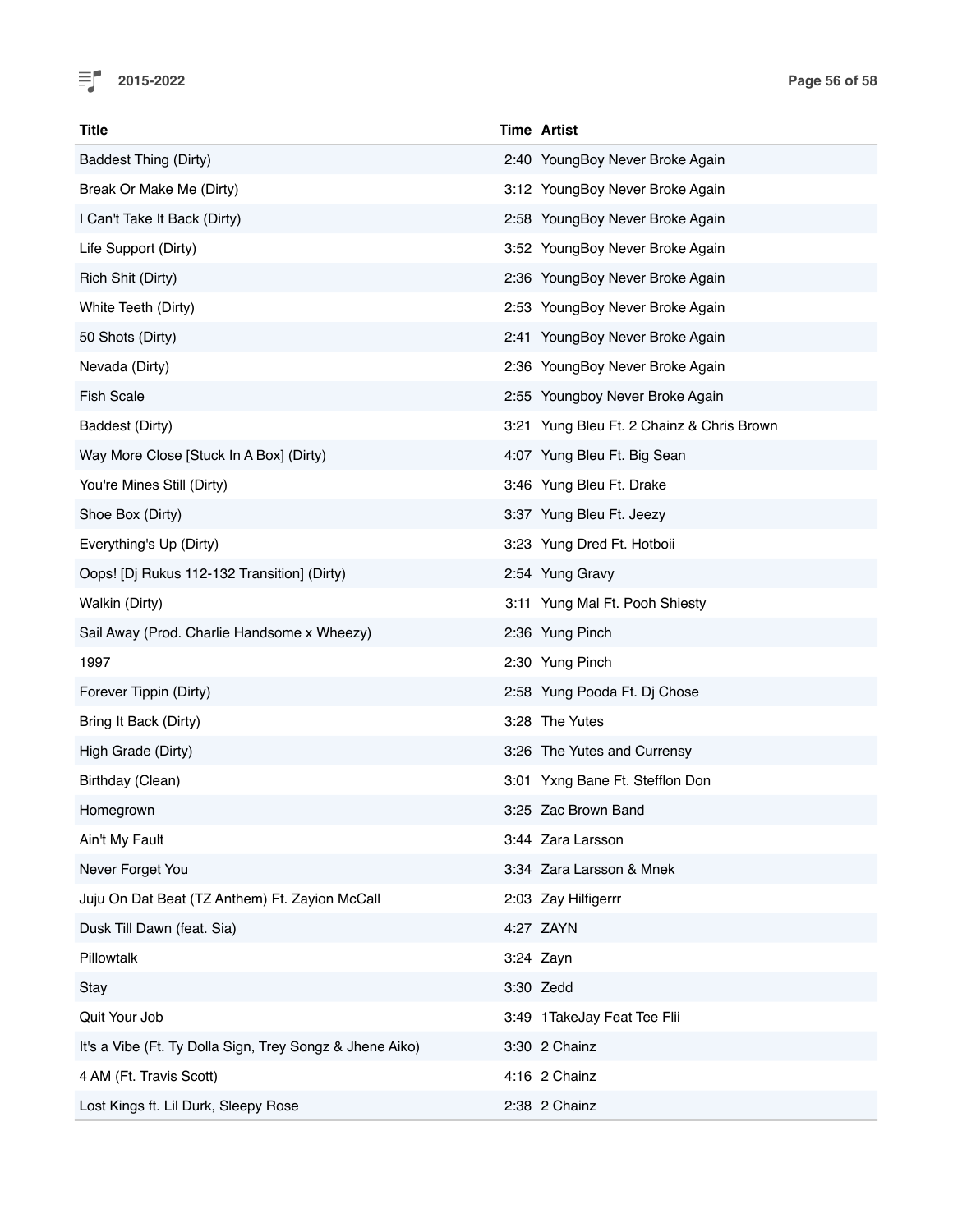

| <b>Title</b>                                             | <b>Time Artist</b>                        |
|----------------------------------------------------------|-------------------------------------------|
| <b>Baddest Thing (Dirty)</b>                             | 2:40 YoungBoy Never Broke Again           |
| Break Or Make Me (Dirty)                                 | 3:12 YoungBoy Never Broke Again           |
| I Can't Take It Back (Dirty)                             | 2:58 YoungBoy Never Broke Again           |
| Life Support (Dirty)                                     | 3:52 YoungBoy Never Broke Again           |
| Rich Shit (Dirty)                                        | 2:36 YoungBoy Never Broke Again           |
| White Teeth (Dirty)                                      | 2:53 YoungBoy Never Broke Again           |
| 50 Shots (Dirty)                                         | 2:41 YoungBoy Never Broke Again           |
| Nevada (Dirty)                                           | 2:36 YoungBoy Never Broke Again           |
| <b>Fish Scale</b>                                        | 2:55 Youngboy Never Broke Again           |
| Baddest (Dirty)                                          | 3:21 Yung Bleu Ft. 2 Chainz & Chris Brown |
| Way More Close [Stuck In A Box] (Dirty)                  | 4:07 Yung Bleu Ft. Big Sean               |
| You're Mines Still (Dirty)                               | 3:46 Yung Bleu Ft. Drake                  |
| Shoe Box (Dirty)                                         | 3:37 Yung Bleu Ft. Jeezy                  |
| Everything's Up (Dirty)                                  | 3:23 Yung Dred Ft. Hotboii                |
| Oops! [Dj Rukus 112-132 Transition] (Dirty)              | 2:54 Yung Gravy                           |
| Walkin (Dirty)                                           | 3:11 Yung Mal Ft. Pooh Shiesty            |
| Sail Away (Prod. Charlie Handsome x Wheezy)              | 2:36 Yung Pinch                           |
| 1997                                                     | 2:30 Yung Pinch                           |
| Forever Tippin (Dirty)                                   | 2:58 Yung Pooda Ft. Dj Chose              |
| Bring It Back (Dirty)                                    | 3:28 The Yutes                            |
| High Grade (Dirty)                                       | 3:26 The Yutes and Currensy               |
| Birthday (Clean)                                         | 3:01 Yxng Bane Ft. Stefflon Don           |
| Homegrown                                                | 3:25 Zac Brown Band                       |
| Ain't My Fault                                           | 3:44 Zara Larsson                         |
| Never Forget You                                         | 3:34 Zara Larsson & Mnek                  |
| Juju On Dat Beat (TZ Anthem) Ft. Zayion McCall           | 2:03 Zay Hilfigerrr                       |
| Dusk Till Dawn (feat. Sia)                               | 4:27 ZAYN                                 |
| Pillowtalk                                               | 3:24 Zayn                                 |
| Stay                                                     | 3:30 Zedd                                 |
| Quit Your Job                                            | 3:49 1 TakeJay Feat Tee Flii              |
| It's a Vibe (Ft. Ty Dolla Sign, Trey Songz & Jhene Aiko) | 3:30 2 Chainz                             |
| 4 AM (Ft. Travis Scott)                                  | 4:16 2 Chainz                             |
| Lost Kings ft. Lil Durk, Sleepy Rose                     | 2:38 2 Chainz                             |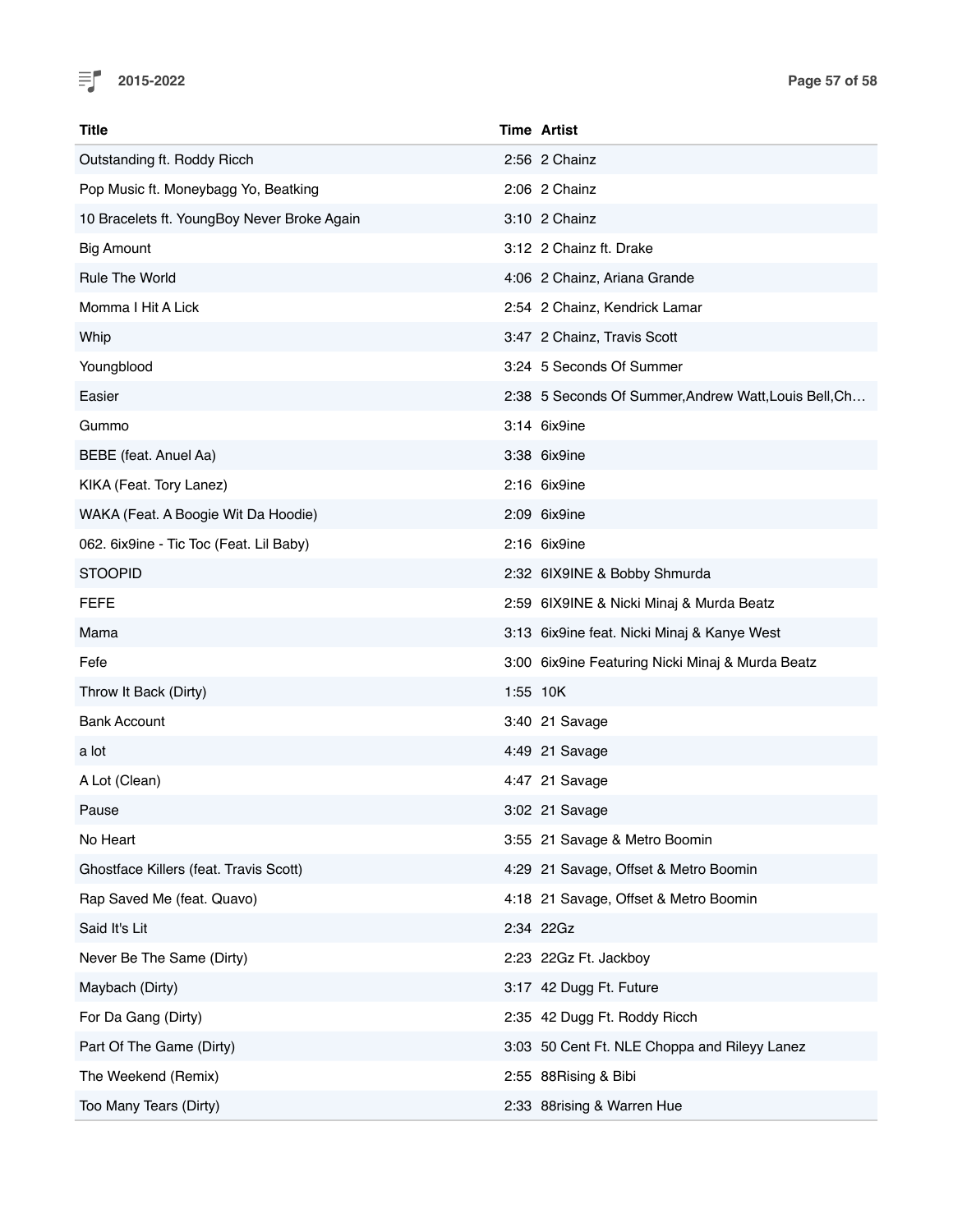

| Title                                       | <b>Time Artist</b>                                    |
|---------------------------------------------|-------------------------------------------------------|
| Outstanding ft. Roddy Ricch                 | 2:56 2 Chainz                                         |
| Pop Music ft. Moneybagg Yo, Beatking        | 2:06 2 Chainz                                         |
| 10 Bracelets ft. YoungBoy Never Broke Again | 3:10 2 Chainz                                         |
| <b>Big Amount</b>                           | 3:12 2 Chainz ft. Drake                               |
| <b>Rule The World</b>                       | 4:06 2 Chainz, Ariana Grande                          |
| Momma I Hit A Lick                          | 2:54 2 Chainz, Kendrick Lamar                         |
| Whip                                        | 3:47 2 Chainz, Travis Scott                           |
| Youngblood                                  | 3:24 5 Seconds Of Summer                              |
| Easier                                      | 2:38 5 Seconds Of Summer, Andrew Watt, Louis Bell, Ch |
| Gummo                                       | 3:14 6ix9ine                                          |
| BEBE (feat. Anuel Aa)                       | 3:38 6ix9ine                                          |
| KIKA (Feat. Tory Lanez)                     | 2:16 6ix9ine                                          |
| WAKA (Feat. A Boogie Wit Da Hoodie)         | 2:09 6ix9ine                                          |
| 062. 6ix9ine - Tic Toc (Feat. Lil Baby)     | $2:16$ 6ix9ine                                        |
| <b>STOOPID</b>                              | 2:32 6IX9INE & Bobby Shmurda                          |
| <b>FEFE</b>                                 | 2:59 6IX9INE & Nicki Minaj & Murda Beatz              |
| Mama                                        | 3:13 6ix9ine feat. Nicki Minaj & Kanye West           |
| Fefe                                        | 3:00 6ix9ine Featuring Nicki Minaj & Murda Beatz      |
| Throw It Back (Dirty)                       | 1:55 10K                                              |
| <b>Bank Account</b>                         | 3:40 21 Savage                                        |
| a lot                                       | 4:49 21 Savage                                        |
| A Lot (Clean)                               | 4:47 21 Savage                                        |
| Pause                                       | 3:02 21 Savage                                        |
| No Heart                                    | 3:55 21 Savage & Metro Boomin                         |
| Ghostface Killers (feat. Travis Scott)      | 4:29 21 Savage, Offset & Metro Boomin                 |
| Rap Saved Me (feat. Quavo)                  | 4:18 21 Savage, Offset & Metro Boomin                 |
| Said It's Lit                               | 2:34 22Gz                                             |
| Never Be The Same (Dirty)                   | 2:23 22Gz Ft. Jackboy                                 |
| Maybach (Dirty)                             | 3:17 42 Dugg Ft. Future                               |
| For Da Gang (Dirty)                         | 2:35 42 Dugg Ft. Roddy Ricch                          |
| Part Of The Game (Dirty)                    | 3:03 50 Cent Ft. NLE Choppa and Rileyy Lanez          |
| The Weekend (Remix)                         | 2:55 88Rising & Bibi                                  |
| Too Many Tears (Dirty)                      | 2:33 88rising & Warren Hue                            |